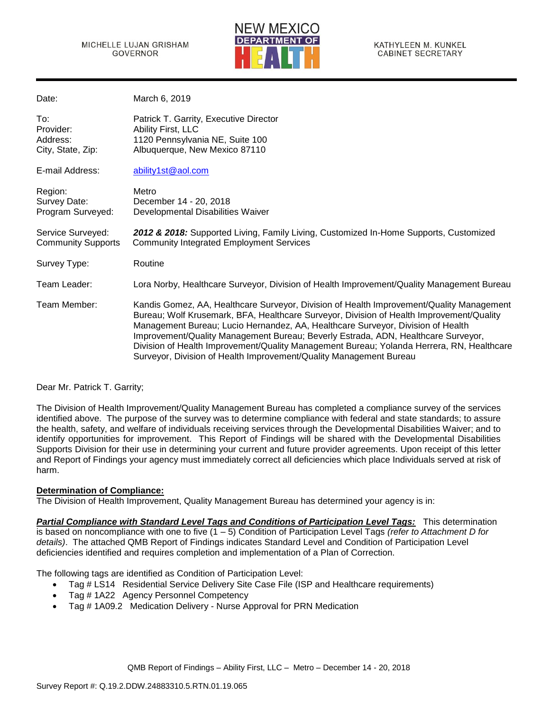

| Date:                                             | March 6, 2019                                                                                                                                                                                                                                                                                                                                                                                                                                                                                                                   |
|---------------------------------------------------|---------------------------------------------------------------------------------------------------------------------------------------------------------------------------------------------------------------------------------------------------------------------------------------------------------------------------------------------------------------------------------------------------------------------------------------------------------------------------------------------------------------------------------|
| To:<br>Provider:<br>Address:<br>City, State, Zip: | Patrick T. Garrity, Executive Director<br>Ability First, LLC<br>1120 Pennsylvania NE, Suite 100<br>Albuquerque, New Mexico 87110                                                                                                                                                                                                                                                                                                                                                                                                |
| E-mail Address:                                   | ability1st@aol.com                                                                                                                                                                                                                                                                                                                                                                                                                                                                                                              |
| Region:<br>Survey Date:<br>Program Surveyed:      | Metro<br>December 14 - 20, 2018<br>Developmental Disabilities Waiver                                                                                                                                                                                                                                                                                                                                                                                                                                                            |
| Service Surveyed:<br><b>Community Supports</b>    | 2012 & 2018: Supported Living, Family Living, Customized In-Home Supports, Customized<br><b>Community Integrated Employment Services</b>                                                                                                                                                                                                                                                                                                                                                                                        |
| Survey Type:                                      | Routine                                                                                                                                                                                                                                                                                                                                                                                                                                                                                                                         |
| Team Leader:                                      | Lora Norby, Healthcare Surveyor, Division of Health Improvement/Quality Management Bureau                                                                                                                                                                                                                                                                                                                                                                                                                                       |
| Team Member:                                      | Kandis Gomez, AA, Healthcare Surveyor, Division of Health Improvement/Quality Management<br>Bureau; Wolf Krusemark, BFA, Healthcare Surveyor, Division of Health Improvement/Quality<br>Management Bureau; Lucio Hernandez, AA, Healthcare Surveyor, Division of Health<br>Improvement/Quality Management Bureau; Beverly Estrada, ADN, Healthcare Surveyor,<br>Division of Health Improvement/Quality Management Bureau; Yolanda Herrera, RN, Healthcare<br>Surveyor, Division of Health Improvement/Quality Management Bureau |

## Dear Mr. Patrick T. Garrity;

The Division of Health Improvement/Quality Management Bureau has completed a compliance survey of the services identified above. The purpose of the survey was to determine compliance with federal and state standards; to assure the health, safety, and welfare of individuals receiving services through the Developmental Disabilities Waiver; and to identify opportunities for improvement. This Report of Findings will be shared with the Developmental Disabilities Supports Division for their use in determining your current and future provider agreements. Upon receipt of this letter and Report of Findings your agency must immediately correct all deficiencies which place Individuals served at risk of harm.

### **Determination of Compliance:**

The Division of Health Improvement, Quality Management Bureau has determined your agency is in:

*Partial Compliance with Standard Level Tags and Conditions of Participation Level Tags:* This determination is based on noncompliance with one to five (1 – 5) Condition of Participation Level Tags *(refer to Attachment D for details)*. The attached QMB Report of Findings indicates Standard Level and Condition of Participation Level deficiencies identified and requires completion and implementation of a Plan of Correction.

The following tags are identified as Condition of Participation Level:

- Tag # LS14 Residential Service Delivery Site Case File (ISP and Healthcare requirements)
- Tag # 1A22 Agency Personnel Competency
- Tag # 1A09.2 Medication Delivery Nurse Approval for PRN Medication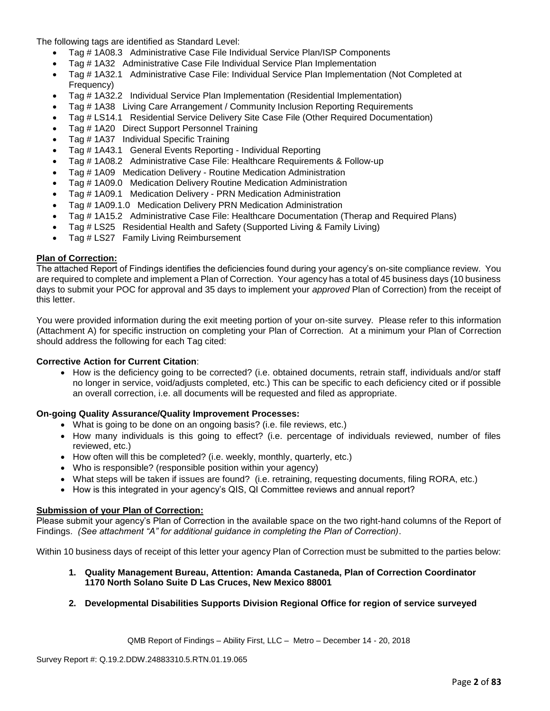The following tags are identified as Standard Level:

- Tag # 1A08.3 Administrative Case File Individual Service Plan/ISP Components
- Tag # 1A32 Administrative Case File Individual Service Plan Implementation
- Tag # 1A32.1 Administrative Case File: Individual Service Plan Implementation (Not Completed at Frequency)
- Tag # 1A32.2 Individual Service Plan Implementation (Residential Implementation)
- Tag # 1A38 Living Care Arrangement / Community Inclusion Reporting Requirements
- Tag # LS14.1 Residential Service Delivery Site Case File (Other Required Documentation)
- Tag # 1A20 Direct Support Personnel Training
- Tag # 1A37 Individual Specific Training
- Tag # 1A43.1 General Events Reporting Individual Reporting
- Tag # 1A08.2 Administrative Case File: Healthcare Requirements & Follow-up
- Tag # 1A09 Medication Delivery Routine Medication Administration
- Tag # 1A09.0 Medication Delivery Routine Medication Administration
- Tag # 1A09.1 Medication Delivery PRN Medication Administration
- Tag # 1A09.1.0 Medication Delivery PRN Medication Administration
- Tag # 1A15.2 Administrative Case File: Healthcare Documentation (Therap and Required Plans)
- Tag # LS25 Residential Health and Safety (Supported Living & Family Living)
- Tag # LS27 Family Living Reimbursement

### **Plan of Correction:**

The attached Report of Findings identifies the deficiencies found during your agency's on-site compliance review. You are required to complete and implement a Plan of Correction. Your agency has a total of 45 business days (10 business days to submit your POC for approval and 35 days to implement your *approved* Plan of Correction) from the receipt of this letter.

You were provided information during the exit meeting portion of your on-site survey. Please refer to this information (Attachment A) for specific instruction on completing your Plan of Correction. At a minimum your Plan of Correction should address the following for each Tag cited:

### **Corrective Action for Current Citation**:

• How is the deficiency going to be corrected? (i.e. obtained documents, retrain staff, individuals and/or staff no longer in service, void/adjusts completed, etc.) This can be specific to each deficiency cited or if possible an overall correction, i.e. all documents will be requested and filed as appropriate.

### **On-going Quality Assurance/Quality Improvement Processes:**

- What is going to be done on an ongoing basis? (i.e. file reviews, etc.)
- How many individuals is this going to effect? (i.e. percentage of individuals reviewed, number of files reviewed, etc.)
- How often will this be completed? (i.e. weekly, monthly, quarterly, etc.)
- Who is responsible? (responsible position within your agency)
- What steps will be taken if issues are found? (i.e. retraining, requesting documents, filing RORA, etc.)
- How is this integrated in your agency's QIS, QI Committee reviews and annual report?

### **Submission of your Plan of Correction:**

Please submit your agency's Plan of Correction in the available space on the two right-hand columns of the Report of Findings. *(See attachment "A" for additional guidance in completing the Plan of Correction)*.

Within 10 business days of receipt of this letter your agency Plan of Correction must be submitted to the parties below:

### **1. Quality Management Bureau, Attention: Amanda Castaneda, Plan of Correction Coordinator 1170 North Solano Suite D Las Cruces, New Mexico 88001**

### **2. Developmental Disabilities Supports Division Regional Office for region of service surveyed**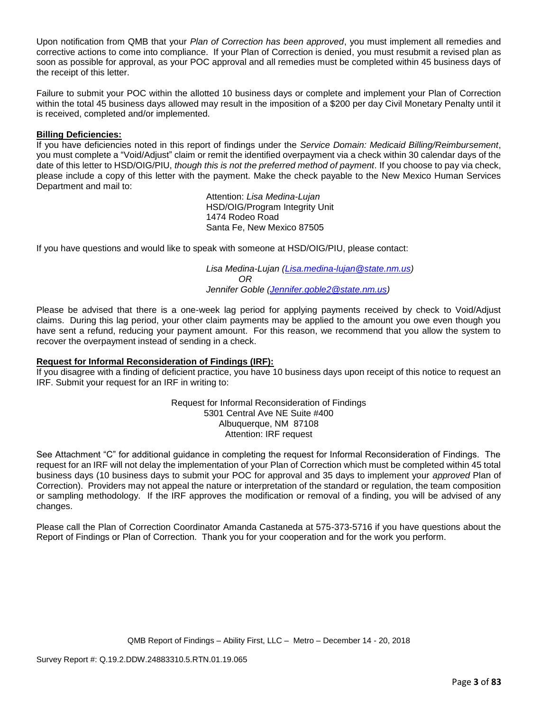Upon notification from QMB that your *Plan of Correction has been approved*, you must implement all remedies and corrective actions to come into compliance. If your Plan of Correction is denied, you must resubmit a revised plan as soon as possible for approval, as your POC approval and all remedies must be completed within 45 business days of the receipt of this letter.

Failure to submit your POC within the allotted 10 business days or complete and implement your Plan of Correction within the total 45 business days allowed may result in the imposition of a \$200 per day Civil Monetary Penalty until it is received, completed and/or implemented.

### **Billing Deficiencies:**

If you have deficiencies noted in this report of findings under the *Service Domain: Medicaid Billing/Reimbursement*, you must complete a "Void/Adjust" claim or remit the identified overpayment via a check within 30 calendar days of the date of this letter to HSD/OIG/PIU, *though this is not the preferred method of payment*. If you choose to pay via check, please include a copy of this letter with the payment. Make the check payable to the New Mexico Human Services Department and mail to:

> Attention: *Lisa Medina-Lujan* HSD/OIG/Program Integrity Unit 1474 Rodeo Road Santa Fe, New Mexico 87505

If you have questions and would like to speak with someone at HSD/OIG/PIU, please contact:

*Lisa Medina-Lujan [\(Lisa.medina-lujan@state.nm.us\)](mailto:Lisa.medina-lujan@state.nm.us) OR Jennifer Goble [\(Jennifer.goble2@state.nm.us\)](mailto:Jennifer.goble2@state.nm.us)*

Please be advised that there is a one-week lag period for applying payments received by check to Void/Adjust claims. During this lag period, your other claim payments may be applied to the amount you owe even though you have sent a refund, reducing your payment amount. For this reason, we recommend that you allow the system to recover the overpayment instead of sending in a check.

### **Request for Informal Reconsideration of Findings (IRF):**

If you disagree with a finding of deficient practice, you have 10 business days upon receipt of this notice to request an IRF. Submit your request for an IRF in writing to:

> Request for Informal Reconsideration of Findings 5301 Central Ave NE Suite #400 Albuquerque, NM 87108 Attention: IRF request

See Attachment "C" for additional guidance in completing the request for Informal Reconsideration of Findings. The request for an IRF will not delay the implementation of your Plan of Correction which must be completed within 45 total business days (10 business days to submit your POC for approval and 35 days to implement your *approved* Plan of Correction). Providers may not appeal the nature or interpretation of the standard or regulation, the team composition or sampling methodology. If the IRF approves the modification or removal of a finding, you will be advised of any changes.

Please call the Plan of Correction Coordinator Amanda Castaneda at 575-373-5716 if you have questions about the Report of Findings or Plan of Correction. Thank you for your cooperation and for the work you perform.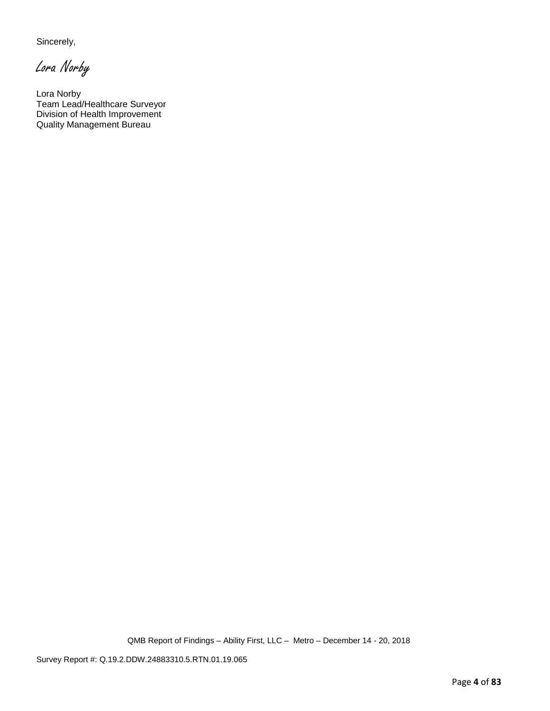Sincerely,

Lora Norby

Lora Norby Team Lead/Healthcare Surveyor Division of Health Improvement Quality Management Bureau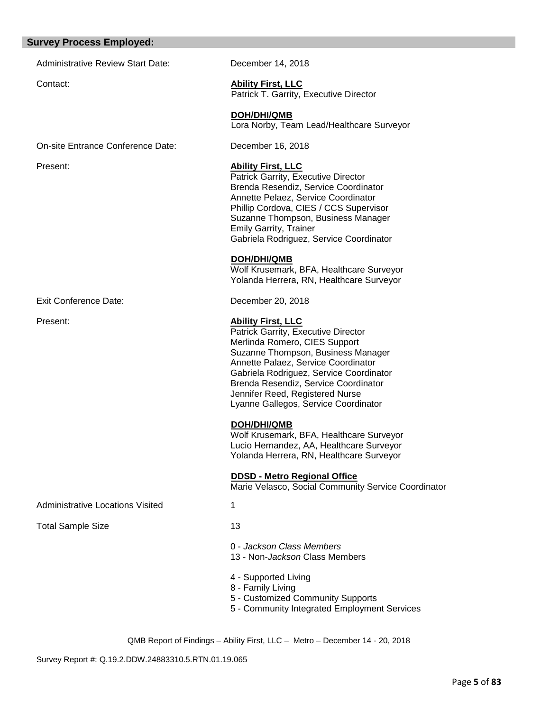### **Survey Process Employed:**

Administrative Review Start Date: December 14, 2018

Contact: **Ability First, LLC**

Patrick T. Garrity, Executive Director

 **DOH/DHI/QMB** Lora Norby, Team Lead/Healthcare Surveyor

On-site Entrance Conference Date: December 16, 2018

Present: **Ability First, LLC**

Patrick Garrity, Executive Director Brenda Resendiz, Service Coordinator Annette Pelaez, Service Coordinator Phillip Cordova, CIES / CCS Supervisor Suzanne Thompson, Business Manager Emily Garrity, Trainer Gabriela Rodriguez, Service Coordinator

 **DOH/DHI/QMB**

Wolf Krusemark, BFA, Healthcare Surveyor Yolanda Herrera, RN, Healthcare Surveyor

Exit Conference Date: December 20, 2018

Present: **Ability First, LLC**

Patrick Garrity, Executive Director Merlinda Romero, CIES Support Suzanne Thompson, Business Manager Annette Palaez, Service Coordinator Gabriela Rodriguez, Service Coordinator Brenda Resendiz, Service Coordinator Jennifer Reed, Registered Nurse Lyanne Gallegos, Service Coordinator

## **DOH/DHI/QMB**

Wolf Krusemark, BFA, Healthcare Surveyor Lucio Hernandez, AA, Healthcare Surveyor Yolanda Herrera, RN, Healthcare Surveyor

 **DDSD - Metro Regional Office**

Marie Velasco, Social Community Service Coordinator

Administrative Locations Visited 1

Total Sample Size 13

- 0 *Jackson Class Members*
- 13 Non-*Jackson* Class Members
- 4 Supported Living
- 8 Family Living
- 5 Customized Community Supports
- 5 Community Integrated Employment Services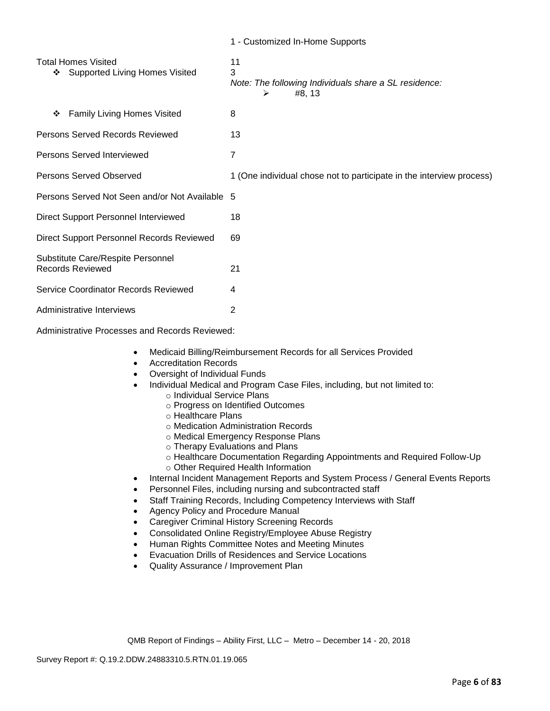|                                                                | 1 - Customized In-Home Supports                                                 |
|----------------------------------------------------------------|---------------------------------------------------------------------------------|
| <b>Total Homes Visited</b><br>❖ Supported Living Homes Visited | 11<br>3<br>Note: The following Individuals share a SL residence:<br>#8, 13<br>⋗ |
| <b>Family Living Homes Visited</b><br>❖                        | 8                                                                               |
| Persons Served Records Reviewed                                | 13                                                                              |
| Persons Served Interviewed                                     | 7                                                                               |
| Persons Served Observed                                        | 1 (One individual chose not to participate in the interview process)            |
| Persons Served Not Seen and/or Not Available 5                 |                                                                                 |
| Direct Support Personnel Interviewed                           | 18                                                                              |
| Direct Support Personnel Records Reviewed                      | 69                                                                              |
| Substitute Care/Respite Personnel<br><b>Records Reviewed</b>   | 21                                                                              |
| Service Coordinator Records Reviewed                           | 4                                                                               |
| Administrative Interviews                                      | 2                                                                               |

Administrative Processes and Records Reviewed:

- Medicaid Billing/Reimbursement Records for all Services Provided
- Accreditation Records
- Oversight of Individual Funds
- Individual Medical and Program Case Files, including, but not limited to:
	- o Individual Service Plans
	- o Progress on Identified Outcomes
	- o Healthcare Plans
	- o Medication Administration Records
	- o Medical Emergency Response Plans
	- o Therapy Evaluations and Plans
	- o Healthcare Documentation Regarding Appointments and Required Follow-Up
	- o Other Required Health Information
- Internal Incident Management Reports and System Process / General Events Reports
- Personnel Files, including nursing and subcontracted staff
- Staff Training Records, Including Competency Interviews with Staff
- Agency Policy and Procedure Manual
- Caregiver Criminal History Screening Records
- Consolidated Online Registry/Employee Abuse Registry
- Human Rights Committee Notes and Meeting Minutes
- Evacuation Drills of Residences and Service Locations
- Quality Assurance / Improvement Plan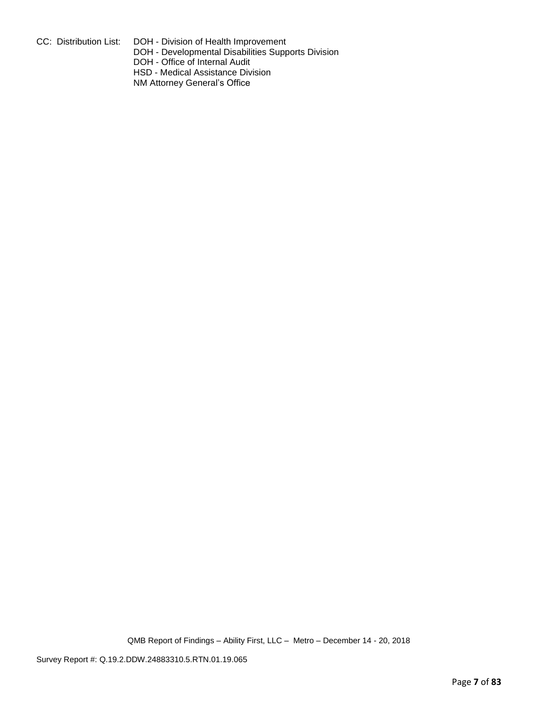CC: Distribution List: DOH - Division of Health Improvement

DOH - Developmental Disabilities Supports Division

DOH - Office of Internal Audit

HSD - Medical Assistance Division

NM Attorney General's Office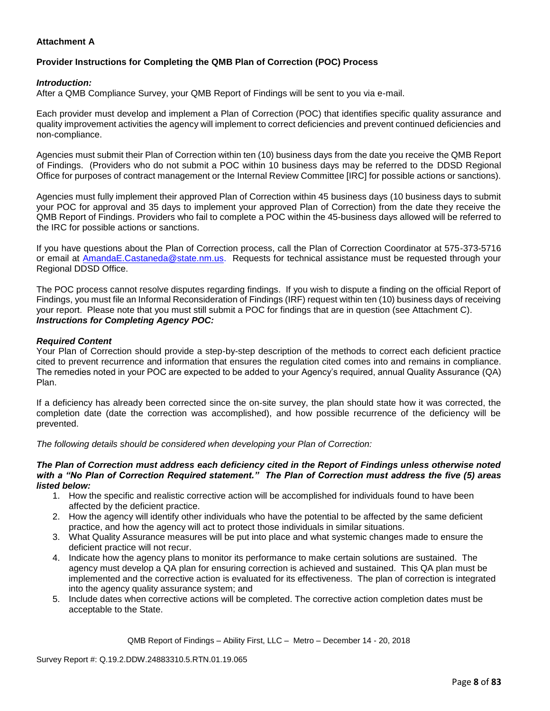## **Attachment A**

# **Provider Instructions for Completing the QMB Plan of Correction (POC) Process**

### *Introduction:*

After a QMB Compliance Survey, your QMB Report of Findings will be sent to you via e-mail.

Each provider must develop and implement a Plan of Correction (POC) that identifies specific quality assurance and quality improvement activities the agency will implement to correct deficiencies and prevent continued deficiencies and non-compliance.

Agencies must submit their Plan of Correction within ten (10) business days from the date you receive the QMB Report of Findings. (Providers who do not submit a POC within 10 business days may be referred to the DDSD Regional Office for purposes of contract management or the Internal Review Committee [IRC] for possible actions or sanctions).

Agencies must fully implement their approved Plan of Correction within 45 business days (10 business days to submit your POC for approval and 35 days to implement your approved Plan of Correction) from the date they receive the QMB Report of Findings. Providers who fail to complete a POC within the 45-business days allowed will be referred to the IRC for possible actions or sanctions.

If you have questions about the Plan of Correction process, call the Plan of Correction Coordinator at 575-373-5716 or email at AmandaE.Castaneda@state.nm.us. Requests for technical assistance must be requested through your Regional DDSD Office.

The POC process cannot resolve disputes regarding findings. If you wish to dispute a finding on the official Report of Findings, you must file an Informal Reconsideration of Findings (IRF) request within ten (10) business days of receiving your report. Please note that you must still submit a POC for findings that are in question (see Attachment C). *Instructions for Completing Agency POC:*

### *Required Content*

Your Plan of Correction should provide a step-by-step description of the methods to correct each deficient practice cited to prevent recurrence and information that ensures the regulation cited comes into and remains in compliance. The remedies noted in your POC are expected to be added to your Agency's required, annual Quality Assurance (QA) Plan.

If a deficiency has already been corrected since the on-site survey, the plan should state how it was corrected, the completion date (date the correction was accomplished), and how possible recurrence of the deficiency will be prevented.

*The following details should be considered when developing your Plan of Correction:*

#### *The Plan of Correction must address each deficiency cited in the Report of Findings unless otherwise noted with a "No Plan of Correction Required statement." The Plan of Correction must address the five (5) areas listed below:*

- 1. How the specific and realistic corrective action will be accomplished for individuals found to have been affected by the deficient practice.
- 2. How the agency will identify other individuals who have the potential to be affected by the same deficient practice, and how the agency will act to protect those individuals in similar situations.
- 3. What Quality Assurance measures will be put into place and what systemic changes made to ensure the deficient practice will not recur.
- 4. Indicate how the agency plans to monitor its performance to make certain solutions are sustained. The agency must develop a QA plan for ensuring correction is achieved and sustained. This QA plan must be implemented and the corrective action is evaluated for its effectiveness. The plan of correction is integrated into the agency quality assurance system; and
- 5. Include dates when corrective actions will be completed. The corrective action completion dates must be acceptable to the State.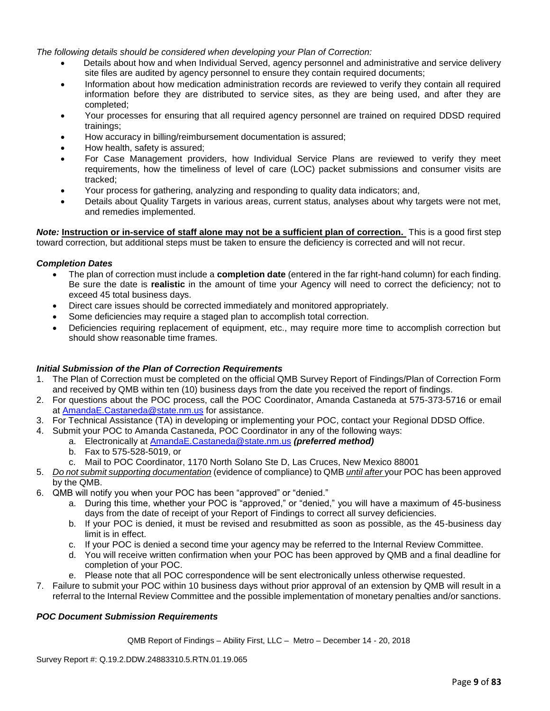*The following details should be considered when developing your Plan of Correction:*

- Details about how and when Individual Served, agency personnel and administrative and service delivery site files are audited by agency personnel to ensure they contain required documents;
- Information about how medication administration records are reviewed to verify they contain all required information before they are distributed to service sites, as they are being used, and after they are completed;
- Your processes for ensuring that all required agency personnel are trained on required DDSD required trainings;
- How accuracy in billing/reimbursement documentation is assured;
- How health, safety is assured;
- For Case Management providers, how Individual Service Plans are reviewed to verify they meet requirements, how the timeliness of level of care (LOC) packet submissions and consumer visits are tracked;
- Your process for gathering, analyzing and responding to quality data indicators; and,
- Details about Quality Targets in various areas, current status, analyses about why targets were not met, and remedies implemented.

*Note:* **Instruction or in-service of staff alone may not be a sufficient plan of correction.** This is a good first step toward correction, but additional steps must be taken to ensure the deficiency is corrected and will not recur.

### *Completion Dates*

- The plan of correction must include a **completion date** (entered in the far right-hand column) for each finding. Be sure the date is **realistic** in the amount of time your Agency will need to correct the deficiency; not to exceed 45 total business days.
- Direct care issues should be corrected immediately and monitored appropriately.
- Some deficiencies may require a staged plan to accomplish total correction.
- Deficiencies requiring replacement of equipment, etc., may require more time to accomplish correction but should show reasonable time frames.

### *Initial Submission of the Plan of Correction Requirements*

- 1. The Plan of Correction must be completed on the official QMB Survey Report of Findings/Plan of Correction Form and received by QMB within ten (10) business days from the date you received the report of findings.
- 2. For questions about the POC process, call the POC Coordinator, Amanda Castaneda at 575-373-5716 or email at AmandaE.Castaneda@state.nm.us for assistance.
- 3. For Technical Assistance (TA) in developing or implementing your POC, contact your Regional DDSD Office.
- 4. Submit your POC to Amanda Castaneda, POC Coordinator in any of the following ways:
	- a. Electronically at AmandaE.Castaneda@state.nm.us *(preferred method)*
	- b. Fax to 575-528-5019, or
	- c. Mail to POC Coordinator, 1170 North Solano Ste D, Las Cruces, New Mexico 88001
- 5. *Do not submit supporting documentation* (evidence of compliance) to QMB *until after* your POC has been approved by the QMB.
- 6. QMB will notify you when your POC has been "approved" or "denied."
	- a. During this time, whether your POC is "approved," or "denied," you will have a maximum of 45-business days from the date of receipt of your Report of Findings to correct all survey deficiencies.
	- b. If your POC is denied, it must be revised and resubmitted as soon as possible, as the 45-business day limit is in effect.
	- c. If your POC is denied a second time your agency may be referred to the Internal Review Committee.
	- d. You will receive written confirmation when your POC has been approved by QMB and a final deadline for completion of your POC.
	- e. Please note that all POC correspondence will be sent electronically unless otherwise requested.
- 7. Failure to submit your POC within 10 business days without prior approval of an extension by QMB will result in a referral to the Internal Review Committee and the possible implementation of monetary penalties and/or sanctions.

## *POC Document Submission Requirements*

QMB Report of Findings – Ability First, LLC – Metro – December 14 - 20, 2018

Survey Report #: Q.19.2.DDW.24883310.5.RTN.01.19.065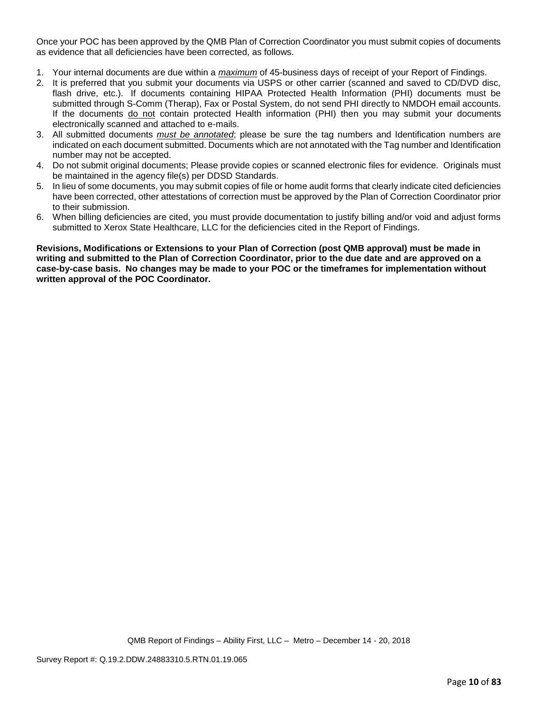Once your POC has been approved by the QMB Plan of Correction Coordinator you must submit copies of documents as evidence that all deficiencies have been corrected, as follows.

- 1. Your internal documents are due within a *maximum* of 45-business days of receipt of your Report of Findings.
- 2. It is preferred that you submit your documents via USPS or other carrier (scanned and saved to CD/DVD disc, flash drive, etc.). If documents containing HIPAA Protected Health Information (PHI) documents must be submitted through S-Comm (Therap), Fax or Postal System, do not send PHI directly to NMDOH email accounts. If the documents do not contain protected Health information (PHI) then you may submit your documents electronically scanned and attached to e-mails.
- 3. All submitted documents *must be annotated*; please be sure the tag numbers and Identification numbers are indicated on each document submitted. Documents which are not annotated with the Tag number and Identification number may not be accepted.
- 4. Do not submit original documents; Please provide copies or scanned electronic files for evidence. Originals must be maintained in the agency file(s) per DDSD Standards.
- 5. In lieu of some documents, you may submit copies of file or home audit forms that clearly indicate cited deficiencies have been corrected, other attestations of correction must be approved by the Plan of Correction Coordinator prior to their submission.
- 6. When billing deficiencies are cited, you must provide documentation to justify billing and/or void and adjust forms submitted to Xerox State Healthcare, LLC for the deficiencies cited in the Report of Findings.

**Revisions, Modifications or Extensions to your Plan of Correction (post QMB approval) must be made in writing and submitted to the Plan of Correction Coordinator, prior to the due date and are approved on a case-by-case basis. No changes may be made to your POC or the timeframes for implementation without written approval of the POC Coordinator.**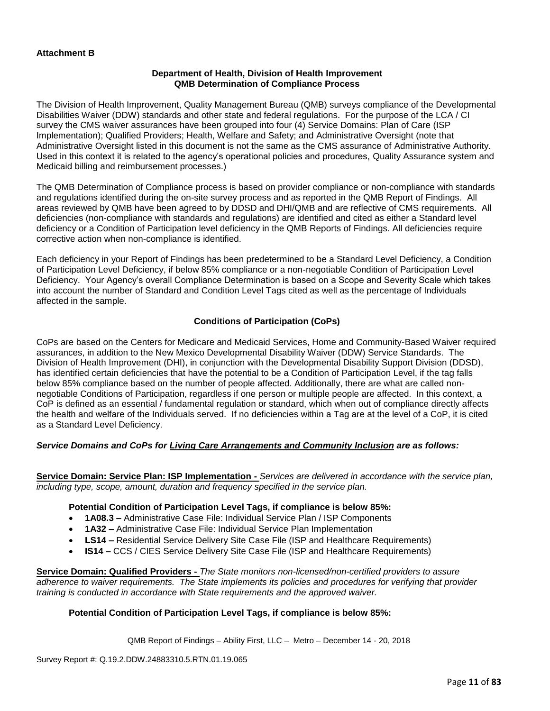### **Department of Health, Division of Health Improvement QMB Determination of Compliance Process**

The Division of Health Improvement, Quality Management Bureau (QMB) surveys compliance of the Developmental Disabilities Waiver (DDW) standards and other state and federal regulations. For the purpose of the LCA / CI survey the CMS waiver assurances have been grouped into four (4) Service Domains: Plan of Care (ISP Implementation); Qualified Providers; Health, Welfare and Safety; and Administrative Oversight (note that Administrative Oversight listed in this document is not the same as the CMS assurance of Administrative Authority. Used in this context it is related to the agency's operational policies and procedures, Quality Assurance system and Medicaid billing and reimbursement processes.)

The QMB Determination of Compliance process is based on provider compliance or non-compliance with standards and regulations identified during the on-site survey process and as reported in the QMB Report of Findings. All areas reviewed by QMB have been agreed to by DDSD and DHI/QMB and are reflective of CMS requirements. All deficiencies (non-compliance with standards and regulations) are identified and cited as either a Standard level deficiency or a Condition of Participation level deficiency in the QMB Reports of Findings. All deficiencies require corrective action when non-compliance is identified.

Each deficiency in your Report of Findings has been predetermined to be a Standard Level Deficiency, a Condition of Participation Level Deficiency, if below 85% compliance or a non-negotiable Condition of Participation Level Deficiency. Your Agency's overall Compliance Determination is based on a Scope and Severity Scale which takes into account the number of Standard and Condition Level Tags cited as well as the percentage of Individuals affected in the sample.

## **Conditions of Participation (CoPs)**

CoPs are based on the Centers for Medicare and Medicaid Services, Home and Community-Based Waiver required assurances, in addition to the New Mexico Developmental Disability Waiver (DDW) Service Standards. The Division of Health Improvement (DHI), in conjunction with the Developmental Disability Support Division (DDSD), has identified certain deficiencies that have the potential to be a Condition of Participation Level, if the tag falls below 85% compliance based on the number of people affected. Additionally, there are what are called nonnegotiable Conditions of Participation, regardless if one person or multiple people are affected. In this context, a CoP is defined as an essential / fundamental regulation or standard, which when out of compliance directly affects the health and welfare of the Individuals served. If no deficiencies within a Tag are at the level of a CoP, it is cited as a Standard Level Deficiency.

## *Service Domains and CoPs for Living Care Arrangements and Community Inclusion are as follows:*

**Service Domain: Service Plan: ISP Implementation -** *Services are delivered in accordance with the service plan, including type, scope, amount, duration and frequency specified in the service plan.*

### **Potential Condition of Participation Level Tags, if compliance is below 85%:**

- **1A08.3 –** Administrative Case File: Individual Service Plan / ISP Components
- **1A32 –** Administrative Case File: Individual Service Plan Implementation
- **LS14 –** Residential Service Delivery Site Case File (ISP and Healthcare Requirements)
- **IS14 –** CCS / CIES Service Delivery Site Case File (ISP and Healthcare Requirements)

**Service Domain: Qualified Providers -** *The State monitors non-licensed/non-certified providers to assure adherence to waiver requirements. The State implements its policies and procedures for verifying that provider training is conducted in accordance with State requirements and the approved waiver.*

## **Potential Condition of Participation Level Tags, if compliance is below 85%:**

QMB Report of Findings – Ability First, LLC – Metro – December 14 - 20, 2018

Survey Report #: Q.19.2.DDW.24883310.5.RTN.01.19.065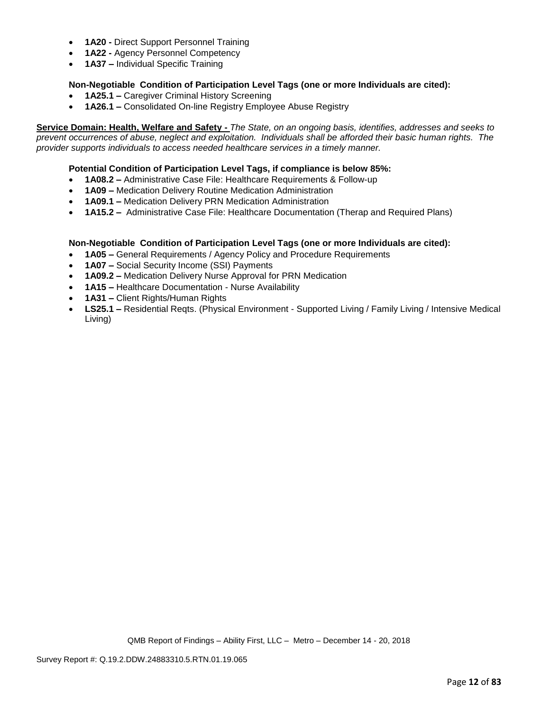- **1A20 -** Direct Support Personnel Training
- **1A22 -** Agency Personnel Competency
- **1A37 –** Individual Specific Training

## **Non-Negotiable Condition of Participation Level Tags (one or more Individuals are cited):**

- **1A25.1 –** Caregiver Criminal History Screening
- **1A26.1 –** Consolidated On-line Registry Employee Abuse Registry

**Service Domain: Health, Welfare and Safety -** *The State, on an ongoing basis, identifies, addresses and seeks to prevent occurrences of abuse, neglect and exploitation. Individuals shall be afforded their basic human rights. The provider supports individuals to access needed healthcare services in a timely manner.*

### **Potential Condition of Participation Level Tags, if compliance is below 85%:**

- **1A08.2 –** Administrative Case File: Healthcare Requirements & Follow-up
- **1A09 –** Medication Delivery Routine Medication Administration
- **1A09.1 –** Medication Delivery PRN Medication Administration
- **1A15.2 –** Administrative Case File: Healthcare Documentation (Therap and Required Plans)

### **Non-Negotiable Condition of Participation Level Tags (one or more Individuals are cited):**

- **1A05 –** General Requirements / Agency Policy and Procedure Requirements
- **1A07 –** Social Security Income (SSI) Payments
- **1A09.2 –** Medication Delivery Nurse Approval for PRN Medication
- **1A15 –** Healthcare Documentation Nurse Availability
- **1A31 –** Client Rights/Human Rights
- **LS25.1 –** Residential Reqts. (Physical Environment Supported Living / Family Living / Intensive Medical Living)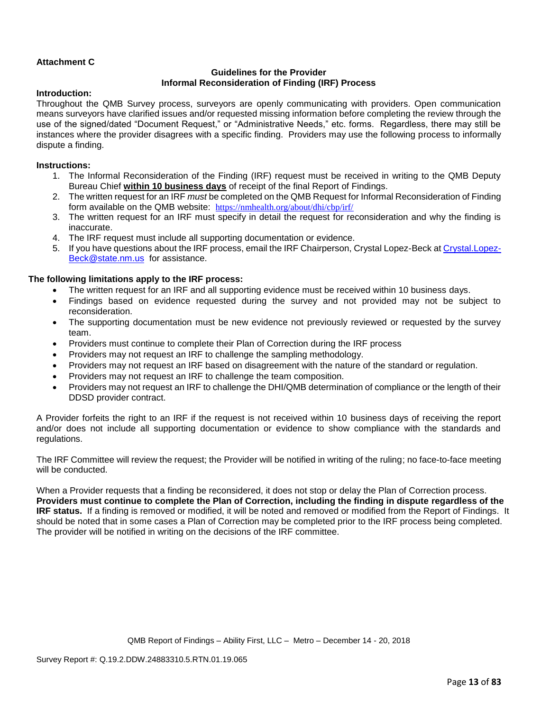# **Attachment C**

### **Guidelines for the Provider Informal Reconsideration of Finding (IRF) Process**

### **Introduction:**

Throughout the QMB Survey process, surveyors are openly communicating with providers. Open communication means surveyors have clarified issues and/or requested missing information before completing the review through the use of the signed/dated "Document Request," or "Administrative Needs," etc. forms. Regardless, there may still be instances where the provider disagrees with a specific finding. Providers may use the following process to informally dispute a finding.

### **Instructions:**

- 1. The Informal Reconsideration of the Finding (IRF) request must be received in writing to the QMB Deputy Bureau Chief **within 10 business days** of receipt of the final Report of Findings.
- 2. The written request for an IRF *must* be completed on the QMB Request for Informal Reconsideration of Finding form available on the QMB website: <https://nmhealth.org/about/dhi/cbp/irf/>
- 3. The written request for an IRF must specify in detail the request for reconsideration and why the finding is inaccurate.
- 4. The IRF request must include all supporting documentation or evidence.
- 5. If you have questions about the IRF process, email the IRF Chairperson, Crystal Lopez-Beck a[t Crystal.Lopez-](mailto:Crystal.Lopez-Beck@state.nm.us)[Beck@state.nm.us](mailto:Crystal.Lopez-Beck@state.nm.us) for assistance.

### **The following limitations apply to the IRF process:**

- The written request for an IRF and all supporting evidence must be received within 10 business days.
- Findings based on evidence requested during the survey and not provided may not be subject to reconsideration.
- The supporting documentation must be new evidence not previously reviewed or requested by the survey team.
- Providers must continue to complete their Plan of Correction during the IRF process
- Providers may not request an IRF to challenge the sampling methodology.
- Providers may not request an IRF based on disagreement with the nature of the standard or regulation.
- Providers may not request an IRF to challenge the team composition.
- Providers may not request an IRF to challenge the DHI/QMB determination of compliance or the length of their DDSD provider contract.

A Provider forfeits the right to an IRF if the request is not received within 10 business days of receiving the report and/or does not include all supporting documentation or evidence to show compliance with the standards and regulations.

The IRF Committee will review the request; the Provider will be notified in writing of the ruling; no face-to-face meeting will be conducted.

When a Provider requests that a finding be reconsidered, it does not stop or delay the Plan of Correction process. **Providers must continue to complete the Plan of Correction, including the finding in dispute regardless of the IRF status.** If a finding is removed or modified, it will be noted and removed or modified from the Report of Findings. It should be noted that in some cases a Plan of Correction may be completed prior to the IRF process being completed. The provider will be notified in writing on the decisions of the IRF committee.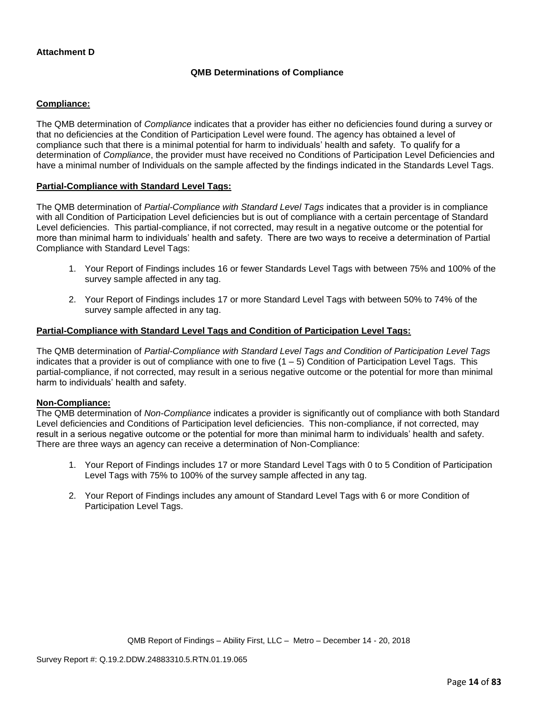### **Attachment D**

### **QMB Determinations of Compliance**

### **Compliance:**

The QMB determination of *Compliance* indicates that a provider has either no deficiencies found during a survey or that no deficiencies at the Condition of Participation Level were found. The agency has obtained a level of compliance such that there is a minimal potential for harm to individuals' health and safety. To qualify for a determination of *Compliance*, the provider must have received no Conditions of Participation Level Deficiencies and have a minimal number of Individuals on the sample affected by the findings indicated in the Standards Level Tags.

### **Partial-Compliance with Standard Level Tags:**

The QMB determination of *Partial-Compliance with Standard Level Tags* indicates that a provider is in compliance with all Condition of Participation Level deficiencies but is out of compliance with a certain percentage of Standard Level deficiencies. This partial-compliance, if not corrected, may result in a negative outcome or the potential for more than minimal harm to individuals' health and safety. There are two ways to receive a determination of Partial Compliance with Standard Level Tags:

- 1. Your Report of Findings includes 16 or fewer Standards Level Tags with between 75% and 100% of the survey sample affected in any tag.
- 2. Your Report of Findings includes 17 or more Standard Level Tags with between 50% to 74% of the survey sample affected in any tag.

### **Partial-Compliance with Standard Level Tags and Condition of Participation Level Tags:**

The QMB determination of *Partial-Compliance with Standard Level Tags and Condition of Participation Level Tags*  indicates that a provider is out of compliance with one to five  $(1 - 5)$  Condition of Participation Level Tags. This partial-compliance, if not corrected, may result in a serious negative outcome or the potential for more than minimal harm to individuals' health and safety.

### **Non-Compliance:**

The QMB determination of *Non-Compliance* indicates a provider is significantly out of compliance with both Standard Level deficiencies and Conditions of Participation level deficiencies. This non-compliance, if not corrected, may result in a serious negative outcome or the potential for more than minimal harm to individuals' health and safety. There are three ways an agency can receive a determination of Non-Compliance:

- 1. Your Report of Findings includes 17 or more Standard Level Tags with 0 to 5 Condition of Participation Level Tags with 75% to 100% of the survey sample affected in any tag.
- 2. Your Report of Findings includes any amount of Standard Level Tags with 6 or more Condition of Participation Level Tags.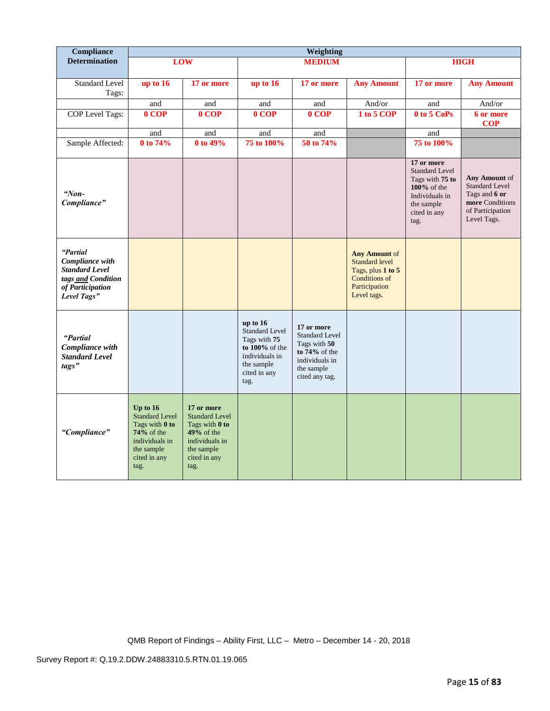| Compliance                                                                                                    | Weighting                                                                                                                   |                                                                                                                               |                                                                                                                               |                                                                                                                           |                                                                                                                                |                                                                                                                               |                                                                                                               |
|---------------------------------------------------------------------------------------------------------------|-----------------------------------------------------------------------------------------------------------------------------|-------------------------------------------------------------------------------------------------------------------------------|-------------------------------------------------------------------------------------------------------------------------------|---------------------------------------------------------------------------------------------------------------------------|--------------------------------------------------------------------------------------------------------------------------------|-------------------------------------------------------------------------------------------------------------------------------|---------------------------------------------------------------------------------------------------------------|
| <b>Determination</b>                                                                                          |                                                                                                                             | LOW                                                                                                                           |                                                                                                                               | <b>MEDIUM</b>                                                                                                             |                                                                                                                                |                                                                                                                               | <b>HIGH</b>                                                                                                   |
| Standard Level<br>Tags:                                                                                       | up to 16                                                                                                                    | 17 or more                                                                                                                    | up to 16                                                                                                                      | 17 or more                                                                                                                | <b>Any Amount</b>                                                                                                              | 17 or more                                                                                                                    | <b>Any Amount</b>                                                                                             |
|                                                                                                               | and                                                                                                                         | and                                                                                                                           | and                                                                                                                           | and                                                                                                                       | And/or                                                                                                                         | and                                                                                                                           | And/or                                                                                                        |
| COP Level Tags:                                                                                               | 0 COP                                                                                                                       | $0 \overline{C}$ OP                                                                                                           | 0 COP                                                                                                                         | $0$ COP                                                                                                                   | 1 to 5 COP                                                                                                                     | 0 to 5 CoPs                                                                                                                   | 6 or more<br><b>COP</b>                                                                                       |
|                                                                                                               | and                                                                                                                         | and                                                                                                                           | and                                                                                                                           | and                                                                                                                       |                                                                                                                                | and                                                                                                                           |                                                                                                               |
| Sample Affected:                                                                                              | 0 to 74%                                                                                                                    | 0 to 49%                                                                                                                      | 75 to 100%                                                                                                                    | 50 to 74%                                                                                                                 |                                                                                                                                | 75 to 100%                                                                                                                    |                                                                                                               |
| " $Non-$<br>Compliance"                                                                                       |                                                                                                                             |                                                                                                                               |                                                                                                                               |                                                                                                                           |                                                                                                                                | 17 or more<br><b>Standard Level</b><br>Tags with 75 to<br>100% of the<br>Individuals in<br>the sample<br>cited in any<br>tag. | Any Amount of<br><b>Standard Level</b><br>Tags and 6 or<br>more Conditions<br>of Participation<br>Level Tags. |
| "Partial<br>Compliance with<br><b>Standard Level</b><br>tags and Condition<br>of Participation<br>Level Tags" |                                                                                                                             |                                                                                                                               |                                                                                                                               |                                                                                                                           | <b>Any Amount of</b><br><b>Standard level</b><br>Tags, plus $1$ to $5$<br><b>Conditions of</b><br>Participation<br>Level tags. |                                                                                                                               |                                                                                                               |
| "Partial<br>Compliance with<br><b>Standard Level</b><br>tags"                                                 |                                                                                                                             |                                                                                                                               | up to $16$<br><b>Standard Level</b><br>Tags with 75<br>to 100% of the<br>individuals in<br>the sample<br>cited in any<br>tag. | 17 or more<br><b>Standard Level</b><br>Tags with 50<br>to $74\%$ of the<br>individuals in<br>the sample<br>cited any tag. |                                                                                                                                |                                                                                                                               |                                                                                                               |
| "Compliance"                                                                                                  | Up to $16$<br><b>Standard Level</b><br>Tags with 0 to<br>74% of the<br>individuals in<br>the sample<br>cited in any<br>tag. | 17 or more<br><b>Standard Level</b><br>Tags with 0 to<br>$49%$ of the<br>individuals in<br>the sample<br>cited in any<br>tag. |                                                                                                                               |                                                                                                                           |                                                                                                                                |                                                                                                                               |                                                                                                               |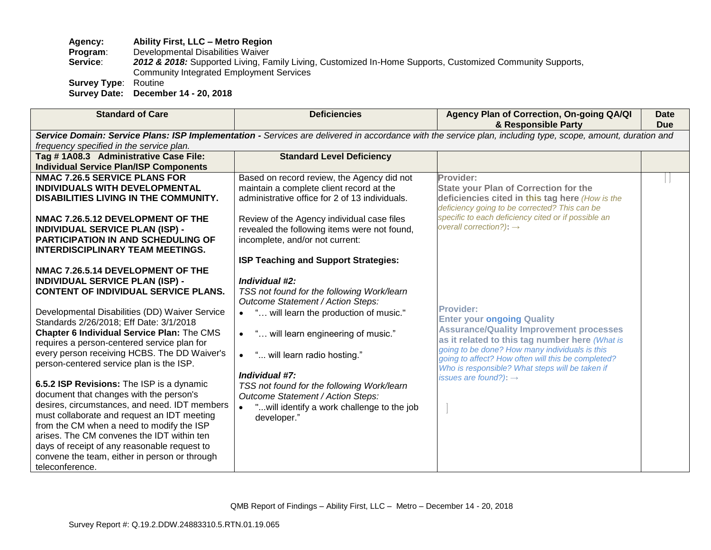## **Agency: Ability First, LLC – Metro Region**

**Program:** Developmental Disabilities Waiver<br>**Service: 2012 & 2018:** Supported Living. Fa

2012 & 2018: Supported Living, Family Living, Customized In-Home Supports, Customized Community Supports, Community Integrated Employment Services

**Survey Type**: Routine

**Survey Date: December 14 - 20, 2018**

| <b>Standard of Care</b>                                                                                                                                                                                                                                                                                                                                                                                                                                                                                                                                                                                                                                                                                                                                                                                                 | <b>Deficiencies</b>                                                                                                                                                                                                                                                                                                                                                                                                                               | Agency Plan of Correction, On-going QA/QI<br>& Responsible Party                                                                                                                                                                                                                                                                                          | Date<br><b>Due</b> |
|-------------------------------------------------------------------------------------------------------------------------------------------------------------------------------------------------------------------------------------------------------------------------------------------------------------------------------------------------------------------------------------------------------------------------------------------------------------------------------------------------------------------------------------------------------------------------------------------------------------------------------------------------------------------------------------------------------------------------------------------------------------------------------------------------------------------------|---------------------------------------------------------------------------------------------------------------------------------------------------------------------------------------------------------------------------------------------------------------------------------------------------------------------------------------------------------------------------------------------------------------------------------------------------|-----------------------------------------------------------------------------------------------------------------------------------------------------------------------------------------------------------------------------------------------------------------------------------------------------------------------------------------------------------|--------------------|
| frequency specified in the service plan.                                                                                                                                                                                                                                                                                                                                                                                                                                                                                                                                                                                                                                                                                                                                                                                |                                                                                                                                                                                                                                                                                                                                                                                                                                                   | Service Domain: Service Plans: ISP Implementation - Services are delivered in accordance with the service plan, including type, scope, amount, duration and                                                                                                                                                                                               |                    |
| Tag #1A08.3 Administrative Case File:<br><b>Individual Service Plan/ISP Components</b>                                                                                                                                                                                                                                                                                                                                                                                                                                                                                                                                                                                                                                                                                                                                  | <b>Standard Level Deficiency</b>                                                                                                                                                                                                                                                                                                                                                                                                                  |                                                                                                                                                                                                                                                                                                                                                           |                    |
| <b>NMAC 7.26.5 SERVICE PLANS FOR</b><br>INDIVIDUALS WITH DEVELOPMENTAL<br><b>DISABILITIES LIVING IN THE COMMUNITY.</b><br>NMAC 7.26.5.12 DEVELOPMENT OF THE<br><b>INDIVIDUAL SERVICE PLAN (ISP) -</b><br><b>PARTICIPATION IN AND SCHEDULING OF</b><br><b>INTERDISCIPLINARY TEAM MEETINGS.</b>                                                                                                                                                                                                                                                                                                                                                                                                                                                                                                                           | Based on record review, the Agency did not<br>maintain a complete client record at the<br>administrative office for 2 of 13 individuals.<br>Review of the Agency individual case files<br>revealed the following items were not found,<br>incomplete, and/or not current:                                                                                                                                                                         | Provider:<br><b>State your Plan of Correction for the</b><br>deficiencies cited in this tag here (How is the<br>deficiency going to be corrected? This can be<br>specific to each deficiency cited or if possible an<br>overall correction?): $\rightarrow$                                                                                               |                    |
| NMAC 7.26.5.14 DEVELOPMENT OF THE<br><b>INDIVIDUAL SERVICE PLAN (ISP) -</b><br><b>CONTENT OF INDIVIDUAL SERVICE PLANS.</b><br>Developmental Disabilities (DD) Waiver Service<br>Standards 2/26/2018; Eff Date: 3/1/2018<br>Chapter 6 Individual Service Plan: The CMS<br>requires a person-centered service plan for<br>every person receiving HCBS. The DD Waiver's<br>person-centered service plan is the ISP.<br>6.5.2 ISP Revisions: The ISP is a dynamic<br>document that changes with the person's<br>desires, circumstances, and need. IDT members<br>must collaborate and request an IDT meeting<br>from the CM when a need to modify the ISP<br>arises. The CM convenes the IDT within ten<br>days of receipt of any reasonable request to<br>convene the team, either in person or through<br>teleconference. | <b>ISP Teaching and Support Strategies:</b><br>Individual #2:<br>TSS not found for the following Work/learn<br>Outcome Statement / Action Steps:<br>" will learn the production of music."<br>" will learn engineering of music."<br>" will learn radio hosting."<br>$\bullet$<br>Individual #7:<br>TSS not found for the following Work/learn<br>Outcome Statement / Action Steps:<br>" will identify a work challenge to the job<br>developer." | <b>Provider:</b><br><b>Enter your ongoing Quality</b><br><b>Assurance/Quality Improvement processes</b><br>as it related to this tag number here (What is<br>going to be done? How many individuals is this<br>going to affect? How often will this be completed?<br>Who is responsible? What steps will be taken if<br>issues are found?): $\rightarrow$ |                    |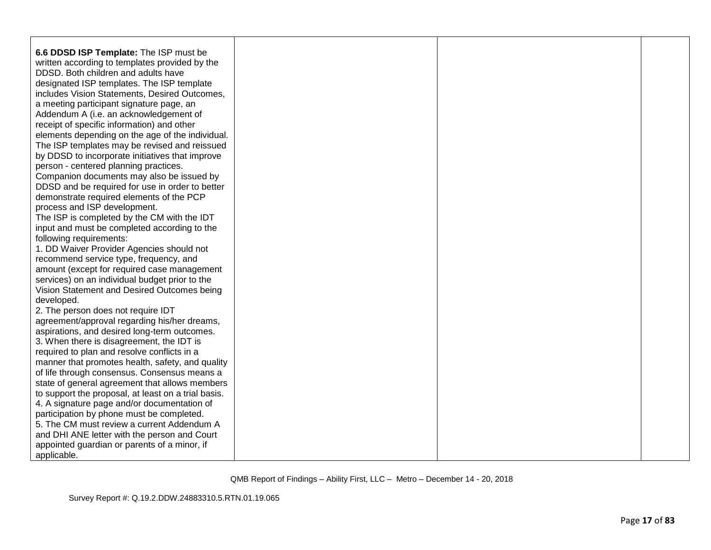| 6.6 DDSD ISP Template: The ISP must be              |  |  |
|-----------------------------------------------------|--|--|
| written according to templates provided by the      |  |  |
| DDSD. Both children and adults have                 |  |  |
| designated ISP templates. The ISP template          |  |  |
| includes Vision Statements, Desired Outcomes,       |  |  |
| a meeting participant signature page, an            |  |  |
| Addendum A (i.e. an acknowledgement of              |  |  |
| receipt of specific information) and other          |  |  |
| elements depending on the age of the individual.    |  |  |
| The ISP templates may be revised and reissued       |  |  |
| by DDSD to incorporate initiatives that improve     |  |  |
| person - centered planning practices.               |  |  |
| Companion documents may also be issued by           |  |  |
| DDSD and be required for use in order to better     |  |  |
| demonstrate required elements of the PCP            |  |  |
| process and ISP development.                        |  |  |
| The ISP is completed by the CM with the IDT         |  |  |
| input and must be completed according to the        |  |  |
| following requirements:                             |  |  |
| 1. DD Waiver Provider Agencies should not           |  |  |
| recommend service type, frequency, and              |  |  |
| amount (except for required case management         |  |  |
| services) on an individual budget prior to the      |  |  |
| Vision Statement and Desired Outcomes being         |  |  |
| developed.                                          |  |  |
| 2. The person does not require IDT                  |  |  |
| agreement/approval regarding his/her dreams,        |  |  |
| aspirations, and desired long-term outcomes.        |  |  |
| 3. When there is disagreement, the IDT is           |  |  |
| required to plan and resolve conflicts in a         |  |  |
| manner that promotes health, safety, and quality    |  |  |
| of life through consensus. Consensus means a        |  |  |
| state of general agreement that allows members      |  |  |
| to support the proposal, at least on a trial basis. |  |  |
| 4. A signature page and/or documentation of         |  |  |
| participation by phone must be completed.           |  |  |
| 5. The CM must review a current Addendum A          |  |  |
| and DHI ANE letter with the person and Court        |  |  |
| appointed guardian or parents of a minor, if        |  |  |
| applicable.                                         |  |  |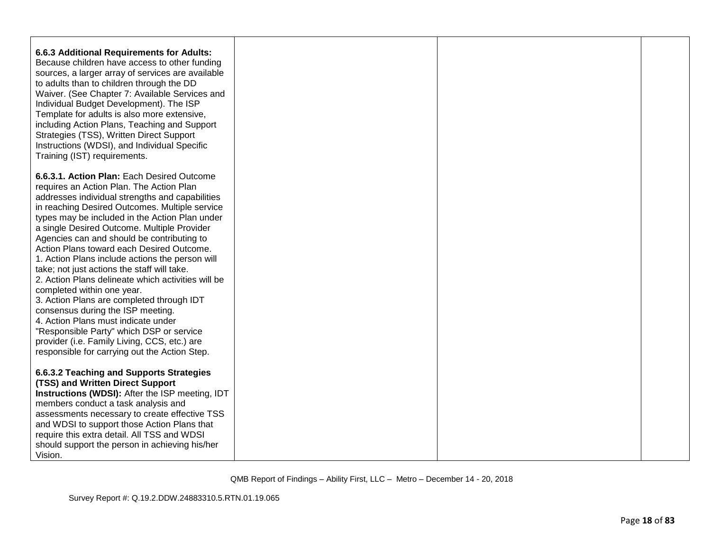| <b>6.6.3 Additional Requirements for Adults:</b><br>Because children have access to other funding<br>sources, a larger array of services are available<br>to adults than to children through the DD<br>Waiver. (See Chapter 7: Available Services and<br>Individual Budget Development). The ISP<br>Template for adults is also more extensive,<br>including Action Plans, Teaching and Support<br>Strategies (TSS), Written Direct Support<br>Instructions (WDSI), and Individual Specific<br>Training (IST) requirements.                                                                                                                                                                            |  |  |
|--------------------------------------------------------------------------------------------------------------------------------------------------------------------------------------------------------------------------------------------------------------------------------------------------------------------------------------------------------------------------------------------------------------------------------------------------------------------------------------------------------------------------------------------------------------------------------------------------------------------------------------------------------------------------------------------------------|--|--|
| 6.6.3.1. Action Plan: Each Desired Outcome<br>requires an Action Plan. The Action Plan<br>addresses individual strengths and capabilities<br>in reaching Desired Outcomes. Multiple service<br>types may be included in the Action Plan under<br>a single Desired Outcome. Multiple Provider<br>Agencies can and should be contributing to<br>Action Plans toward each Desired Outcome.<br>1. Action Plans include actions the person will<br>take; not just actions the staff will take.<br>2. Action Plans delineate which activities will be<br>completed within one year.<br>3. Action Plans are completed through IDT<br>consensus during the ISP meeting.<br>4. Action Plans must indicate under |  |  |
| "Responsible Party" which DSP or service<br>provider (i.e. Family Living, CCS, etc.) are<br>responsible for carrying out the Action Step.                                                                                                                                                                                                                                                                                                                                                                                                                                                                                                                                                              |  |  |
| 6.6.3.2 Teaching and Supports Strategies<br>(TSS) and Written Direct Support<br><b>Instructions (WDSI):</b> After the ISP meeting, IDT<br>members conduct a task analysis and<br>assessments necessary to create effective TSS<br>and WDSI to support those Action Plans that<br>require this extra detail. All TSS and WDSI<br>should support the person in achieving his/her<br>Vision.                                                                                                                                                                                                                                                                                                              |  |  |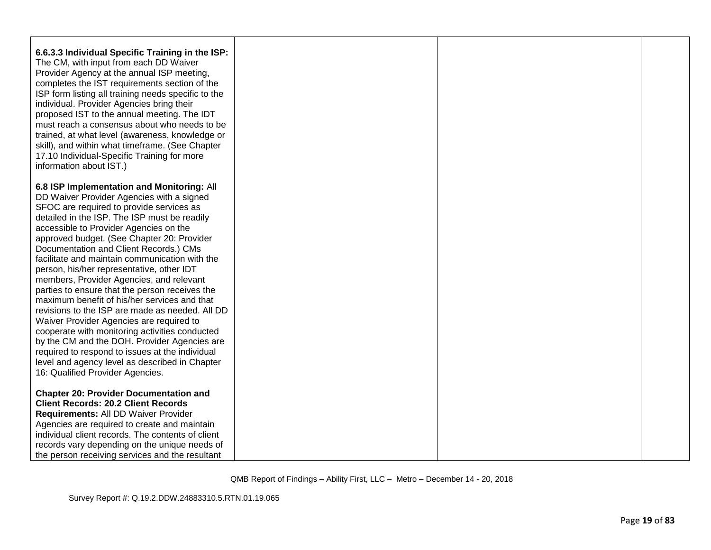| 6.6.3.3 Individual Specific Training in the ISP:<br>The CM, with input from each DD Waiver<br>Provider Agency at the annual ISP meeting,<br>completes the IST requirements section of the<br>ISP form listing all training needs specific to the<br>individual. Provider Agencies bring their<br>proposed IST to the annual meeting. The IDT<br>must reach a consensus about who needs to be<br>trained, at what level (awareness, knowledge or<br>skill), and within what timeframe. (See Chapter<br>17.10 Individual-Specific Training for more<br>information about IST.)                                                                                                                                                                                                                                                                                                                                 |  |  |
|--------------------------------------------------------------------------------------------------------------------------------------------------------------------------------------------------------------------------------------------------------------------------------------------------------------------------------------------------------------------------------------------------------------------------------------------------------------------------------------------------------------------------------------------------------------------------------------------------------------------------------------------------------------------------------------------------------------------------------------------------------------------------------------------------------------------------------------------------------------------------------------------------------------|--|--|
| 6.8 ISP Implementation and Monitoring: All<br>DD Waiver Provider Agencies with a signed<br>SFOC are required to provide services as<br>detailed in the ISP. The ISP must be readily<br>accessible to Provider Agencies on the<br>approved budget. (See Chapter 20: Provider<br>Documentation and Client Records.) CMs<br>facilitate and maintain communication with the<br>person, his/her representative, other IDT<br>members, Provider Agencies, and relevant<br>parties to ensure that the person receives the<br>maximum benefit of his/her services and that<br>revisions to the ISP are made as needed. All DD<br>Waiver Provider Agencies are required to<br>cooperate with monitoring activities conducted<br>by the CM and the DOH. Provider Agencies are<br>required to respond to issues at the individual<br>level and agency level as described in Chapter<br>16: Qualified Provider Agencies. |  |  |
| <b>Chapter 20: Provider Documentation and</b><br><b>Client Records: 20.2 Client Records</b><br>Requirements: All DD Waiver Provider<br>Agencies are required to create and maintain<br>individual client records. The contents of client<br>records vary depending on the unique needs of<br>the person receiving services and the resultant                                                                                                                                                                                                                                                                                                                                                                                                                                                                                                                                                                 |  |  |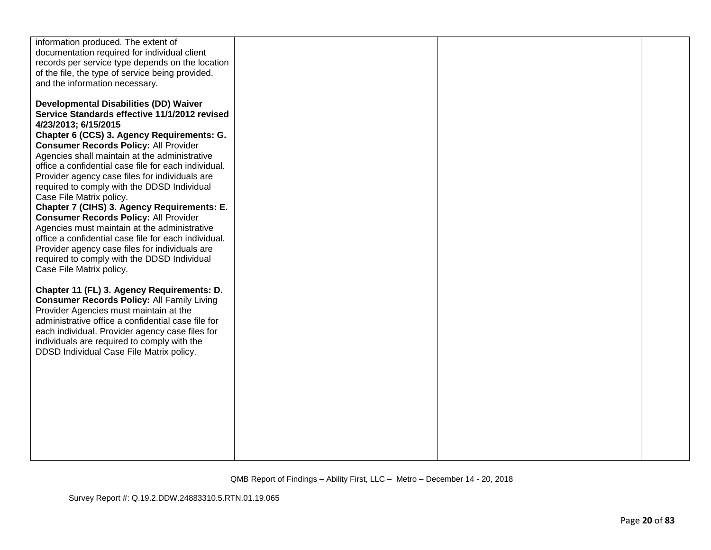| information produced. The extent of                  |  |  |
|------------------------------------------------------|--|--|
| documentation required for individual client         |  |  |
| records per service type depends on the location     |  |  |
|                                                      |  |  |
| of the file, the type of service being provided,     |  |  |
| and the information necessary.                       |  |  |
|                                                      |  |  |
| <b>Developmental Disabilities (DD) Waiver</b>        |  |  |
| Service Standards effective 11/1/2012 revised        |  |  |
|                                                      |  |  |
| 4/23/2013; 6/15/2015                                 |  |  |
| Chapter 6 (CCS) 3. Agency Requirements: G.           |  |  |
| <b>Consumer Records Policy: All Provider</b>         |  |  |
| Agencies shall maintain at the administrative        |  |  |
| office a confidential case file for each individual. |  |  |
| Provider agency case files for individuals are       |  |  |
| required to comply with the DDSD Individual          |  |  |
| Case File Matrix policy.                             |  |  |
|                                                      |  |  |
| Chapter 7 (CIHS) 3. Agency Requirements: E.          |  |  |
| <b>Consumer Records Policy: All Provider</b>         |  |  |
| Agencies must maintain at the administrative         |  |  |
| office a confidential case file for each individual. |  |  |
| Provider agency case files for individuals are       |  |  |
| required to comply with the DDSD Individual          |  |  |
| Case File Matrix policy.                             |  |  |
|                                                      |  |  |
|                                                      |  |  |
| Chapter 11 (FL) 3. Agency Requirements: D.           |  |  |
| <b>Consumer Records Policy: All Family Living</b>    |  |  |
| Provider Agencies must maintain at the               |  |  |
| administrative office a confidential case file for   |  |  |
| each individual. Provider agency case files for      |  |  |
| individuals are required to comply with the          |  |  |
| DDSD Individual Case File Matrix policy.             |  |  |
|                                                      |  |  |
|                                                      |  |  |
|                                                      |  |  |
|                                                      |  |  |
|                                                      |  |  |
|                                                      |  |  |
|                                                      |  |  |
|                                                      |  |  |
|                                                      |  |  |
|                                                      |  |  |
|                                                      |  |  |
|                                                      |  |  |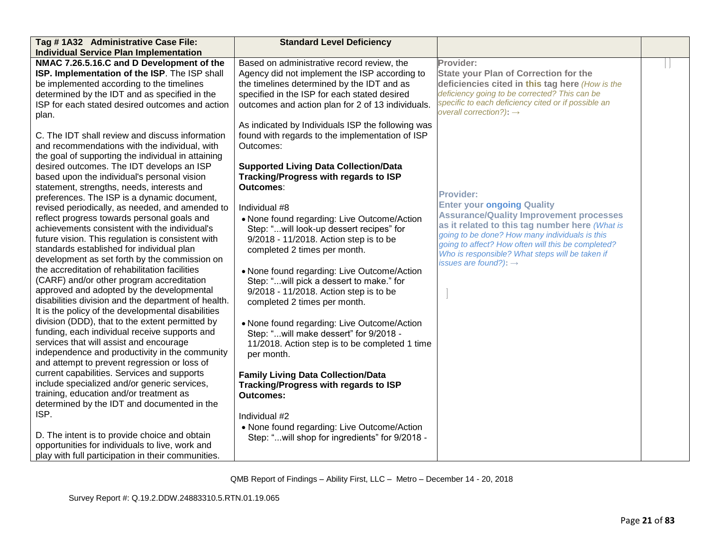| Tag # 1A32 Administrative Case File:                | <b>Standard Level Deficiency</b>                  |                                                                                                       |  |
|-----------------------------------------------------|---------------------------------------------------|-------------------------------------------------------------------------------------------------------|--|
| <b>Individual Service Plan Implementation</b>       |                                                   |                                                                                                       |  |
| NMAC 7.26.5.16.C and D Development of the           | Based on administrative record review, the        | Provider:                                                                                             |  |
| ISP. Implementation of the ISP. The ISP shall       | Agency did not implement the ISP according to     | <b>State your Plan of Correction for the</b>                                                          |  |
| be implemented according to the timelines           | the timelines determined by the IDT and as        | deficiencies cited in this tag here (How is the                                                       |  |
| determined by the IDT and as specified in the       | specified in the ISP for each stated desired      | deficiency going to be corrected? This can be                                                         |  |
| ISP for each stated desired outcomes and action     | outcomes and action plan for 2 of 13 individuals. | specific to each deficiency cited or if possible an                                                   |  |
| plan.                                               |                                                   | overall correction?): $\rightarrow$                                                                   |  |
|                                                     | As indicated by Individuals ISP the following was |                                                                                                       |  |
| C. The IDT shall review and discuss information     | found with regards to the implementation of ISP   |                                                                                                       |  |
| and recommendations with the individual, with       | Outcomes:                                         |                                                                                                       |  |
| the goal of supporting the individual in attaining  |                                                   |                                                                                                       |  |
| desired outcomes. The IDT develops an ISP           | <b>Supported Living Data Collection/Data</b>      |                                                                                                       |  |
| based upon the individual's personal vision         | Tracking/Progress with regards to ISP             |                                                                                                       |  |
| statement, strengths, needs, interests and          | Outcomes:                                         |                                                                                                       |  |
| preferences. The ISP is a dynamic document,         |                                                   | <b>Provider:</b>                                                                                      |  |
| revised periodically, as needed, and amended to     | Individual #8                                     | <b>Enter your ongoing Quality</b>                                                                     |  |
| reflect progress towards personal goals and         | • None found regarding: Live Outcome/Action       | <b>Assurance/Quality Improvement processes</b>                                                        |  |
| achievements consistent with the individual's       | Step: "will look-up dessert recipes" for          | as it related to this tag number here (What is                                                        |  |
| future vision. This regulation is consistent with   | 9/2018 - 11/2018. Action step is to be            | going to be done? How many individuals is this                                                        |  |
| standards established for individual plan           | completed 2 times per month.                      | going to affect? How often will this be completed?<br>Who is responsible? What steps will be taken if |  |
| development as set forth by the commission on       |                                                   | issues are found?): $\rightarrow$                                                                     |  |
| the accreditation of rehabilitation facilities      | • None found regarding: Live Outcome/Action       |                                                                                                       |  |
| (CARF) and/or other program accreditation           | Step: "will pick a dessert to make." for          |                                                                                                       |  |
| approved and adopted by the developmental           | 9/2018 - 11/2018. Action step is to be            |                                                                                                       |  |
| disabilities division and the department of health. | completed 2 times per month.                      |                                                                                                       |  |
| It is the policy of the developmental disabilities  |                                                   |                                                                                                       |  |
| division (DDD), that to the extent permitted by     | • None found regarding: Live Outcome/Action       |                                                                                                       |  |
| funding, each individual receive supports and       | Step: "will make dessert" for 9/2018 -            |                                                                                                       |  |
| services that will assist and encourage             | 11/2018. Action step is to be completed 1 time    |                                                                                                       |  |
| independence and productivity in the community      | per month.                                        |                                                                                                       |  |
| and attempt to prevent regression or loss of        |                                                   |                                                                                                       |  |
| current capabilities. Services and supports         | <b>Family Living Data Collection/Data</b>         |                                                                                                       |  |
| include specialized and/or generic services,        | Tracking/Progress with regards to ISP             |                                                                                                       |  |
| training, education and/or treatment as             | <b>Outcomes:</b>                                  |                                                                                                       |  |
| determined by the IDT and documented in the         |                                                   |                                                                                                       |  |
| ISP.                                                | Individual #2                                     |                                                                                                       |  |
|                                                     | • None found regarding: Live Outcome/Action       |                                                                                                       |  |
| D. The intent is to provide choice and obtain       | Step: "will shop for ingredients" for 9/2018 -    |                                                                                                       |  |
| opportunities for individuals to live, work and     |                                                   |                                                                                                       |  |
| play with full participation in their communities.  |                                                   |                                                                                                       |  |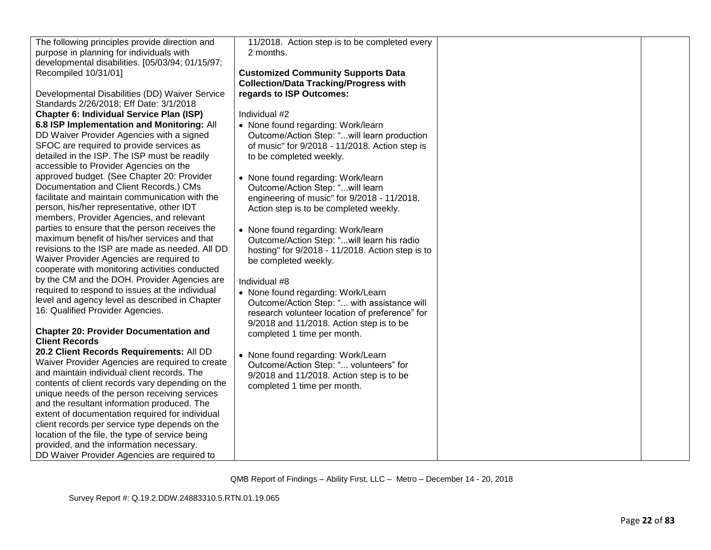| The following principles provide direction and                                                                                                | 11/2018. Action step is to be completed every    |  |
|-----------------------------------------------------------------------------------------------------------------------------------------------|--------------------------------------------------|--|
| purpose in planning for individuals with                                                                                                      | 2 months.                                        |  |
| developmental disabilities. [05/03/94; 01/15/97;                                                                                              |                                                  |  |
| Recompiled 10/31/01]                                                                                                                          | <b>Customized Community Supports Data</b>        |  |
|                                                                                                                                               | <b>Collection/Data Tracking/Progress with</b>    |  |
| Developmental Disabilities (DD) Waiver Service                                                                                                | regards to ISP Outcomes:                         |  |
| Standards 2/26/2018; Eff Date: 3/1/2018                                                                                                       |                                                  |  |
| <b>Chapter 6: Individual Service Plan (ISP)</b>                                                                                               | Individual #2                                    |  |
| 6.8 ISP Implementation and Monitoring: All                                                                                                    | • None found regarding: Work/learn               |  |
| DD Waiver Provider Agencies with a signed                                                                                                     | Outcome/Action Step: "will learn production      |  |
| SFOC are required to provide services as                                                                                                      | of music" for 9/2018 - 11/2018. Action step is   |  |
| detailed in the ISP. The ISP must be readily                                                                                                  | to be completed weekly.                          |  |
| accessible to Provider Agencies on the                                                                                                        |                                                  |  |
| approved budget. (See Chapter 20: Provider                                                                                                    | • None found regarding: Work/learn               |  |
| Documentation and Client Records.) CMs                                                                                                        | Outcome/Action Step: "will learn                 |  |
| facilitate and maintain communication with the                                                                                                | engineering of music" for 9/2018 - 11/2018.      |  |
| person, his/her representative, other IDT                                                                                                     | Action step is to be completed weekly.           |  |
| members, Provider Agencies, and relevant                                                                                                      |                                                  |  |
| parties to ensure that the person receives the                                                                                                | • None found regarding: Work/learn               |  |
| maximum benefit of his/her services and that                                                                                                  | Outcome/Action Step: "will learn his radio       |  |
| revisions to the ISP are made as needed. All DD                                                                                               | hosting" for 9/2018 - 11/2018. Action step is to |  |
| Waiver Provider Agencies are required to                                                                                                      | be completed weekly.                             |  |
| cooperate with monitoring activities conducted                                                                                                |                                                  |  |
| by the CM and the DOH. Provider Agencies are                                                                                                  | Individual #8                                    |  |
| required to respond to issues at the individual                                                                                               | • None found regarding: Work/Learn               |  |
| level and agency level as described in Chapter                                                                                                | Outcome/Action Step: " with assistance will      |  |
| 16: Qualified Provider Agencies.                                                                                                              | research volunteer location of preference" for   |  |
|                                                                                                                                               | 9/2018 and 11/2018. Action step is to be         |  |
| <b>Chapter 20: Provider Documentation and</b>                                                                                                 | completed 1 time per month.                      |  |
| <b>Client Records</b>                                                                                                                         |                                                  |  |
| 20.2 Client Records Requirements: All DD                                                                                                      |                                                  |  |
| Waiver Provider Agencies are required to create                                                                                               | • None found regarding: Work/Learn               |  |
| and maintain individual client records. The                                                                                                   | Outcome/Action Step: " volunteers" for           |  |
| contents of client records vary depending on the                                                                                              | 9/2018 and 11/2018. Action step is to be         |  |
| unique needs of the person receiving services                                                                                                 | completed 1 time per month.                      |  |
| and the resultant information produced. The                                                                                                   |                                                  |  |
| extent of documentation required for individual                                                                                               |                                                  |  |
|                                                                                                                                               |                                                  |  |
|                                                                                                                                               |                                                  |  |
|                                                                                                                                               |                                                  |  |
|                                                                                                                                               |                                                  |  |
| client records per service type depends on the<br>location of the file, the type of service being<br>provided, and the information necessary. |                                                  |  |
| DD Waiver Provider Agencies are required to                                                                                                   |                                                  |  |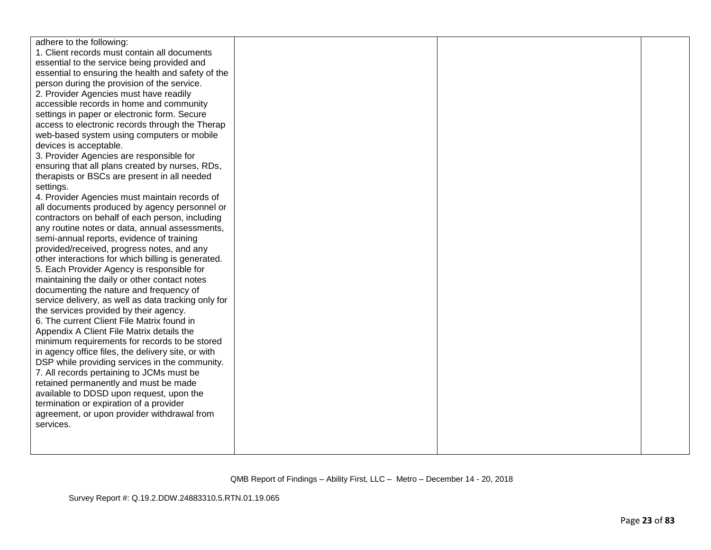| adhere to the following:                            |  |  |
|-----------------------------------------------------|--|--|
| 1. Client records must contain all documents        |  |  |
| essential to the service being provided and         |  |  |
| essential to ensuring the health and safety of the  |  |  |
| person during the provision of the service.         |  |  |
| 2. Provider Agencies must have readily              |  |  |
| accessible records in home and community            |  |  |
| settings in paper or electronic form. Secure        |  |  |
| access to electronic records through the Therap     |  |  |
| web-based system using computers or mobile          |  |  |
| devices is acceptable.                              |  |  |
| 3. Provider Agencies are responsible for            |  |  |
| ensuring that all plans created by nurses, RDs,     |  |  |
| therapists or BSCs are present in all needed        |  |  |
| settings.                                           |  |  |
| 4. Provider Agencies must maintain records of       |  |  |
| all documents produced by agency personnel or       |  |  |
| contractors on behalf of each person, including     |  |  |
| any routine notes or data, annual assessments,      |  |  |
| semi-annual reports, evidence of training           |  |  |
| provided/received, progress notes, and any          |  |  |
| other interactions for which billing is generated.  |  |  |
| 5. Each Provider Agency is responsible for          |  |  |
| maintaining the daily or other contact notes        |  |  |
| documenting the nature and frequency of             |  |  |
| service delivery, as well as data tracking only for |  |  |
| the services provided by their agency.              |  |  |
| 6. The current Client File Matrix found in          |  |  |
| Appendix A Client File Matrix details the           |  |  |
| minimum requirements for records to be stored       |  |  |
| in agency office files, the delivery site, or with  |  |  |
| DSP while providing services in the community.      |  |  |
| 7. All records pertaining to JCMs must be           |  |  |
| retained permanently and must be made               |  |  |
| available to DDSD upon request, upon the            |  |  |
| termination or expiration of a provider             |  |  |
| agreement, or upon provider withdrawal from         |  |  |
| services.                                           |  |  |
|                                                     |  |  |
|                                                     |  |  |
|                                                     |  |  |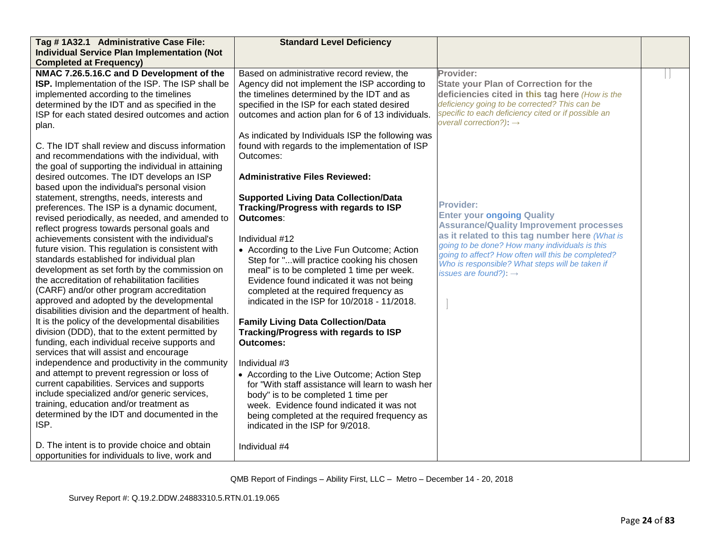| Tag # 1A32.1 Administrative Case File:                                                                                                                                                                                                                                                                                                                                                                                                                                                                                                                                                                                                                                                                                                                                                                                                                                                                                                                                                                                                                                                                                                                                                                                                                                                                                                                                                                                                                                                                                                                                                                                   | <b>Standard Level Deficiency</b>                                                                                                                                                                                                                                                                                                                                                                                                                                                                                                                                                                                                                                                                                                                                                                                                                                                                                                                                                                                                                                                                                                                                                                                             |                                                                                                                                                                                                                                                                                                                                                                                                                                                                                                                                                                                                                          |  |
|--------------------------------------------------------------------------------------------------------------------------------------------------------------------------------------------------------------------------------------------------------------------------------------------------------------------------------------------------------------------------------------------------------------------------------------------------------------------------------------------------------------------------------------------------------------------------------------------------------------------------------------------------------------------------------------------------------------------------------------------------------------------------------------------------------------------------------------------------------------------------------------------------------------------------------------------------------------------------------------------------------------------------------------------------------------------------------------------------------------------------------------------------------------------------------------------------------------------------------------------------------------------------------------------------------------------------------------------------------------------------------------------------------------------------------------------------------------------------------------------------------------------------------------------------------------------------------------------------------------------------|------------------------------------------------------------------------------------------------------------------------------------------------------------------------------------------------------------------------------------------------------------------------------------------------------------------------------------------------------------------------------------------------------------------------------------------------------------------------------------------------------------------------------------------------------------------------------------------------------------------------------------------------------------------------------------------------------------------------------------------------------------------------------------------------------------------------------------------------------------------------------------------------------------------------------------------------------------------------------------------------------------------------------------------------------------------------------------------------------------------------------------------------------------------------------------------------------------------------------|--------------------------------------------------------------------------------------------------------------------------------------------------------------------------------------------------------------------------------------------------------------------------------------------------------------------------------------------------------------------------------------------------------------------------------------------------------------------------------------------------------------------------------------------------------------------------------------------------------------------------|--|
| <b>Individual Service Plan Implementation (Not</b>                                                                                                                                                                                                                                                                                                                                                                                                                                                                                                                                                                                                                                                                                                                                                                                                                                                                                                                                                                                                                                                                                                                                                                                                                                                                                                                                                                                                                                                                                                                                                                       |                                                                                                                                                                                                                                                                                                                                                                                                                                                                                                                                                                                                                                                                                                                                                                                                                                                                                                                                                                                                                                                                                                                                                                                                                              |                                                                                                                                                                                                                                                                                                                                                                                                                                                                                                                                                                                                                          |  |
| <b>Completed at Frequency)</b>                                                                                                                                                                                                                                                                                                                                                                                                                                                                                                                                                                                                                                                                                                                                                                                                                                                                                                                                                                                                                                                                                                                                                                                                                                                                                                                                                                                                                                                                                                                                                                                           |                                                                                                                                                                                                                                                                                                                                                                                                                                                                                                                                                                                                                                                                                                                                                                                                                                                                                                                                                                                                                                                                                                                                                                                                                              |                                                                                                                                                                                                                                                                                                                                                                                                                                                                                                                                                                                                                          |  |
| NMAC 7.26.5.16.C and D Development of the<br>ISP. Implementation of the ISP. The ISP shall be<br>implemented according to the timelines<br>determined by the IDT and as specified in the<br>ISP for each stated desired outcomes and action<br>plan.<br>C. The IDT shall review and discuss information<br>and recommendations with the individual, with<br>the goal of supporting the individual in attaining<br>desired outcomes. The IDT develops an ISP<br>based upon the individual's personal vision<br>statement, strengths, needs, interests and<br>preferences. The ISP is a dynamic document,<br>revised periodically, as needed, and amended to<br>reflect progress towards personal goals and<br>achievements consistent with the individual's<br>future vision. This regulation is consistent with<br>standards established for individual plan<br>development as set forth by the commission on<br>the accreditation of rehabilitation facilities<br>(CARF) and/or other program accreditation<br>approved and adopted by the developmental<br>disabilities division and the department of health.<br>It is the policy of the developmental disabilities<br>division (DDD), that to the extent permitted by<br>funding, each individual receive supports and<br>services that will assist and encourage<br>independence and productivity in the community<br>and attempt to prevent regression or loss of<br>current capabilities. Services and supports<br>include specialized and/or generic services,<br>training, education and/or treatment as<br>determined by the IDT and documented in the<br>ISP. | Based on administrative record review, the<br>Agency did not implement the ISP according to<br>the timelines determined by the IDT and as<br>specified in the ISP for each stated desired<br>outcomes and action plan for 6 of 13 individuals.<br>As indicated by Individuals ISP the following was<br>found with regards to the implementation of ISP<br>Outcomes:<br><b>Administrative Files Reviewed:</b><br><b>Supported Living Data Collection/Data</b><br>Tracking/Progress with regards to ISP<br>Outcomes:<br>Individual #12<br>• According to the Live Fun Outcome; Action<br>Step for "will practice cooking his chosen<br>meal" is to be completed 1 time per week.<br>Evidence found indicated it was not being<br>completed at the required frequency as<br>indicated in the ISP for 10/2018 - 11/2018.<br><b>Family Living Data Collection/Data</b><br>Tracking/Progress with regards to ISP<br><b>Outcomes:</b><br>Individual #3<br>• According to the Live Outcome; Action Step<br>for "With staff assistance will learn to wash her<br>body" is to be completed 1 time per<br>week. Evidence found indicated it was not<br>being completed at the required frequency as<br>indicated in the ISP for 9/2018. | Provider:<br><b>State your Plan of Correction for the</b><br>deficiencies cited in this tag here (How is the<br>deficiency going to be corrected? This can be<br>specific to each deficiency cited or if possible an<br>overall correction?): $\rightarrow$<br><b>Provider:</b><br><b>Enter your ongoing Quality</b><br><b>Assurance/Quality Improvement processes</b><br>as it related to this tag number here (What is<br>going to be done? How many individuals is this<br>going to affect? How often will this be completed?<br>Who is responsible? What steps will be taken if<br>issues are found?): $\rightarrow$ |  |
| D. The intent is to provide choice and obtain<br>opportunities for individuals to live, work and                                                                                                                                                                                                                                                                                                                                                                                                                                                                                                                                                                                                                                                                                                                                                                                                                                                                                                                                                                                                                                                                                                                                                                                                                                                                                                                                                                                                                                                                                                                         | Individual #4                                                                                                                                                                                                                                                                                                                                                                                                                                                                                                                                                                                                                                                                                                                                                                                                                                                                                                                                                                                                                                                                                                                                                                                                                |                                                                                                                                                                                                                                                                                                                                                                                                                                                                                                                                                                                                                          |  |
|                                                                                                                                                                                                                                                                                                                                                                                                                                                                                                                                                                                                                                                                                                                                                                                                                                                                                                                                                                                                                                                                                                                                                                                                                                                                                                                                                                                                                                                                                                                                                                                                                          |                                                                                                                                                                                                                                                                                                                                                                                                                                                                                                                                                                                                                                                                                                                                                                                                                                                                                                                                                                                                                                                                                                                                                                                                                              |                                                                                                                                                                                                                                                                                                                                                                                                                                                                                                                                                                                                                          |  |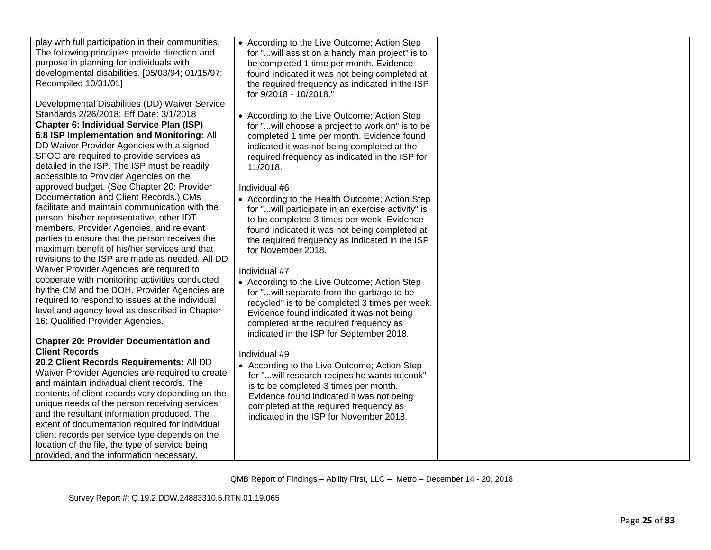| • According to the Live Outcome; Action Step<br>for "will assist on a handy man project" is to<br>be completed 1 time per month. Evidence<br>found indicated it was not being completed at<br>the required frequency as indicated in the ISP<br>for 9/2018 - 10/2018."                          |  |
|-------------------------------------------------------------------------------------------------------------------------------------------------------------------------------------------------------------------------------------------------------------------------------------------------|--|
| • According to the Live Outcome; Action Step<br>for "will choose a project to work on" is to be<br>completed 1 time per month. Evidence found<br>indicated it was not being completed at the<br>required frequency as indicated in the ISP for<br>11/2018.                                      |  |
| Individual #6<br>• According to the Health Outcome; Action Step<br>for "will participate in an exercise activity" is<br>to be completed 3 times per week. Evidence<br>found indicated it was not being completed at<br>the required frequency as indicated in the ISP<br>for November 2018.     |  |
| Individual #7<br>• According to the Live Outcome; Action Step<br>for "will separate from the garbage to be<br>recycled" is to be completed 3 times per week.<br>Evidence found indicated it was not being<br>completed at the required frequency as<br>indicated in the ISP for September 2018. |  |
| Individual #9<br>• According to the Live Outcome; Action Step<br>for "will research recipes he wants to cook"<br>is to be completed 3 times per month.<br>Evidence found indicated it was not being<br>completed at the required frequency as<br>indicated in the ISP for November 2018.        |  |
|                                                                                                                                                                                                                                                                                                 |  |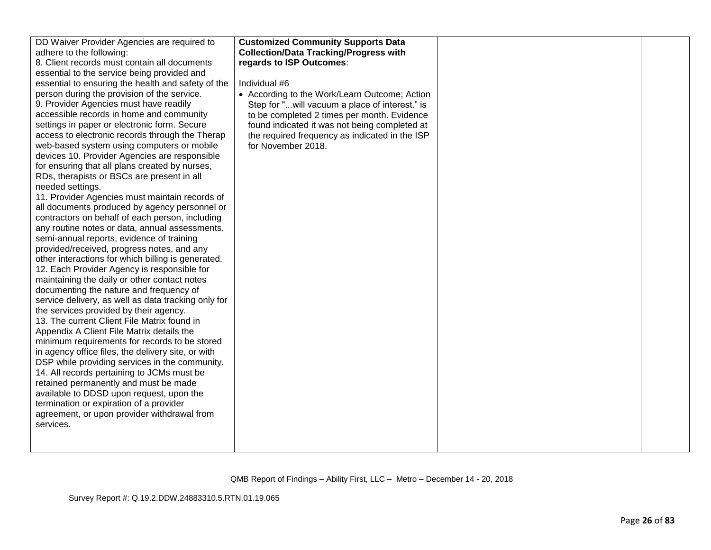| DD Waiver Provider Agencies are required to<br>adhere to the following:<br>8. Client records must contain all documents<br>essential to the service being provided and<br>essential to ensuring the health and safety of the<br>person during the provision of the service.<br>9. Provider Agencies must have readily<br>accessible records in home and community<br>settings in paper or electronic form. Secure<br>access to electronic records through the Therap<br>web-based system using computers or mobile<br>devices 10. Provider Agencies are responsible<br>for ensuring that all plans created by nurses,<br>RDs, therapists or BSCs are present in all<br>needed settings.<br>11. Provider Agencies must maintain records of<br>all documents produced by agency personnel or<br>contractors on behalf of each person, including<br>any routine notes or data, annual assessments,<br>semi-annual reports, evidence of training<br>provided/received, progress notes, and any<br>other interactions for which billing is generated.<br>12. Each Provider Agency is responsible for<br>maintaining the daily or other contact notes<br>documenting the nature and frequency of<br>service delivery, as well as data tracking only for<br>the services provided by their agency.<br>13. The current Client File Matrix found in<br>Appendix A Client File Matrix details the<br>minimum requirements for records to be stored<br>in agency office files, the delivery site, or with<br>DSP while providing services in the community.<br>14. All records pertaining to JCMs must be<br>retained permanently and must be made<br>available to DDSD upon request, upon the<br>termination or expiration of a provider<br>agreement, or upon provider withdrawal from<br>services. | <b>Customized Community Supports Data</b><br><b>Collection/Data Tracking/Progress with</b><br>regards to ISP Outcomes:<br>Individual #6<br>• According to the Work/Learn Outcome; Action<br>Step for "will vacuum a place of interest." is<br>to be completed 2 times per month. Evidence<br>found indicated it was not being completed at<br>the required frequency as indicated in the ISP<br>for November 2018. |  |  |
|--------------------------------------------------------------------------------------------------------------------------------------------------------------------------------------------------------------------------------------------------------------------------------------------------------------------------------------------------------------------------------------------------------------------------------------------------------------------------------------------------------------------------------------------------------------------------------------------------------------------------------------------------------------------------------------------------------------------------------------------------------------------------------------------------------------------------------------------------------------------------------------------------------------------------------------------------------------------------------------------------------------------------------------------------------------------------------------------------------------------------------------------------------------------------------------------------------------------------------------------------------------------------------------------------------------------------------------------------------------------------------------------------------------------------------------------------------------------------------------------------------------------------------------------------------------------------------------------------------------------------------------------------------------------------------------------------------------------------------------------------------------------------------------------|--------------------------------------------------------------------------------------------------------------------------------------------------------------------------------------------------------------------------------------------------------------------------------------------------------------------------------------------------------------------------------------------------------------------|--|--|
|--------------------------------------------------------------------------------------------------------------------------------------------------------------------------------------------------------------------------------------------------------------------------------------------------------------------------------------------------------------------------------------------------------------------------------------------------------------------------------------------------------------------------------------------------------------------------------------------------------------------------------------------------------------------------------------------------------------------------------------------------------------------------------------------------------------------------------------------------------------------------------------------------------------------------------------------------------------------------------------------------------------------------------------------------------------------------------------------------------------------------------------------------------------------------------------------------------------------------------------------------------------------------------------------------------------------------------------------------------------------------------------------------------------------------------------------------------------------------------------------------------------------------------------------------------------------------------------------------------------------------------------------------------------------------------------------------------------------------------------------------------------------------------------------|--------------------------------------------------------------------------------------------------------------------------------------------------------------------------------------------------------------------------------------------------------------------------------------------------------------------------------------------------------------------------------------------------------------------|--|--|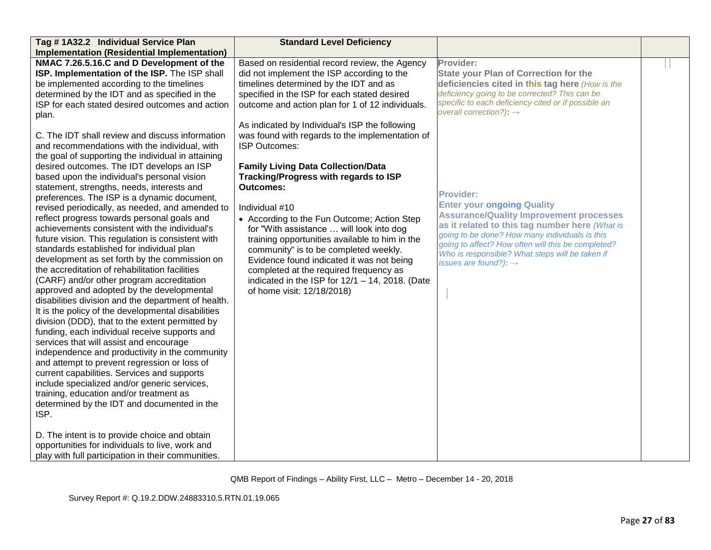| Tag # 1A32.2 Individual Service Plan                                                                                                                                                                                                                                                                                                                                                                                                                                                                                                                                                                                                                                                                                                                                                                                                                                                                                                                                                                                                                                                                                                                                                                                                                                                                                                                                                                                                                                                                                                                                                                                                                                      | <b>Standard Level Deficiency</b>                                                                                                                                                                                                                                                                                                                                                                                                                                                                                                                                                                                                                                                                                                                                                                                                                                     |                                                                                                                                                                                                                                                                                                                                                                                                                                                                                                                                                                                                                          |  |
|---------------------------------------------------------------------------------------------------------------------------------------------------------------------------------------------------------------------------------------------------------------------------------------------------------------------------------------------------------------------------------------------------------------------------------------------------------------------------------------------------------------------------------------------------------------------------------------------------------------------------------------------------------------------------------------------------------------------------------------------------------------------------------------------------------------------------------------------------------------------------------------------------------------------------------------------------------------------------------------------------------------------------------------------------------------------------------------------------------------------------------------------------------------------------------------------------------------------------------------------------------------------------------------------------------------------------------------------------------------------------------------------------------------------------------------------------------------------------------------------------------------------------------------------------------------------------------------------------------------------------------------------------------------------------|----------------------------------------------------------------------------------------------------------------------------------------------------------------------------------------------------------------------------------------------------------------------------------------------------------------------------------------------------------------------------------------------------------------------------------------------------------------------------------------------------------------------------------------------------------------------------------------------------------------------------------------------------------------------------------------------------------------------------------------------------------------------------------------------------------------------------------------------------------------------|--------------------------------------------------------------------------------------------------------------------------------------------------------------------------------------------------------------------------------------------------------------------------------------------------------------------------------------------------------------------------------------------------------------------------------------------------------------------------------------------------------------------------------------------------------------------------------------------------------------------------|--|
| <b>Implementation (Residential Implementation)</b>                                                                                                                                                                                                                                                                                                                                                                                                                                                                                                                                                                                                                                                                                                                                                                                                                                                                                                                                                                                                                                                                                                                                                                                                                                                                                                                                                                                                                                                                                                                                                                                                                        |                                                                                                                                                                                                                                                                                                                                                                                                                                                                                                                                                                                                                                                                                                                                                                                                                                                                      |                                                                                                                                                                                                                                                                                                                                                                                                                                                                                                                                                                                                                          |  |
| NMAC 7.26.5.16.C and D Development of the<br>ISP. Implementation of the ISP. The ISP shall<br>be implemented according to the timelines<br>determined by the IDT and as specified in the<br>ISP for each stated desired outcomes and action<br>plan.<br>C. The IDT shall review and discuss information<br>and recommendations with the individual, with<br>the goal of supporting the individual in attaining<br>desired outcomes. The IDT develops an ISP<br>based upon the individual's personal vision<br>statement, strengths, needs, interests and<br>preferences. The ISP is a dynamic document,<br>revised periodically, as needed, and amended to<br>reflect progress towards personal goals and<br>achievements consistent with the individual's<br>future vision. This regulation is consistent with<br>standards established for individual plan<br>development as set forth by the commission on<br>the accreditation of rehabilitation facilities<br>(CARF) and/or other program accreditation<br>approved and adopted by the developmental<br>disabilities division and the department of health.<br>It is the policy of the developmental disabilities<br>division (DDD), that to the extent permitted by<br>funding, each individual receive supports and<br>services that will assist and encourage<br>independence and productivity in the community<br>and attempt to prevent regression or loss of<br>current capabilities. Services and supports<br>include specialized and/or generic services,<br>training, education and/or treatment as<br>determined by the IDT and documented in the<br>ISP.<br>D. The intent is to provide choice and obtain | Based on residential record review, the Agency<br>did not implement the ISP according to the<br>timelines determined by the IDT and as<br>specified in the ISP for each stated desired<br>outcome and action plan for 1 of 12 individuals.<br>As indicated by Individual's ISP the following<br>was found with regards to the implementation of<br><b>ISP Outcomes:</b><br><b>Family Living Data Collection/Data</b><br>Tracking/Progress with regards to ISP<br><b>Outcomes:</b><br>Individual #10<br>• According to the Fun Outcome; Action Step<br>for "With assistance  will look into dog<br>training opportunities available to him in the<br>community" is to be completed weekly.<br>Evidence found indicated it was not being<br>completed at the required frequency as<br>indicated in the ISP for $12/1 - 14$ , 2018. (Date<br>of home visit: 12/18/2018) | Provider:<br><b>State your Plan of Correction for the</b><br>deficiencies cited in this tag here (How is the<br>deficiency going to be corrected? This can be<br>specific to each deficiency cited or if possible an<br>overall correction?): $\rightarrow$<br><b>Provider:</b><br><b>Enter your ongoing Quality</b><br><b>Assurance/Quality Improvement processes</b><br>as it related to this tag number here (What is<br>going to be done? How many individuals is this<br>going to affect? How often will this be completed?<br>Who is responsible? What steps will be taken if<br>issues are found?): $\rightarrow$ |  |
| opportunities for individuals to live, work and                                                                                                                                                                                                                                                                                                                                                                                                                                                                                                                                                                                                                                                                                                                                                                                                                                                                                                                                                                                                                                                                                                                                                                                                                                                                                                                                                                                                                                                                                                                                                                                                                           |                                                                                                                                                                                                                                                                                                                                                                                                                                                                                                                                                                                                                                                                                                                                                                                                                                                                      |                                                                                                                                                                                                                                                                                                                                                                                                                                                                                                                                                                                                                          |  |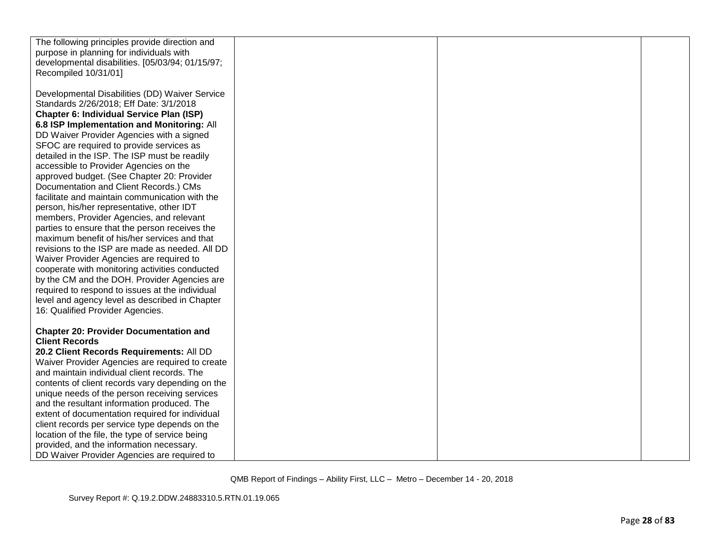| The following principles provide direction and   |  |  |
|--------------------------------------------------|--|--|
| purpose in planning for individuals with         |  |  |
| developmental disabilities. [05/03/94; 01/15/97; |  |  |
| Recompiled 10/31/01]                             |  |  |
|                                                  |  |  |
| Developmental Disabilities (DD) Waiver Service   |  |  |
| Standards 2/26/2018; Eff Date: 3/1/2018          |  |  |
| <b>Chapter 6: Individual Service Plan (ISP)</b>  |  |  |
| 6.8 ISP Implementation and Monitoring: All       |  |  |
| DD Waiver Provider Agencies with a signed        |  |  |
| SFOC are required to provide services as         |  |  |
| detailed in the ISP. The ISP must be readily     |  |  |
| accessible to Provider Agencies on the           |  |  |
| approved budget. (See Chapter 20: Provider       |  |  |
| Documentation and Client Records.) CMs           |  |  |
| facilitate and maintain communication with the   |  |  |
| person, his/her representative, other IDT        |  |  |
| members, Provider Agencies, and relevant         |  |  |
| parties to ensure that the person receives the   |  |  |
| maximum benefit of his/her services and that     |  |  |
| revisions to the ISP are made as needed. All DD  |  |  |
| Waiver Provider Agencies are required to         |  |  |
| cooperate with monitoring activities conducted   |  |  |
| by the CM and the DOH. Provider Agencies are     |  |  |
| required to respond to issues at the individual  |  |  |
| level and agency level as described in Chapter   |  |  |
| 16: Qualified Provider Agencies.                 |  |  |
|                                                  |  |  |
| <b>Chapter 20: Provider Documentation and</b>    |  |  |
| <b>Client Records</b>                            |  |  |
| 20.2 Client Records Requirements: All DD         |  |  |
| Waiver Provider Agencies are required to create  |  |  |
| and maintain individual client records. The      |  |  |
| contents of client records vary depending on the |  |  |
| unique needs of the person receiving services    |  |  |
| and the resultant information produced. The      |  |  |
| extent of documentation required for individual  |  |  |
| client records per service type depends on the   |  |  |
| location of the file, the type of service being  |  |  |
| provided, and the information necessary.         |  |  |
| DD Waiver Provider Agencies are required to      |  |  |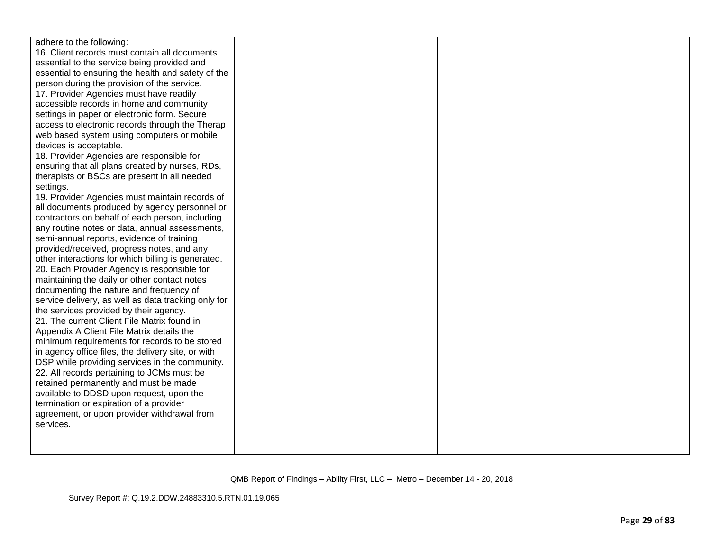| adhere to the following:                            |  |  |
|-----------------------------------------------------|--|--|
| 16. Client records must contain all documents       |  |  |
| essential to the service being provided and         |  |  |
| essential to ensuring the health and safety of the  |  |  |
| person during the provision of the service.         |  |  |
| 17. Provider Agencies must have readily             |  |  |
| accessible records in home and community            |  |  |
| settings in paper or electronic form. Secure        |  |  |
| access to electronic records through the Therap     |  |  |
| web based system using computers or mobile          |  |  |
| devices is acceptable.                              |  |  |
| 18. Provider Agencies are responsible for           |  |  |
| ensuring that all plans created by nurses, RDs,     |  |  |
| therapists or BSCs are present in all needed        |  |  |
| settings.                                           |  |  |
| 19. Provider Agencies must maintain records of      |  |  |
| all documents produced by agency personnel or       |  |  |
| contractors on behalf of each person, including     |  |  |
| any routine notes or data, annual assessments,      |  |  |
| semi-annual reports, evidence of training           |  |  |
| provided/received, progress notes, and any          |  |  |
| other interactions for which billing is generated.  |  |  |
| 20. Each Provider Agency is responsible for         |  |  |
| maintaining the daily or other contact notes        |  |  |
| documenting the nature and frequency of             |  |  |
| service delivery, as well as data tracking only for |  |  |
| the services provided by their agency.              |  |  |
| 21. The current Client File Matrix found in         |  |  |
| Appendix A Client File Matrix details the           |  |  |
| minimum requirements for records to be stored       |  |  |
| in agency office files, the delivery site, or with  |  |  |
| DSP while providing services in the community.      |  |  |
| 22. All records pertaining to JCMs must be          |  |  |
| retained permanently and must be made               |  |  |
| available to DDSD upon request, upon the            |  |  |
| termination or expiration of a provider             |  |  |
| agreement, or upon provider withdrawal from         |  |  |
| services.                                           |  |  |
|                                                     |  |  |
|                                                     |  |  |
|                                                     |  |  |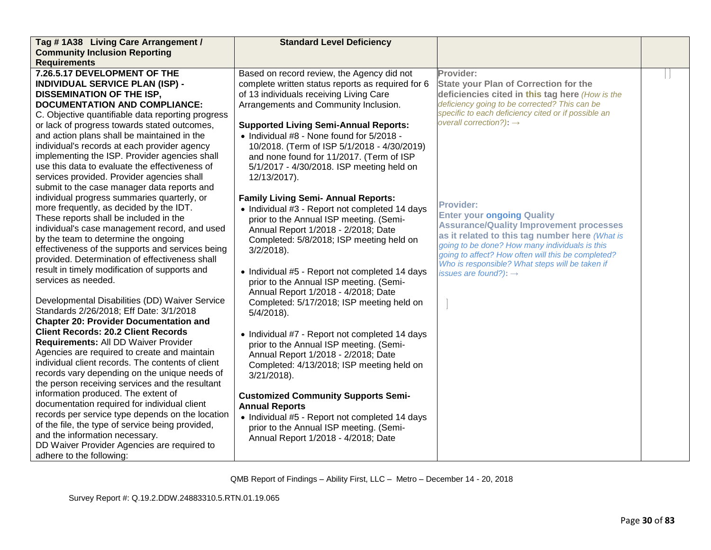| Tag #1A38 Living Care Arrangement /               | <b>Standard Level Deficiency</b>                  |                                                                                                      |  |
|---------------------------------------------------|---------------------------------------------------|------------------------------------------------------------------------------------------------------|--|
| <b>Community Inclusion Reporting</b>              |                                                   |                                                                                                      |  |
| <b>Requirements</b>                               |                                                   |                                                                                                      |  |
| 7.26.5.17 DEVELOPMENT OF THE                      | Based on record review, the Agency did not        | Provider:                                                                                            |  |
| <b>INDIVIDUAL SERVICE PLAN (ISP) -</b>            | complete written status reports as required for 6 | <b>State your Plan of Correction for the</b>                                                         |  |
| <b>DISSEMINATION OF THE ISP,</b>                  | of 13 individuals receiving Living Care           | deficiencies cited in this tag here (How is the                                                      |  |
| <b>DOCUMENTATION AND COMPLIANCE:</b>              | Arrangements and Community Inclusion.             | deficiency going to be corrected? This can be                                                        |  |
| C. Objective quantifiable data reporting progress |                                                   | specific to each deficiency cited or if possible an                                                  |  |
| or lack of progress towards stated outcomes,      | <b>Supported Living Semi-Annual Reports:</b>      | overall correction?): $\rightarrow$                                                                  |  |
| and action plans shall be maintained in the       | • Individual #8 - None found for 5/2018 -         |                                                                                                      |  |
| individual's records at each provider agency      | 10/2018. (Term of ISP 5/1/2018 - 4/30/2019)       |                                                                                                      |  |
| implementing the ISP. Provider agencies shall     | and none found for 11/2017. (Term of ISP          |                                                                                                      |  |
| use this data to evaluate the effectiveness of    | 5/1/2017 - 4/30/2018. ISP meeting held on         |                                                                                                      |  |
| services provided. Provider agencies shall        | 12/13/2017).                                      |                                                                                                      |  |
| submit to the case manager data reports and       |                                                   |                                                                                                      |  |
| individual progress summaries quarterly, or       | <b>Family Living Semi- Annual Reports:</b>        |                                                                                                      |  |
| more frequently, as decided by the IDT.           | • Individual #3 - Report not completed 14 days    | <b>Provider:</b>                                                                                     |  |
| These reports shall be included in the            | prior to the Annual ISP meeting. (Semi-           | <b>Enter your ongoing Quality</b>                                                                    |  |
| individual's case management record, and used     | Annual Report 1/2018 - 2/2018; Date               | <b>Assurance/Quality Improvement processes</b>                                                       |  |
| by the team to determine the ongoing              | Completed: 5/8/2018; ISP meeting held on          | as it related to this tag number here (What is                                                       |  |
| effectiveness of the supports and services being  | $3/2/2018$ ).                                     | going to be done? How many individuals is this<br>going to affect? How often will this be completed? |  |
| provided. Determination of effectiveness shall    |                                                   | Who is responsible? What steps will be taken if                                                      |  |
| result in timely modification of supports and     | • Individual #5 - Report not completed 14 days    | issues are found?): $\rightarrow$                                                                    |  |
| services as needed.                               | prior to the Annual ISP meeting. (Semi-           |                                                                                                      |  |
|                                                   | Annual Report 1/2018 - 4/2018; Date               |                                                                                                      |  |
| Developmental Disabilities (DD) Waiver Service    | Completed: 5/17/2018; ISP meeting held on         |                                                                                                      |  |
| Standards 2/26/2018; Eff Date: 3/1/2018           | $5/4/2018$ ).                                     |                                                                                                      |  |
| <b>Chapter 20: Provider Documentation and</b>     |                                                   |                                                                                                      |  |
| <b>Client Records: 20.2 Client Records</b>        | • Individual #7 - Report not completed 14 days    |                                                                                                      |  |
| Requirements: All DD Waiver Provider              | prior to the Annual ISP meeting. (Semi-           |                                                                                                      |  |
| Agencies are required to create and maintain      | Annual Report 1/2018 - 2/2018; Date               |                                                                                                      |  |
| individual client records. The contents of client | Completed: 4/13/2018; ISP meeting held on         |                                                                                                      |  |
| records vary depending on the unique needs of     | $3/21/2018$ ).                                    |                                                                                                      |  |
| the person receiving services and the resultant   |                                                   |                                                                                                      |  |
| information produced. The extent of               | <b>Customized Community Supports Semi-</b>        |                                                                                                      |  |
| documentation required for individual client      | <b>Annual Reports</b>                             |                                                                                                      |  |
| records per service type depends on the location  | • Individual #5 - Report not completed 14 days    |                                                                                                      |  |
| of the file, the type of service being provided,  | prior to the Annual ISP meeting. (Semi-           |                                                                                                      |  |
| and the information necessary.                    | Annual Report 1/2018 - 4/2018; Date               |                                                                                                      |  |
| DD Waiver Provider Agencies are required to       |                                                   |                                                                                                      |  |
| adhere to the following:                          |                                                   |                                                                                                      |  |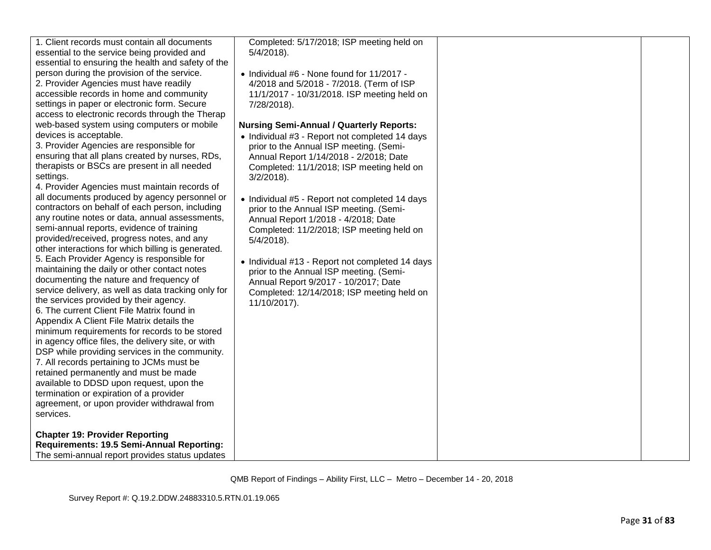| 1. Client records must contain all documents<br>essential to the service being provided and<br>essential to ensuring the health and safety of the<br>person during the provision of the service.<br>2. Provider Agencies must have readily<br>accessible records in home and community<br>settings in paper or electronic form. Secure<br>access to electronic records through the Therap<br>web-based system using computers or mobile<br>devices is acceptable.<br>3. Provider Agencies are responsible for<br>ensuring that all plans created by nurses, RDs,<br>therapists or BSCs are present in all needed<br>settings.<br>4. Provider Agencies must maintain records of<br>all documents produced by agency personnel or<br>contractors on behalf of each person, including<br>any routine notes or data, annual assessments,<br>semi-annual reports, evidence of training<br>provided/received, progress notes, and any<br>other interactions for which billing is generated.<br>5. Each Provider Agency is responsible for<br>maintaining the daily or other contact notes<br>documenting the nature and frequency of<br>service delivery, as well as data tracking only for<br>the services provided by their agency.<br>6. The current Client File Matrix found in<br>Appendix A Client File Matrix details the<br>minimum requirements for records to be stored<br>in agency office files, the delivery site, or with<br>DSP while providing services in the community.<br>7. All records pertaining to JCMs must be | Completed: 5/17/2018; ISP meeting held on<br>$5/4/2018$ ).<br>• Individual #6 - None found for 11/2017 -<br>4/2018 and 5/2018 - 7/2018. (Term of ISP<br>11/1/2017 - 10/31/2018. ISP meeting held on<br>7/28/2018).<br><b>Nursing Semi-Annual / Quarterly Reports:</b><br>• Individual #3 - Report not completed 14 days<br>prior to the Annual ISP meeting. (Semi-<br>Annual Report 1/14/2018 - 2/2018; Date<br>Completed: 11/1/2018; ISP meeting held on<br>$3/2/2018$ ).<br>• Individual #5 - Report not completed 14 days<br>prior to the Annual ISP meeting. (Semi-<br>Annual Report 1/2018 - 4/2018; Date<br>Completed: 11/2/2018; ISP meeting held on<br>$5/4/2018$ ).<br>• Individual #13 - Report not completed 14 days<br>prior to the Annual ISP meeting. (Semi-<br>Annual Report 9/2017 - 10/2017; Date<br>Completed: 12/14/2018; ISP meeting held on<br>11/10/2017). |  |
|----------------------------------------------------------------------------------------------------------------------------------------------------------------------------------------------------------------------------------------------------------------------------------------------------------------------------------------------------------------------------------------------------------------------------------------------------------------------------------------------------------------------------------------------------------------------------------------------------------------------------------------------------------------------------------------------------------------------------------------------------------------------------------------------------------------------------------------------------------------------------------------------------------------------------------------------------------------------------------------------------------------------------------------------------------------------------------------------------------------------------------------------------------------------------------------------------------------------------------------------------------------------------------------------------------------------------------------------------------------------------------------------------------------------------------------------------------------------------------------------------------------------------------|----------------------------------------------------------------------------------------------------------------------------------------------------------------------------------------------------------------------------------------------------------------------------------------------------------------------------------------------------------------------------------------------------------------------------------------------------------------------------------------------------------------------------------------------------------------------------------------------------------------------------------------------------------------------------------------------------------------------------------------------------------------------------------------------------------------------------------------------------------------------------------|--|
|                                                                                                                                                                                                                                                                                                                                                                                                                                                                                                                                                                                                                                                                                                                                                                                                                                                                                                                                                                                                                                                                                                                                                                                                                                                                                                                                                                                                                                                                                                                                  |                                                                                                                                                                                                                                                                                                                                                                                                                                                                                                                                                                                                                                                                                                                                                                                                                                                                                  |  |
| retained permanently and must be made<br>available to DDSD upon request, upon the<br>termination or expiration of a provider<br>agreement, or upon provider withdrawal from<br>services.                                                                                                                                                                                                                                                                                                                                                                                                                                                                                                                                                                                                                                                                                                                                                                                                                                                                                                                                                                                                                                                                                                                                                                                                                                                                                                                                         |                                                                                                                                                                                                                                                                                                                                                                                                                                                                                                                                                                                                                                                                                                                                                                                                                                                                                  |  |
| <b>Chapter 19: Provider Reporting</b><br>Requirements: 19.5 Semi-Annual Reporting:<br>The semi-annual report provides status updates                                                                                                                                                                                                                                                                                                                                                                                                                                                                                                                                                                                                                                                                                                                                                                                                                                                                                                                                                                                                                                                                                                                                                                                                                                                                                                                                                                                             |                                                                                                                                                                                                                                                                                                                                                                                                                                                                                                                                                                                                                                                                                                                                                                                                                                                                                  |  |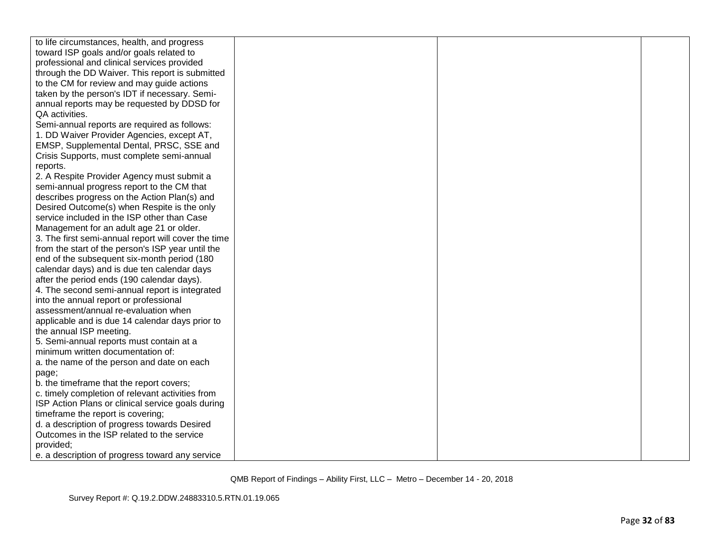| to life circumstances, health, and progress         |  |  |
|-----------------------------------------------------|--|--|
| toward ISP goals and/or goals related to            |  |  |
| professional and clinical services provided         |  |  |
| through the DD Waiver. This report is submitted     |  |  |
| to the CM for review and may guide actions          |  |  |
| taken by the person's IDT if necessary. Semi-       |  |  |
| annual reports may be requested by DDSD for         |  |  |
| QA activities.                                      |  |  |
| Semi-annual reports are required as follows:        |  |  |
| 1. DD Waiver Provider Agencies, except AT,          |  |  |
| EMSP, Supplemental Dental, PRSC, SSE and            |  |  |
| Crisis Supports, must complete semi-annual          |  |  |
| reports.                                            |  |  |
| 2. A Respite Provider Agency must submit a          |  |  |
| semi-annual progress report to the CM that          |  |  |
| describes progress on the Action Plan(s) and        |  |  |
| Desired Outcome(s) when Respite is the only         |  |  |
| service included in the ISP other than Case         |  |  |
| Management for an adult age 21 or older.            |  |  |
| 3. The first semi-annual report will cover the time |  |  |
| from the start of the person's ISP year until the   |  |  |
| end of the subsequent six-month period (180         |  |  |
| calendar days) and is due ten calendar days         |  |  |
| after the period ends (190 calendar days).          |  |  |
| 4. The second semi-annual report is integrated      |  |  |
| into the annual report or professional              |  |  |
| assessment/annual re-evaluation when                |  |  |
| applicable and is due 14 calendar days prior to     |  |  |
| the annual ISP meeting.                             |  |  |
| 5. Semi-annual reports must contain at a            |  |  |
| minimum written documentation of:                   |  |  |
| a. the name of the person and date on each          |  |  |
| page;                                               |  |  |
| b. the timeframe that the report covers;            |  |  |
| c. timely completion of relevant activities from    |  |  |
| ISP Action Plans or clinical service goals during   |  |  |
| timeframe the report is covering;                   |  |  |
| d. a description of progress towards Desired        |  |  |
| Outcomes in the ISP related to the service          |  |  |
| provided;                                           |  |  |
| e. a description of progress toward any service     |  |  |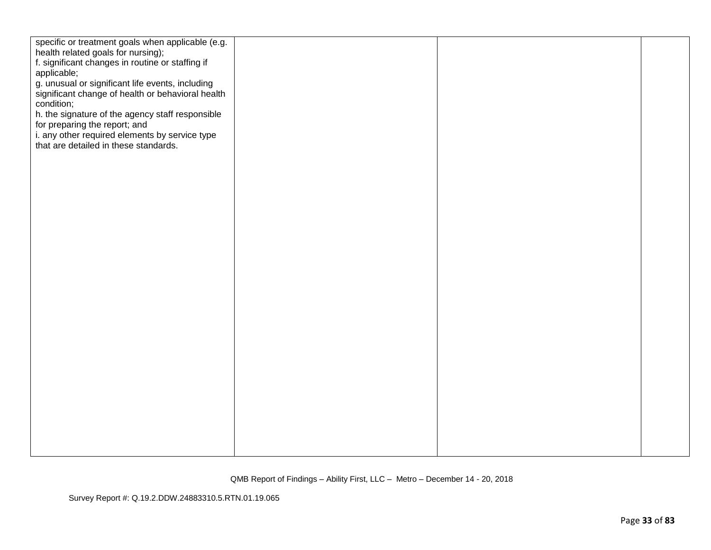| specific or treatment goals when applicable (e.g. |  |  |
|---------------------------------------------------|--|--|
| health related goals for nursing);                |  |  |
| f. significant changes in routine or staffing if  |  |  |
| applicable;                                       |  |  |
| g. unusual or significant life events, including  |  |  |
| significant change of health or behavioral health |  |  |
| condition;                                        |  |  |
| h. the signature of the agency staff responsible  |  |  |
| for preparing the report; and                     |  |  |
| i. any other required elements by service type    |  |  |
| that are detailed in these standards.             |  |  |
|                                                   |  |  |
|                                                   |  |  |
|                                                   |  |  |
|                                                   |  |  |
|                                                   |  |  |
|                                                   |  |  |
|                                                   |  |  |
|                                                   |  |  |
|                                                   |  |  |
|                                                   |  |  |
|                                                   |  |  |
|                                                   |  |  |
|                                                   |  |  |
|                                                   |  |  |
|                                                   |  |  |
|                                                   |  |  |
|                                                   |  |  |
|                                                   |  |  |
|                                                   |  |  |
|                                                   |  |  |
|                                                   |  |  |
|                                                   |  |  |
|                                                   |  |  |
|                                                   |  |  |
|                                                   |  |  |
|                                                   |  |  |
|                                                   |  |  |
|                                                   |  |  |
|                                                   |  |  |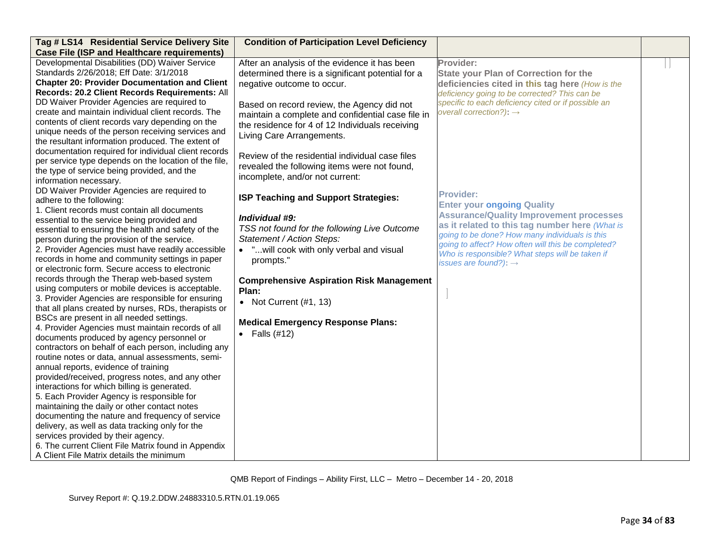| Tag # LS14 Residential Service Delivery Site                                                                                                                                                                                                                                                                                                                                                                                                                                                                                                                                                                                                                                                                                                                                                                                                                                                                                                                                                                                                                                                                                                                                                                                                                                                                               | <b>Condition of Participation Level Deficiency</b>                                                                                                                                                                                                                                                                                                                                                                                                                                                                                                                                                                                                                                                                                                |                                                                                                                                                                                                                                                                                                                                                                                                                                                                                                                                                                                                                          |  |
|----------------------------------------------------------------------------------------------------------------------------------------------------------------------------------------------------------------------------------------------------------------------------------------------------------------------------------------------------------------------------------------------------------------------------------------------------------------------------------------------------------------------------------------------------------------------------------------------------------------------------------------------------------------------------------------------------------------------------------------------------------------------------------------------------------------------------------------------------------------------------------------------------------------------------------------------------------------------------------------------------------------------------------------------------------------------------------------------------------------------------------------------------------------------------------------------------------------------------------------------------------------------------------------------------------------------------|---------------------------------------------------------------------------------------------------------------------------------------------------------------------------------------------------------------------------------------------------------------------------------------------------------------------------------------------------------------------------------------------------------------------------------------------------------------------------------------------------------------------------------------------------------------------------------------------------------------------------------------------------------------------------------------------------------------------------------------------------|--------------------------------------------------------------------------------------------------------------------------------------------------------------------------------------------------------------------------------------------------------------------------------------------------------------------------------------------------------------------------------------------------------------------------------------------------------------------------------------------------------------------------------------------------------------------------------------------------------------------------|--|
| <b>Case File (ISP and Healthcare requirements)</b>                                                                                                                                                                                                                                                                                                                                                                                                                                                                                                                                                                                                                                                                                                                                                                                                                                                                                                                                                                                                                                                                                                                                                                                                                                                                         |                                                                                                                                                                                                                                                                                                                                                                                                                                                                                                                                                                                                                                                                                                                                                   |                                                                                                                                                                                                                                                                                                                                                                                                                                                                                                                                                                                                                          |  |
| Developmental Disabilities (DD) Waiver Service<br>Standards 2/26/2018; Eff Date: 3/1/2018<br><b>Chapter 20: Provider Documentation and Client</b><br>Records: 20.2 Client Records Requirements: All<br>DD Waiver Provider Agencies are required to<br>create and maintain individual client records. The<br>contents of client records vary depending on the<br>unique needs of the person receiving services and<br>the resultant information produced. The extent of<br>documentation required for individual client records<br>per service type depends on the location of the file,<br>the type of service being provided, and the<br>information necessary.<br>DD Waiver Provider Agencies are required to<br>adhere to the following:<br>1. Client records must contain all documents<br>essential to the service being provided and<br>essential to ensuring the health and safety of the<br>person during the provision of the service.<br>2. Provider Agencies must have readily accessible<br>records in home and community settings in paper<br>or electronic form. Secure access to electronic<br>records through the Therap web-based system<br>using computers or mobile devices is acceptable.<br>3. Provider Agencies are responsible for ensuring<br>that all plans created by nurses, RDs, therapists or | After an analysis of the evidence it has been<br>determined there is a significant potential for a<br>negative outcome to occur.<br>Based on record review, the Agency did not<br>maintain a complete and confidential case file in<br>the residence for 4 of 12 Individuals receiving<br>Living Care Arrangements.<br>Review of the residential individual case files<br>revealed the following items were not found,<br>incomplete, and/or not current:<br>ISP Teaching and Support Strategies:<br>Individual #9:<br>TSS not found for the following Live Outcome<br>Statement / Action Steps:<br>• "will cook with only verbal and visual<br>prompts."<br><b>Comprehensive Aspiration Risk Management</b><br>Plan:<br>• Not Current $(H1, 13)$ | Provider:<br><b>State your Plan of Correction for the</b><br>deficiencies cited in this tag here (How is the<br>deficiency going to be corrected? This can be<br>specific to each deficiency cited or if possible an<br>overall correction?): $\rightarrow$<br><b>Provider:</b><br><b>Enter your ongoing Quality</b><br><b>Assurance/Quality Improvement processes</b><br>as it related to this tag number here (What is<br>going to be done? How many individuals is this<br>going to affect? How often will this be completed?<br>Who is responsible? What steps will be taken if<br>issues are found?): $\rightarrow$ |  |
| BSCs are present in all needed settings.<br>4. Provider Agencies must maintain records of all<br>documents produced by agency personnel or<br>contractors on behalf of each person, including any<br>routine notes or data, annual assessments, semi-<br>annual reports, evidence of training<br>provided/received, progress notes, and any other<br>interactions for which billing is generated.<br>5. Each Provider Agency is responsible for<br>maintaining the daily or other contact notes<br>documenting the nature and frequency of service<br>delivery, as well as data tracking only for the<br>services provided by their agency.<br>6. The current Client File Matrix found in Appendix<br>A Client File Matrix details the minimum                                                                                                                                                                                                                                                                                                                                                                                                                                                                                                                                                                             | <b>Medical Emergency Response Plans:</b><br>$\bullet$ Falls (#12)                                                                                                                                                                                                                                                                                                                                                                                                                                                                                                                                                                                                                                                                                 |                                                                                                                                                                                                                                                                                                                                                                                                                                                                                                                                                                                                                          |  |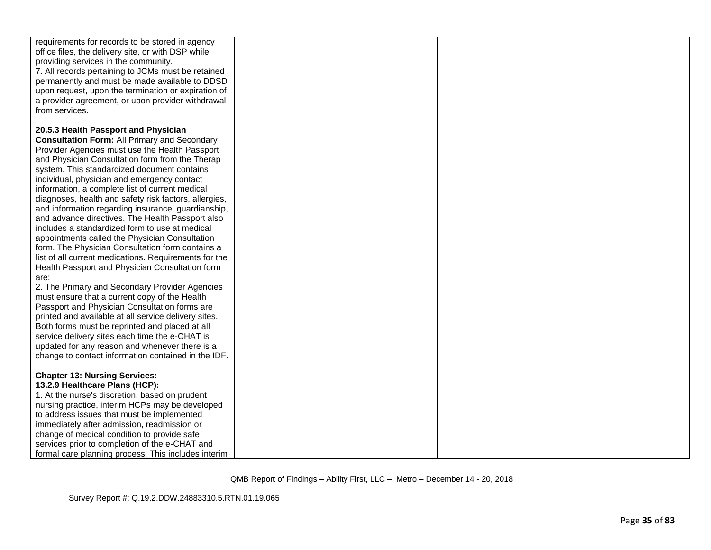| requirements for records to be stored in agency<br>office files, the delivery site, or with DSP while<br>providing services in the community.<br>7. All records pertaining to JCMs must be retained<br>permanently and must be made available to DDSD<br>upon request, upon the termination or expiration of<br>a provider agreement, or upon provider withdrawal<br>from services. |  |  |
|-------------------------------------------------------------------------------------------------------------------------------------------------------------------------------------------------------------------------------------------------------------------------------------------------------------------------------------------------------------------------------------|--|--|
| 20.5.3 Health Passport and Physician                                                                                                                                                                                                                                                                                                                                                |  |  |
|                                                                                                                                                                                                                                                                                                                                                                                     |  |  |
| <b>Consultation Form: All Primary and Secondary</b>                                                                                                                                                                                                                                                                                                                                 |  |  |
| Provider Agencies must use the Health Passport                                                                                                                                                                                                                                                                                                                                      |  |  |
| and Physician Consultation form from the Therap                                                                                                                                                                                                                                                                                                                                     |  |  |
| system. This standardized document contains                                                                                                                                                                                                                                                                                                                                         |  |  |
| individual, physician and emergency contact                                                                                                                                                                                                                                                                                                                                         |  |  |
| information, a complete list of current medical<br>diagnoses, health and safety risk factors, allergies,                                                                                                                                                                                                                                                                            |  |  |
| and information regarding insurance, guardianship,                                                                                                                                                                                                                                                                                                                                  |  |  |
| and advance directives. The Health Passport also                                                                                                                                                                                                                                                                                                                                    |  |  |
| includes a standardized form to use at medical                                                                                                                                                                                                                                                                                                                                      |  |  |
| appointments called the Physician Consultation                                                                                                                                                                                                                                                                                                                                      |  |  |
| form. The Physician Consultation form contains a                                                                                                                                                                                                                                                                                                                                    |  |  |
| list of all current medications. Requirements for the                                                                                                                                                                                                                                                                                                                               |  |  |
| Health Passport and Physician Consultation form                                                                                                                                                                                                                                                                                                                                     |  |  |
| are:                                                                                                                                                                                                                                                                                                                                                                                |  |  |
| 2. The Primary and Secondary Provider Agencies                                                                                                                                                                                                                                                                                                                                      |  |  |
| must ensure that a current copy of the Health                                                                                                                                                                                                                                                                                                                                       |  |  |
| Passport and Physician Consultation forms are                                                                                                                                                                                                                                                                                                                                       |  |  |
| printed and available at all service delivery sites.                                                                                                                                                                                                                                                                                                                                |  |  |
| Both forms must be reprinted and placed at all                                                                                                                                                                                                                                                                                                                                      |  |  |
| service delivery sites each time the e-CHAT is                                                                                                                                                                                                                                                                                                                                      |  |  |
| updated for any reason and whenever there is a                                                                                                                                                                                                                                                                                                                                      |  |  |
| change to contact information contained in the IDF.                                                                                                                                                                                                                                                                                                                                 |  |  |
| <b>Chapter 13: Nursing Services:</b>                                                                                                                                                                                                                                                                                                                                                |  |  |
| 13.2.9 Healthcare Plans (HCP):                                                                                                                                                                                                                                                                                                                                                      |  |  |
| 1. At the nurse's discretion, based on prudent                                                                                                                                                                                                                                                                                                                                      |  |  |
| nursing practice, interim HCPs may be developed                                                                                                                                                                                                                                                                                                                                     |  |  |
| to address issues that must be implemented                                                                                                                                                                                                                                                                                                                                          |  |  |
| immediately after admission, readmission or                                                                                                                                                                                                                                                                                                                                         |  |  |
| change of medical condition to provide safe                                                                                                                                                                                                                                                                                                                                         |  |  |
| services prior to completion of the e-CHAT and                                                                                                                                                                                                                                                                                                                                      |  |  |
| formal care planning process. This includes interim                                                                                                                                                                                                                                                                                                                                 |  |  |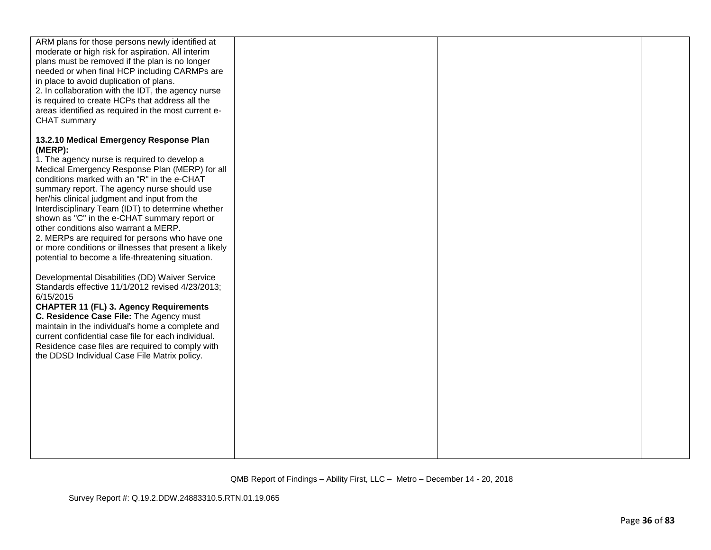| ARM plans for those persons newly identified at<br>moderate or high risk for aspiration. All interim<br>plans must be removed if the plan is no longer |  |  |
|--------------------------------------------------------------------------------------------------------------------------------------------------------|--|--|
| needed or when final HCP including CARMPs are                                                                                                          |  |  |
| in place to avoid duplication of plans.<br>2. In collaboration with the IDT, the agency nurse                                                          |  |  |
| is required to create HCPs that address all the<br>areas identified as required in the most current e-                                                 |  |  |
| CHAT summary                                                                                                                                           |  |  |
| 13.2.10 Medical Emergency Response Plan<br>(MERP):                                                                                                     |  |  |
| 1. The agency nurse is required to develop a                                                                                                           |  |  |
| Medical Emergency Response Plan (MERP) for all<br>conditions marked with an "R" in the e-CHAT                                                          |  |  |
| summary report. The agency nurse should use<br>her/his clinical judgment and input from the                                                            |  |  |
| Interdisciplinary Team (IDT) to determine whether                                                                                                      |  |  |
| shown as "C" in the e-CHAT summary report or<br>other conditions also warrant a MERP.                                                                  |  |  |
| 2. MERPs are required for persons who have one<br>or more conditions or illnesses that present a likely                                                |  |  |
| potential to become a life-threatening situation.                                                                                                      |  |  |
| Developmental Disabilities (DD) Waiver Service<br>Standards effective 11/1/2012 revised 4/23/2013;                                                     |  |  |
| 6/15/2015<br><b>CHAPTER 11 (FL) 3. Agency Requirements</b>                                                                                             |  |  |
| C. Residence Case File: The Agency must<br>maintain in the individual's home a complete and                                                            |  |  |
| current confidential case file for each individual.                                                                                                    |  |  |
| Residence case files are required to comply with<br>the DDSD Individual Case File Matrix policy.                                                       |  |  |
|                                                                                                                                                        |  |  |
|                                                                                                                                                        |  |  |
|                                                                                                                                                        |  |  |
|                                                                                                                                                        |  |  |
|                                                                                                                                                        |  |  |
|                                                                                                                                                        |  |  |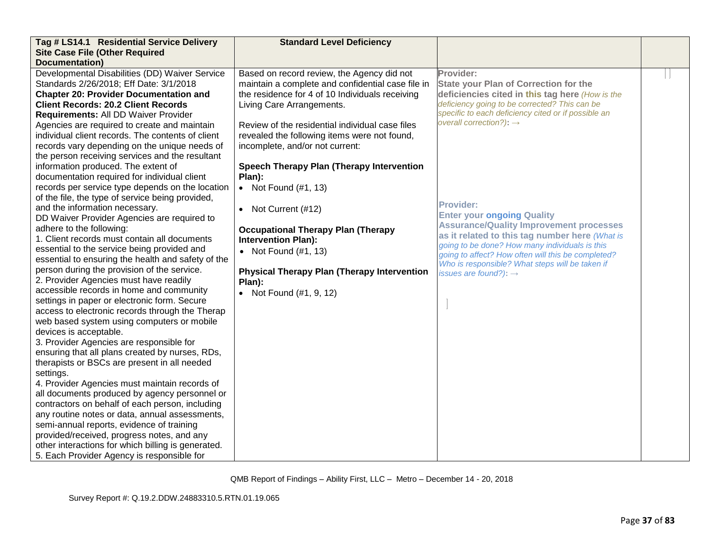| Tag # LS14.1 Residential Service Delivery          | <b>Standard Level Deficiency</b>                   |                                                                                                      |  |
|----------------------------------------------------|----------------------------------------------------|------------------------------------------------------------------------------------------------------|--|
| <b>Site Case File (Other Required</b>              |                                                    |                                                                                                      |  |
| <b>Documentation)</b>                              |                                                    |                                                                                                      |  |
| Developmental Disabilities (DD) Waiver Service     | Based on record review, the Agency did not         | Provider:                                                                                            |  |
| Standards 2/26/2018; Eff Date: 3/1/2018            | maintain a complete and confidential case file in  | <b>State your Plan of Correction for the</b>                                                         |  |
| <b>Chapter 20: Provider Documentation and</b>      | the residence for 4 of 10 Individuals receiving    | deficiencies cited in this tag here (How is the                                                      |  |
| <b>Client Records: 20.2 Client Records</b>         | Living Care Arrangements.                          | deficiency going to be corrected? This can be                                                        |  |
| Requirements: All DD Waiver Provider               |                                                    | specific to each deficiency cited or if possible an                                                  |  |
| Agencies are required to create and maintain       | Review of the residential individual case files    | overall correction?): $\rightarrow$                                                                  |  |
| individual client records. The contents of client  | revealed the following items were not found,       |                                                                                                      |  |
| records vary depending on the unique needs of      | incomplete, and/or not current:                    |                                                                                                      |  |
| the person receiving services and the resultant    |                                                    |                                                                                                      |  |
| information produced. The extent of                | <b>Speech Therapy Plan (Therapy Intervention</b>   |                                                                                                      |  |
| documentation required for individual client       | Plan):                                             |                                                                                                      |  |
| records per service type depends on the location   | • Not Found $(\#1, 13)$                            |                                                                                                      |  |
| of the file, the type of service being provided,   |                                                    |                                                                                                      |  |
| and the information necessary.                     | • Not Current (#12)                                | <b>Provider:</b>                                                                                     |  |
| DD Waiver Provider Agencies are required to        |                                                    | <b>Enter your ongoing Quality</b>                                                                    |  |
| adhere to the following:                           | <b>Occupational Therapy Plan (Therapy</b>          | <b>Assurance/Quality Improvement processes</b>                                                       |  |
| 1. Client records must contain all documents       | <b>Intervention Plan):</b>                         | as it related to this tag number here (What is                                                       |  |
| essential to the service being provided and        | • Not Found $(\#1, 13)$                            | going to be done? How many individuals is this<br>going to affect? How often will this be completed? |  |
| essential to ensuring the health and safety of the |                                                    | Who is responsible? What steps will be taken if                                                      |  |
| person during the provision of the service.        | <b>Physical Therapy Plan (Therapy Intervention</b> | issues are found?): $\rightarrow$                                                                    |  |
| 2. Provider Agencies must have readily             | Plan):                                             |                                                                                                      |  |
| accessible records in home and community           | • Not Found $(\#1, 9, 12)$                         |                                                                                                      |  |
| settings in paper or electronic form. Secure       |                                                    |                                                                                                      |  |
| access to electronic records through the Therap    |                                                    |                                                                                                      |  |
| web based system using computers or mobile         |                                                    |                                                                                                      |  |
| devices is acceptable.                             |                                                    |                                                                                                      |  |
| 3. Provider Agencies are responsible for           |                                                    |                                                                                                      |  |
| ensuring that all plans created by nurses, RDs,    |                                                    |                                                                                                      |  |
| therapists or BSCs are present in all needed       |                                                    |                                                                                                      |  |
| settings.                                          |                                                    |                                                                                                      |  |
| 4. Provider Agencies must maintain records of      |                                                    |                                                                                                      |  |
| all documents produced by agency personnel or      |                                                    |                                                                                                      |  |
| contractors on behalf of each person, including    |                                                    |                                                                                                      |  |
| any routine notes or data, annual assessments,     |                                                    |                                                                                                      |  |
| semi-annual reports, evidence of training          |                                                    |                                                                                                      |  |
| provided/received, progress notes, and any         |                                                    |                                                                                                      |  |
| other interactions for which billing is generated. |                                                    |                                                                                                      |  |
| 5. Each Provider Agency is responsible for         |                                                    |                                                                                                      |  |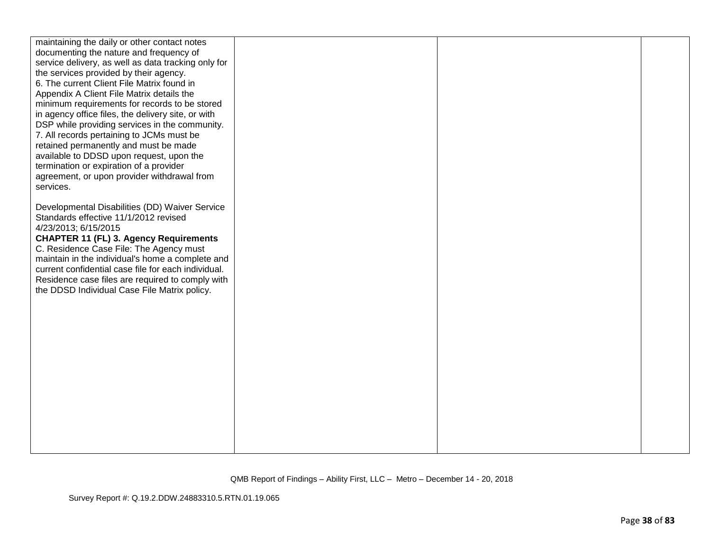| maintaining the daily or other contact notes<br>documenting the nature and frequency of<br>service delivery, as well as data tracking only for |  |  |
|------------------------------------------------------------------------------------------------------------------------------------------------|--|--|
| the services provided by their agency.<br>6. The current Client File Matrix found in                                                           |  |  |
| Appendix A Client File Matrix details the<br>minimum requirements for records to be stored                                                     |  |  |
| in agency office files, the delivery site, or with                                                                                             |  |  |
| DSP while providing services in the community.<br>7. All records pertaining to JCMs must be                                                    |  |  |
| retained permanently and must be made<br>available to DDSD upon request, upon the                                                              |  |  |
| termination or expiration of a provider                                                                                                        |  |  |
| agreement, or upon provider withdrawal from<br>services.                                                                                       |  |  |
|                                                                                                                                                |  |  |
| Developmental Disabilities (DD) Waiver Service<br>Standards effective 11/1/2012 revised                                                        |  |  |
| 4/23/2013; 6/15/2015<br><b>CHAPTER 11 (FL) 3. Agency Requirements</b>                                                                          |  |  |
| C. Residence Case File: The Agency must                                                                                                        |  |  |
| maintain in the individual's home a complete and<br>current confidential case file for each individual.                                        |  |  |
| Residence case files are required to comply with<br>the DDSD Individual Case File Matrix policy.                                               |  |  |
|                                                                                                                                                |  |  |
|                                                                                                                                                |  |  |
|                                                                                                                                                |  |  |
|                                                                                                                                                |  |  |
|                                                                                                                                                |  |  |
|                                                                                                                                                |  |  |
|                                                                                                                                                |  |  |
|                                                                                                                                                |  |  |
|                                                                                                                                                |  |  |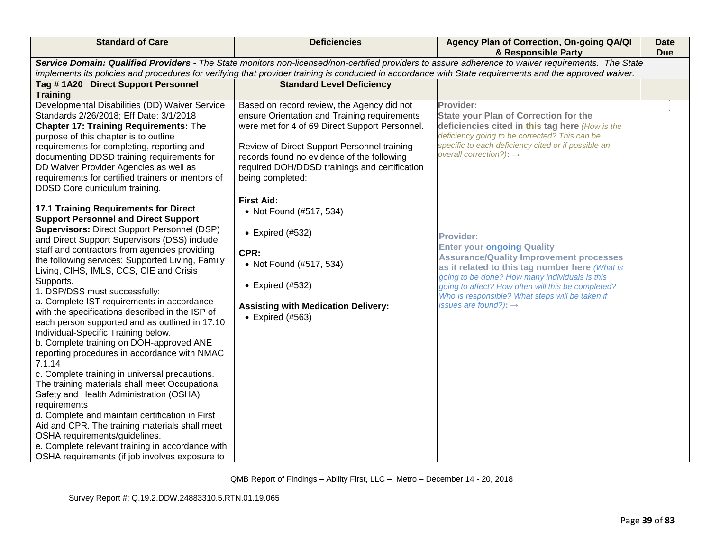| <b>Standard of Care</b>                                                                                                                                                                                                                                                                                                                                                                                                                                                                                                                                                                                                                                                                                                                                                                                                                                                                                                                                                                                                                                                                                                                                                                                                                                                                                                                                                                                                                                                                                                 | <b>Deficiencies</b>                                                                                                                                                                                                                                                                                                                                                                                                                                                                                                                 | Agency Plan of Correction, On-going QA/QI<br>& Responsible Party                                                                                                                                                                                                                                                                                                                                                                                                                                                                                                                                                         | <b>Date</b><br><b>Due</b> |
|-------------------------------------------------------------------------------------------------------------------------------------------------------------------------------------------------------------------------------------------------------------------------------------------------------------------------------------------------------------------------------------------------------------------------------------------------------------------------------------------------------------------------------------------------------------------------------------------------------------------------------------------------------------------------------------------------------------------------------------------------------------------------------------------------------------------------------------------------------------------------------------------------------------------------------------------------------------------------------------------------------------------------------------------------------------------------------------------------------------------------------------------------------------------------------------------------------------------------------------------------------------------------------------------------------------------------------------------------------------------------------------------------------------------------------------------------------------------------------------------------------------------------|-------------------------------------------------------------------------------------------------------------------------------------------------------------------------------------------------------------------------------------------------------------------------------------------------------------------------------------------------------------------------------------------------------------------------------------------------------------------------------------------------------------------------------------|--------------------------------------------------------------------------------------------------------------------------------------------------------------------------------------------------------------------------------------------------------------------------------------------------------------------------------------------------------------------------------------------------------------------------------------------------------------------------------------------------------------------------------------------------------------------------------------------------------------------------|---------------------------|
| Service Domain: Qualified Providers - The State monitors non-licensed/non-certified providers to assure adherence to waiver requirements. The State<br>implements its policies and procedures for verifying that provider training is conducted in accordance with State requirements and the approved waiver.                                                                                                                                                                                                                                                                                                                                                                                                                                                                                                                                                                                                                                                                                                                                                                                                                                                                                                                                                                                                                                                                                                                                                                                                          |                                                                                                                                                                                                                                                                                                                                                                                                                                                                                                                                     |                                                                                                                                                                                                                                                                                                                                                                                                                                                                                                                                                                                                                          |                           |
| Tag #1A20 Direct Support Personnel<br><b>Training</b>                                                                                                                                                                                                                                                                                                                                                                                                                                                                                                                                                                                                                                                                                                                                                                                                                                                                                                                                                                                                                                                                                                                                                                                                                                                                                                                                                                                                                                                                   | <b>Standard Level Deficiency</b>                                                                                                                                                                                                                                                                                                                                                                                                                                                                                                    |                                                                                                                                                                                                                                                                                                                                                                                                                                                                                                                                                                                                                          |                           |
| Developmental Disabilities (DD) Waiver Service<br>Standards 2/26/2018; Eff Date: 3/1/2018<br><b>Chapter 17: Training Requirements: The</b><br>purpose of this chapter is to outline<br>requirements for completing, reporting and<br>documenting DDSD training requirements for<br>DD Waiver Provider Agencies as well as<br>requirements for certified trainers or mentors of<br>DDSD Core curriculum training.<br>17.1 Training Requirements for Direct<br><b>Support Personnel and Direct Support</b><br><b>Supervisors: Direct Support Personnel (DSP)</b><br>and Direct Support Supervisors (DSS) include<br>staff and contractors from agencies providing<br>the following services: Supported Living, Family<br>Living, CIHS, IMLS, CCS, CIE and Crisis<br>Supports.<br>1. DSP/DSS must successfully:<br>a. Complete IST requirements in accordance<br>with the specifications described in the ISP of<br>each person supported and as outlined in 17.10<br>Individual-Specific Training below.<br>b. Complete training on DOH-approved ANE<br>reporting procedures in accordance with NMAC<br>7.1.14<br>c. Complete training in universal precautions.<br>The training materials shall meet Occupational<br>Safety and Health Administration (OSHA)<br>requirements<br>d. Complete and maintain certification in First<br>Aid and CPR. The training materials shall meet<br>OSHA requirements/guidelines.<br>e. Complete relevant training in accordance with<br>OSHA requirements (if job involves exposure to | Based on record review, the Agency did not<br>ensure Orientation and Training requirements<br>were met for 4 of 69 Direct Support Personnel.<br>Review of Direct Support Personnel training<br>records found no evidence of the following<br>required DOH/DDSD trainings and certification<br>being completed:<br><b>First Aid:</b><br>• Not Found (#517, 534)<br>$\bullet$ Expired (#532)<br>CPR:<br>• Not Found (#517, 534)<br>$\bullet$ Expired (#532)<br><b>Assisting with Medication Delivery:</b><br>$\bullet$ Expired (#563) | Provider:<br><b>State your Plan of Correction for the</b><br>deficiencies cited in this tag here (How is the<br>deficiency going to be corrected? This can be<br>specific to each deficiency cited or if possible an<br>overall correction?): $\rightarrow$<br><b>Provider:</b><br><b>Enter your ongoing Quality</b><br><b>Assurance/Quality Improvement processes</b><br>as it related to this tag number here (What is<br>going to be done? How many individuals is this<br>going to affect? How often will this be completed?<br>Who is responsible? What steps will be taken if<br>issues are found?): $\rightarrow$ |                           |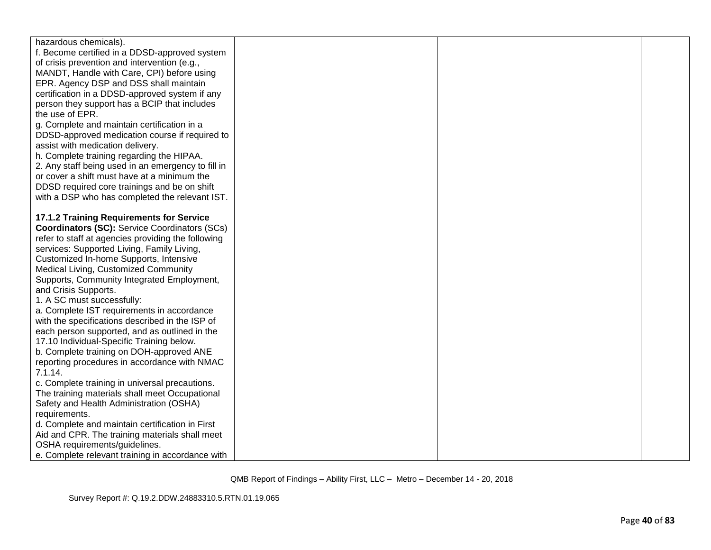| hazardous chemicals).                                |  |  |
|------------------------------------------------------|--|--|
| f. Become certified in a DDSD-approved system        |  |  |
| of crisis prevention and intervention (e.g.,         |  |  |
| MANDT, Handle with Care, CPI) before using           |  |  |
| EPR. Agency DSP and DSS shall maintain               |  |  |
| certification in a DDSD-approved system if any       |  |  |
| person they support has a BCIP that includes         |  |  |
| the use of EPR.                                      |  |  |
| g. Complete and maintain certification in a          |  |  |
| DDSD-approved medication course if required to       |  |  |
| assist with medication delivery.                     |  |  |
| h. Complete training regarding the HIPAA.            |  |  |
| 2. Any staff being used in an emergency to fill in   |  |  |
| or cover a shift must have at a minimum the          |  |  |
| DDSD required core trainings and be on shift         |  |  |
| with a DSP who has completed the relevant IST.       |  |  |
|                                                      |  |  |
| 17.1.2 Training Requirements for Service             |  |  |
| <b>Coordinators (SC):</b> Service Coordinators (SCs) |  |  |
| refer to staff at agencies providing the following   |  |  |
| services: Supported Living, Family Living,           |  |  |
| Customized In-home Supports, Intensive               |  |  |
| Medical Living, Customized Community                 |  |  |
| Supports, Community Integrated Employment,           |  |  |
| and Crisis Supports.                                 |  |  |
| 1. A SC must successfully:                           |  |  |
| a. Complete IST requirements in accordance           |  |  |
| with the specifications described in the ISP of      |  |  |
| each person supported, and as outlined in the        |  |  |
| 17.10 Individual-Specific Training below.            |  |  |
| b. Complete training on DOH-approved ANE             |  |  |
| reporting procedures in accordance with NMAC         |  |  |
| 7.1.14.                                              |  |  |
| c. Complete training in universal precautions.       |  |  |
| The training materials shall meet Occupational       |  |  |
| Safety and Health Administration (OSHA)              |  |  |
| requirements.                                        |  |  |
| d. Complete and maintain certification in First      |  |  |
| Aid and CPR. The training materials shall meet       |  |  |
| OSHA requirements/guidelines.                        |  |  |
| e. Complete relevant training in accordance with     |  |  |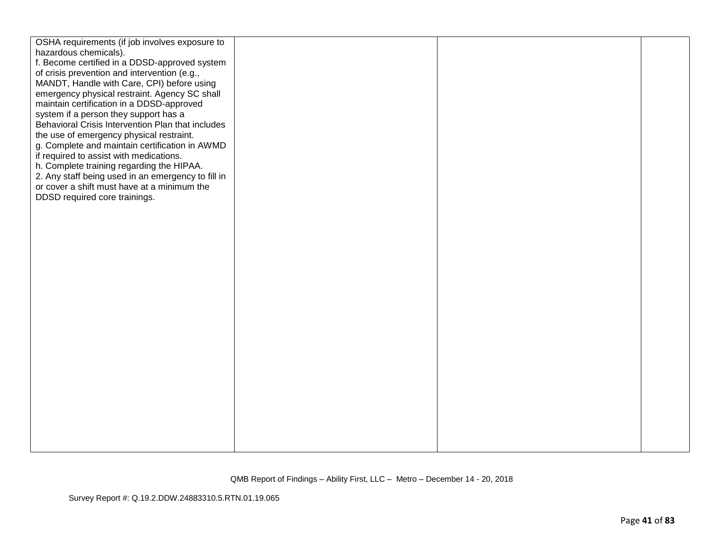| OSHA requirements (if job involves exposure to                                             |  |  |
|--------------------------------------------------------------------------------------------|--|--|
| hazardous chemicals).                                                                      |  |  |
| f. Become certified in a DDSD-approved system                                              |  |  |
| of crisis prevention and intervention (e.g.,                                               |  |  |
| MANDT, Handle with Care, CPI) before using                                                 |  |  |
| emergency physical restraint. Agency SC shall<br>maintain certification in a DDSD-approved |  |  |
| system if a person they support has a                                                      |  |  |
| Behavioral Crisis Intervention Plan that includes                                          |  |  |
| the use of emergency physical restraint.                                                   |  |  |
| g. Complete and maintain certification in AWMD                                             |  |  |
| if required to assist with medications.                                                    |  |  |
| h. Complete training regarding the HIPAA.                                                  |  |  |
| 2. Any staff being used in an emergency to fill in                                         |  |  |
| or cover a shift must have at a minimum the                                                |  |  |
| DDSD required core trainings.                                                              |  |  |
|                                                                                            |  |  |
|                                                                                            |  |  |
|                                                                                            |  |  |
|                                                                                            |  |  |
|                                                                                            |  |  |
|                                                                                            |  |  |
|                                                                                            |  |  |
|                                                                                            |  |  |
|                                                                                            |  |  |
|                                                                                            |  |  |
|                                                                                            |  |  |
|                                                                                            |  |  |
|                                                                                            |  |  |
|                                                                                            |  |  |
|                                                                                            |  |  |
|                                                                                            |  |  |
|                                                                                            |  |  |
|                                                                                            |  |  |
|                                                                                            |  |  |
|                                                                                            |  |  |
|                                                                                            |  |  |
|                                                                                            |  |  |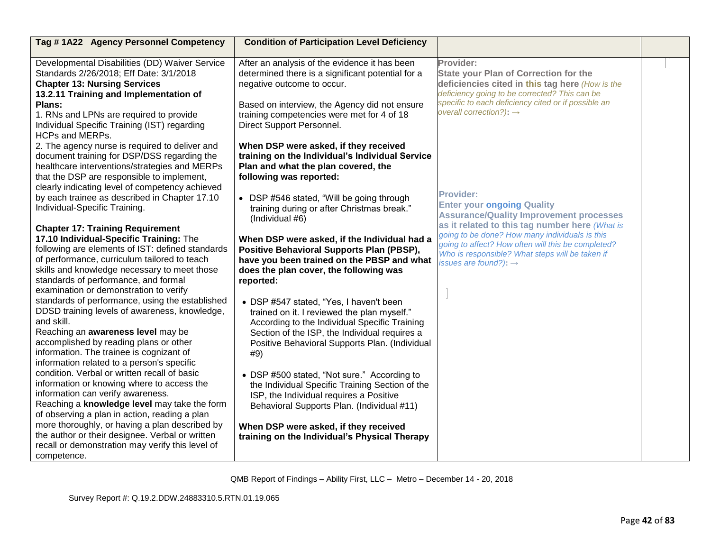| Tag #1A22 Agency Personnel Competency                                                                                                                                                                                                                                                                                                                                                                                                                                                                                                                                                                                                                                                                                                                                                                                                                                                                                                                                                                                                                                                                                                                                                                                                                                                                                                                                                                                                                                                                                                                        | <b>Condition of Participation Level Deficiency</b>                                                                                                                                                                                                                                                                                                                                                                                                                                                                                                                                                                                                                                                                                                                                                                                                                                                                                                                                                                                                                                                                                                                                                                                         |                                                                                                                                                                                                                                                                                                                                                                                                                                                                                                                                                                                                                          |  |
|--------------------------------------------------------------------------------------------------------------------------------------------------------------------------------------------------------------------------------------------------------------------------------------------------------------------------------------------------------------------------------------------------------------------------------------------------------------------------------------------------------------------------------------------------------------------------------------------------------------------------------------------------------------------------------------------------------------------------------------------------------------------------------------------------------------------------------------------------------------------------------------------------------------------------------------------------------------------------------------------------------------------------------------------------------------------------------------------------------------------------------------------------------------------------------------------------------------------------------------------------------------------------------------------------------------------------------------------------------------------------------------------------------------------------------------------------------------------------------------------------------------------------------------------------------------|--------------------------------------------------------------------------------------------------------------------------------------------------------------------------------------------------------------------------------------------------------------------------------------------------------------------------------------------------------------------------------------------------------------------------------------------------------------------------------------------------------------------------------------------------------------------------------------------------------------------------------------------------------------------------------------------------------------------------------------------------------------------------------------------------------------------------------------------------------------------------------------------------------------------------------------------------------------------------------------------------------------------------------------------------------------------------------------------------------------------------------------------------------------------------------------------------------------------------------------------|--------------------------------------------------------------------------------------------------------------------------------------------------------------------------------------------------------------------------------------------------------------------------------------------------------------------------------------------------------------------------------------------------------------------------------------------------------------------------------------------------------------------------------------------------------------------------------------------------------------------------|--|
| Developmental Disabilities (DD) Waiver Service<br>Standards 2/26/2018; Eff Date: 3/1/2018<br><b>Chapter 13: Nursing Services</b><br>13.2.11 Training and Implementation of<br>Plans:<br>1. RNs and LPNs are required to provide<br>Individual Specific Training (IST) regarding<br><b>HCPs and MERPs.</b><br>2. The agency nurse is required to deliver and<br>document training for DSP/DSS regarding the<br>healthcare interventions/strategies and MERPs<br>that the DSP are responsible to implement,<br>clearly indicating level of competency achieved<br>by each trainee as described in Chapter 17.10<br>Individual-Specific Training.<br><b>Chapter 17: Training Requirement</b><br>17.10 Individual-Specific Training: The<br>following are elements of IST: defined standards<br>of performance, curriculum tailored to teach<br>skills and knowledge necessary to meet those<br>standards of performance, and formal<br>examination or demonstration to verify<br>standards of performance, using the established<br>DDSD training levels of awareness, knowledge,<br>and skill.<br>Reaching an awareness level may be<br>accomplished by reading plans or other<br>information. The trainee is cognizant of<br>information related to a person's specific<br>condition. Verbal or written recall of basic<br>information or knowing where to access the<br>information can verify awareness.<br>Reaching a knowledge level may take the form<br>of observing a plan in action, reading a plan<br>more thoroughly, or having a plan described by | After an analysis of the evidence it has been<br>determined there is a significant potential for a<br>negative outcome to occur.<br>Based on interview, the Agency did not ensure<br>training competencies were met for 4 of 18<br>Direct Support Personnel.<br>When DSP were asked, if they received<br>training on the Individual's Individual Service<br>Plan and what the plan covered, the<br>following was reported:<br>• DSP #546 stated, "Will be going through<br>training during or after Christmas break."<br>(Individual #6)<br>When DSP were asked, if the Individual had a<br><b>Positive Behavioral Supports Plan (PBSP),</b><br>have you been trained on the PBSP and what<br>does the plan cover, the following was<br>reported:<br>• DSP #547 stated, "Yes, I haven't been<br>trained on it. I reviewed the plan myself."<br>According to the Individual Specific Training<br>Section of the ISP, the Individual requires a<br>Positive Behavioral Supports Plan. (Individual<br>#9)<br>• DSP #500 stated, "Not sure." According to<br>the Individual Specific Training Section of the<br>ISP, the Individual requires a Positive<br>Behavioral Supports Plan. (Individual #11)<br>When DSP were asked, if they received | Provider:<br><b>State your Plan of Correction for the</b><br>deficiencies cited in this tag here (How is the<br>deficiency going to be corrected? This can be<br>specific to each deficiency cited or if possible an<br>overall correction?): $\rightarrow$<br><b>Provider:</b><br><b>Enter your ongoing Quality</b><br><b>Assurance/Quality Improvement processes</b><br>as it related to this tag number here (What is<br>going to be done? How many individuals is this<br>going to affect? How often will this be completed?<br>Who is responsible? What steps will be taken if<br>issues are found?): $\rightarrow$ |  |
| the author or their designee. Verbal or written<br>recall or demonstration may verify this level of<br>competence.                                                                                                                                                                                                                                                                                                                                                                                                                                                                                                                                                                                                                                                                                                                                                                                                                                                                                                                                                                                                                                                                                                                                                                                                                                                                                                                                                                                                                                           | training on the Individual's Physical Therapy                                                                                                                                                                                                                                                                                                                                                                                                                                                                                                                                                                                                                                                                                                                                                                                                                                                                                                                                                                                                                                                                                                                                                                                              |                                                                                                                                                                                                                                                                                                                                                                                                                                                                                                                                                                                                                          |  |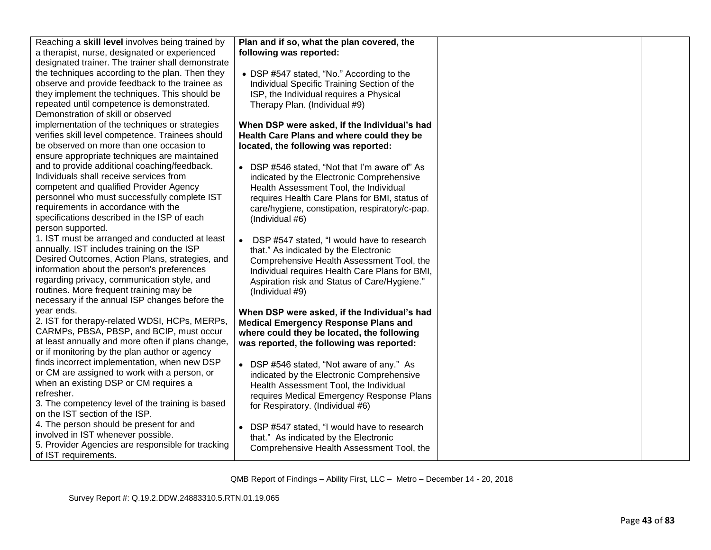| Reaching a skill level involves being trained by  | Plan and if so, what the plan covered, the     |  |
|---------------------------------------------------|------------------------------------------------|--|
| a therapist, nurse, designated or experienced     | following was reported:                        |  |
| designated trainer. The trainer shall demonstrate |                                                |  |
| the techniques according to the plan. Then they   | • DSP #547 stated, "No." According to the      |  |
| observe and provide feedback to the trainee as    | Individual Specific Training Section of the    |  |
| they implement the techniques. This should be     | ISP, the Individual requires a Physical        |  |
| repeated until competence is demonstrated.        | Therapy Plan. (Individual #9)                  |  |
| Demonstration of skill or observed                |                                                |  |
| implementation of the techniques or strategies    | When DSP were asked, if the Individual's had   |  |
| verifies skill level competence. Trainees should  | Health Care Plans and where could they be      |  |
| be observed on more than one occasion to          | located, the following was reported:           |  |
| ensure appropriate techniques are maintained      |                                                |  |
| and to provide additional coaching/feedback.      | • DSP #546 stated, "Not that I'm aware of" As  |  |
| Individuals shall receive services from           | indicated by the Electronic Comprehensive      |  |
| competent and qualified Provider Agency           | Health Assessment Tool, the Individual         |  |
| personnel who must successfully complete IST      | requires Health Care Plans for BMI, status of  |  |
| requirements in accordance with the               | care/hygiene, constipation, respiratory/c-pap. |  |
| specifications described in the ISP of each       | (Individual #6)                                |  |
| person supported.                                 |                                                |  |
| 1. IST must be arranged and conducted at least    | • DSP #547 stated, "I would have to research   |  |
| annually. IST includes training on the ISP        | that." As indicated by the Electronic          |  |
| Desired Outcomes, Action Plans, strategies, and   | Comprehensive Health Assessment Tool, the      |  |
| information about the person's preferences        | Individual requires Health Care Plans for BMI, |  |
| regarding privacy, communication style, and       | Aspiration risk and Status of Care/Hygiene."   |  |
| routines. More frequent training may be           | (Individual #9)                                |  |
| necessary if the annual ISP changes before the    |                                                |  |
| year ends.                                        | When DSP were asked, if the Individual's had   |  |
| 2. IST for therapy-related WDSI, HCPs, MERPs,     | <b>Medical Emergency Response Plans and</b>    |  |
| CARMPs, PBSA, PBSP, and BCIP, must occur          | where could they be located, the following     |  |
| at least annually and more often if plans change, | was reported, the following was reported:      |  |
| or if monitoring by the plan author or agency     |                                                |  |
| finds incorrect implementation, when new DSP      | • DSP #546 stated, "Not aware of any." As      |  |
| or CM are assigned to work with a person, or      | indicated by the Electronic Comprehensive      |  |
| when an existing DSP or CM requires a             | Health Assessment Tool, the Individual         |  |
| refresher.                                        | requires Medical Emergency Response Plans      |  |
| 3. The competency level of the training is based  | for Respiratory. (Individual #6)               |  |
| on the IST section of the ISP.                    |                                                |  |
| 4. The person should be present for and           | • DSP #547 stated, "I would have to research   |  |
| involved in IST whenever possible.                | that." As indicated by the Electronic          |  |
| 5. Provider Agencies are responsible for tracking | Comprehensive Health Assessment Tool, the      |  |
| of IST requirements.                              |                                                |  |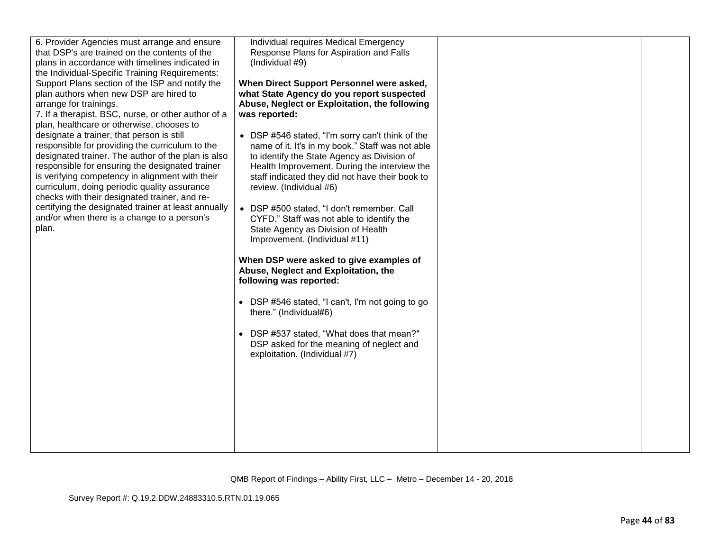| 6. Provider Agencies must arrange and ensure<br>that DSP's are trained on the contents of the<br>plans in accordance with timelines indicated in<br>the Individual-Specific Training Requirements:<br>Support Plans section of the ISP and notify the<br>plan authors when new DSP are hired to<br>arrange for trainings.<br>7. If a therapist, BSC, nurse, or other author of a<br>plan, healthcare or otherwise, chooses to<br>designate a trainer, that person is still<br>responsible for providing the curriculum to the<br>designated trainer. The author of the plan is also<br>responsible for ensuring the designated trainer<br>is verifying competency in alignment with their<br>curriculum, doing periodic quality assurance<br>checks with their designated trainer, and re-<br>certifying the designated trainer at least annually<br>and/or when there is a change to a person's<br>plan. | Individual requires Medical Emergency<br>Response Plans for Aspiration and Falls<br>(Individual #9)<br>When Direct Support Personnel were asked,<br>what State Agency do you report suspected<br>Abuse, Neglect or Exploitation, the following<br>was reported:<br>• DSP #546 stated, "I'm sorry can't think of the<br>name of it. It's in my book." Staff was not able<br>to identify the State Agency as Division of<br>Health Improvement. During the interview the<br>staff indicated they did not have their book to<br>review. (Individual #6)<br>• DSP #500 stated, "I don't remember. Call<br>CYFD." Staff was not able to identify the<br>State Agency as Division of Health<br>Improvement. (Individual #11)<br>When DSP were asked to give examples of<br>Abuse, Neglect and Exploitation, the<br>following was reported:<br>• DSP #546 stated, "I can't, I'm not going to go<br>there." (Individual#6)<br>• DSP #537 stated, "What does that mean?"<br>DSP asked for the meaning of neglect and<br>exploitation. (Individual #7) |  |
|-----------------------------------------------------------------------------------------------------------------------------------------------------------------------------------------------------------------------------------------------------------------------------------------------------------------------------------------------------------------------------------------------------------------------------------------------------------------------------------------------------------------------------------------------------------------------------------------------------------------------------------------------------------------------------------------------------------------------------------------------------------------------------------------------------------------------------------------------------------------------------------------------------------|----------------------------------------------------------------------------------------------------------------------------------------------------------------------------------------------------------------------------------------------------------------------------------------------------------------------------------------------------------------------------------------------------------------------------------------------------------------------------------------------------------------------------------------------------------------------------------------------------------------------------------------------------------------------------------------------------------------------------------------------------------------------------------------------------------------------------------------------------------------------------------------------------------------------------------------------------------------------------------------------------------------------------------------------|--|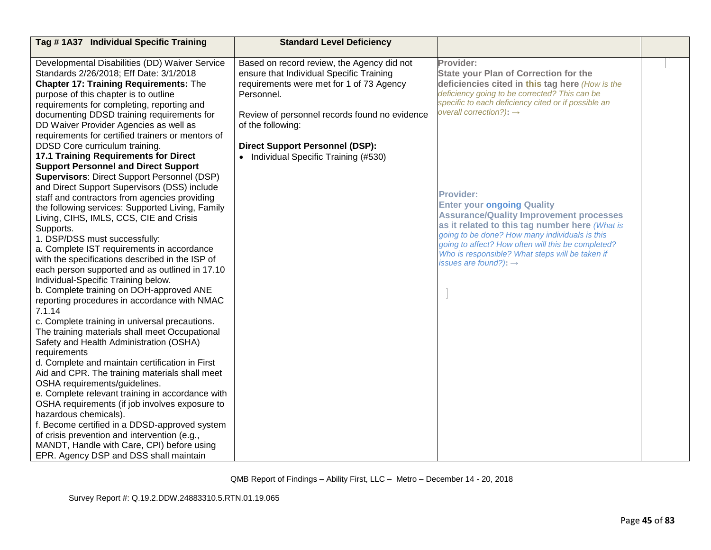| Tag #1A37 Individual Specific Training                                                            | <b>Standard Level Deficiency</b>                                                       |                                                                                                  |  |
|---------------------------------------------------------------------------------------------------|----------------------------------------------------------------------------------------|--------------------------------------------------------------------------------------------------|--|
| Developmental Disabilities (DD) Waiver Service<br>Standards 2/26/2018; Eff Date: 3/1/2018         | Based on record review, the Agency did not<br>ensure that Individual Specific Training | Provider:<br><b>State your Plan of Correction for the</b>                                        |  |
| <b>Chapter 17: Training Requirements: The</b>                                                     | requirements were met for 1 of 73 Agency                                               | deficiencies cited in this tag here (How is the                                                  |  |
| purpose of this chapter is to outline                                                             | Personnel.                                                                             | deficiency going to be corrected? This can be                                                    |  |
| requirements for completing, reporting and                                                        |                                                                                        | specific to each deficiency cited or if possible an                                              |  |
| documenting DDSD training requirements for                                                        | Review of personnel records found no evidence                                          | overall correction?): $\rightarrow$                                                              |  |
| DD Waiver Provider Agencies as well as                                                            | of the following:                                                                      |                                                                                                  |  |
| requirements for certified trainers or mentors of                                                 |                                                                                        |                                                                                                  |  |
| DDSD Core curriculum training.                                                                    | <b>Direct Support Personnel (DSP):</b>                                                 |                                                                                                  |  |
| 17.1 Training Requirements for Direct<br><b>Support Personnel and Direct Support</b>              | • Individual Specific Training (#530)                                                  |                                                                                                  |  |
| <b>Supervisors: Direct Support Personnel (DSP)</b>                                                |                                                                                        |                                                                                                  |  |
| and Direct Support Supervisors (DSS) include                                                      |                                                                                        |                                                                                                  |  |
| staff and contractors from agencies providing                                                     |                                                                                        | <b>Provider:</b>                                                                                 |  |
| the following services: Supported Living, Family                                                  |                                                                                        | <b>Enter your ongoing Quality</b>                                                                |  |
| Living, CIHS, IMLS, CCS, CIE and Crisis                                                           |                                                                                        | <b>Assurance/Quality Improvement processes</b>                                                   |  |
| Supports.                                                                                         |                                                                                        | as it related to this tag number here (What is<br>going to be done? How many individuals is this |  |
| 1. DSP/DSS must successfully:                                                                     |                                                                                        | going to affect? How often will this be completed?                                               |  |
| a. Complete IST requirements in accordance<br>with the specifications described in the ISP of     |                                                                                        | Who is responsible? What steps will be taken if                                                  |  |
| each person supported and as outlined in 17.10                                                    |                                                                                        | issues are found?): $\rightarrow$                                                                |  |
| Individual-Specific Training below.                                                               |                                                                                        |                                                                                                  |  |
| b. Complete training on DOH-approved ANE                                                          |                                                                                        |                                                                                                  |  |
| reporting procedures in accordance with NMAC                                                      |                                                                                        |                                                                                                  |  |
| 7.1.14                                                                                            |                                                                                        |                                                                                                  |  |
| c. Complete training in universal precautions.                                                    |                                                                                        |                                                                                                  |  |
| The training materials shall meet Occupational                                                    |                                                                                        |                                                                                                  |  |
| Safety and Health Administration (OSHA)                                                           |                                                                                        |                                                                                                  |  |
| requirements                                                                                      |                                                                                        |                                                                                                  |  |
| d. Complete and maintain certification in First<br>Aid and CPR. The training materials shall meet |                                                                                        |                                                                                                  |  |
| OSHA requirements/guidelines.                                                                     |                                                                                        |                                                                                                  |  |
| e. Complete relevant training in accordance with                                                  |                                                                                        |                                                                                                  |  |
| OSHA requirements (if job involves exposure to                                                    |                                                                                        |                                                                                                  |  |
| hazardous chemicals).                                                                             |                                                                                        |                                                                                                  |  |
| f. Become certified in a DDSD-approved system                                                     |                                                                                        |                                                                                                  |  |
| of crisis prevention and intervention (e.g.,                                                      |                                                                                        |                                                                                                  |  |
| MANDT, Handle with Care, CPI) before using                                                        |                                                                                        |                                                                                                  |  |
| EPR. Agency DSP and DSS shall maintain                                                            |                                                                                        |                                                                                                  |  |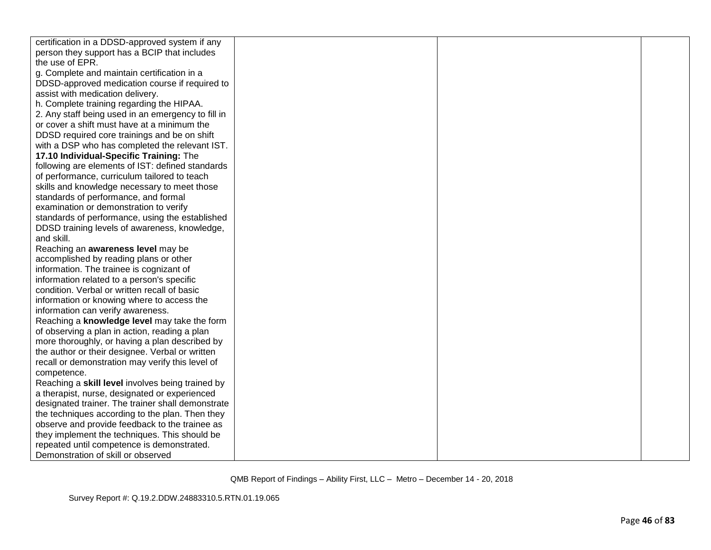| certification in a DDSD-approved system if any     |  |  |
|----------------------------------------------------|--|--|
| person they support has a BCIP that includes       |  |  |
| the use of EPR.                                    |  |  |
| g. Complete and maintain certification in a        |  |  |
| DDSD-approved medication course if required to     |  |  |
| assist with medication delivery.                   |  |  |
| h. Complete training regarding the HIPAA.          |  |  |
| 2. Any staff being used in an emergency to fill in |  |  |
| or cover a shift must have at a minimum the        |  |  |
| DDSD required core trainings and be on shift       |  |  |
| with a DSP who has completed the relevant IST.     |  |  |
| 17.10 Individual-Specific Training: The            |  |  |
| following are elements of IST: defined standards   |  |  |
| of performance, curriculum tailored to teach       |  |  |
| skills and knowledge necessary to meet those       |  |  |
| standards of performance, and formal               |  |  |
| examination or demonstration to verify             |  |  |
| standards of performance, using the established    |  |  |
| DDSD training levels of awareness, knowledge,      |  |  |
| and skill.                                         |  |  |
| Reaching an awareness level may be                 |  |  |
| accomplished by reading plans or other             |  |  |
| information. The trainee is cognizant of           |  |  |
| information related to a person's specific         |  |  |
| condition. Verbal or written recall of basic       |  |  |
| information or knowing where to access the         |  |  |
| information can verify awareness.                  |  |  |
| Reaching a knowledge level may take the form       |  |  |
| of observing a plan in action, reading a plan      |  |  |
| more thoroughly, or having a plan described by     |  |  |
| the author or their designee. Verbal or written    |  |  |
| recall or demonstration may verify this level of   |  |  |
| competence.                                        |  |  |
| Reaching a skill level involves being trained by   |  |  |
| a therapist, nurse, designated or experienced      |  |  |
| designated trainer. The trainer shall demonstrate  |  |  |
| the techniques according to the plan. Then they    |  |  |
| observe and provide feedback to the trainee as     |  |  |
| they implement the techniques. This should be      |  |  |
| repeated until competence is demonstrated.         |  |  |
| Demonstration of skill or observed                 |  |  |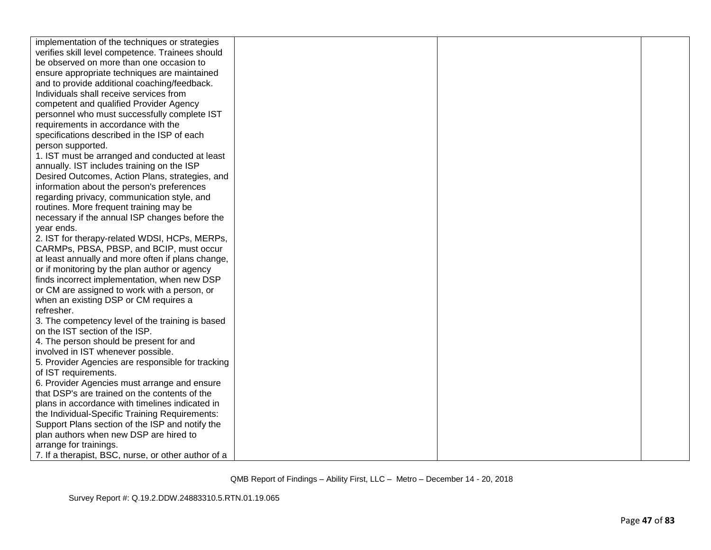| implementation of the techniques or strategies      |  |  |
|-----------------------------------------------------|--|--|
| verifies skill level competence. Trainees should    |  |  |
| be observed on more than one occasion to            |  |  |
| ensure appropriate techniques are maintained        |  |  |
| and to provide additional coaching/feedback.        |  |  |
| Individuals shall receive services from             |  |  |
| competent and qualified Provider Agency             |  |  |
| personnel who must successfully complete IST        |  |  |
| requirements in accordance with the                 |  |  |
| specifications described in the ISP of each         |  |  |
| person supported.                                   |  |  |
| 1. IST must be arranged and conducted at least      |  |  |
| annually. IST includes training on the ISP          |  |  |
| Desired Outcomes, Action Plans, strategies, and     |  |  |
| information about the person's preferences          |  |  |
| regarding privacy, communication style, and         |  |  |
| routines. More frequent training may be             |  |  |
| necessary if the annual ISP changes before the      |  |  |
| year ends.                                          |  |  |
| 2. IST for therapy-related WDSI, HCPs, MERPs,       |  |  |
| CARMPs, PBSA, PBSP, and BCIP, must occur            |  |  |
| at least annually and more often if plans change,   |  |  |
| or if monitoring by the plan author or agency       |  |  |
| finds incorrect implementation, when new DSP        |  |  |
| or CM are assigned to work with a person, or        |  |  |
| when an existing DSP or CM requires a               |  |  |
| refresher.                                          |  |  |
| 3. The competency level of the training is based    |  |  |
| on the IST section of the ISP.                      |  |  |
| 4. The person should be present for and             |  |  |
| involved in IST whenever possible.                  |  |  |
| 5. Provider Agencies are responsible for tracking   |  |  |
| of IST requirements.                                |  |  |
| 6. Provider Agencies must arrange and ensure        |  |  |
| that DSP's are trained on the contents of the       |  |  |
| plans in accordance with timelines indicated in     |  |  |
| the Individual-Specific Training Requirements:      |  |  |
| Support Plans section of the ISP and notify the     |  |  |
| plan authors when new DSP are hired to              |  |  |
| arrange for trainings.                              |  |  |
| 7. If a therapist, BSC, nurse, or other author of a |  |  |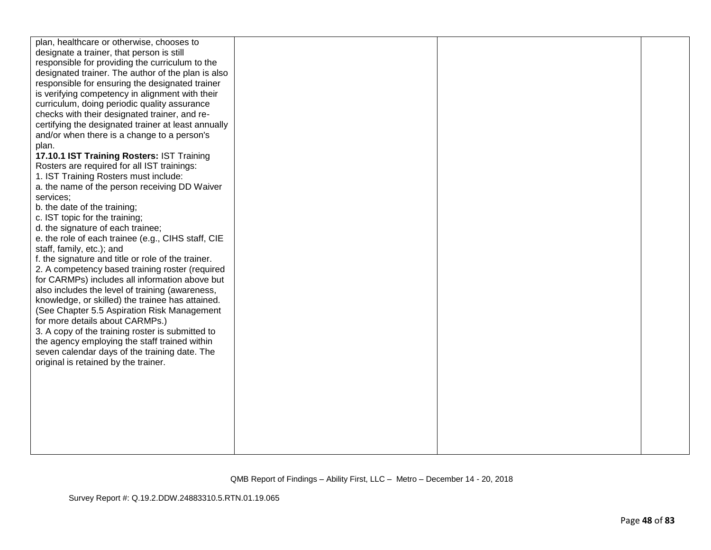| plan, healthcare or otherwise, chooses to           |  |  |
|-----------------------------------------------------|--|--|
| designate a trainer, that person is still           |  |  |
| responsible for providing the curriculum to the     |  |  |
| designated trainer. The author of the plan is also  |  |  |
| responsible for ensuring the designated trainer     |  |  |
| is verifying competency in alignment with their     |  |  |
| curriculum, doing periodic quality assurance        |  |  |
| checks with their designated trainer, and re-       |  |  |
| certifying the designated trainer at least annually |  |  |
| and/or when there is a change to a person's         |  |  |
| plan.                                               |  |  |
| 17.10.1 IST Training Rosters: IST Training          |  |  |
| Rosters are required for all IST trainings:         |  |  |
| 1. IST Training Rosters must include:               |  |  |
| a. the name of the person receiving DD Waiver       |  |  |
| services;                                           |  |  |
| b. the date of the training;                        |  |  |
| c. IST topic for the training;                      |  |  |
| d. the signature of each trainee;                   |  |  |
| e. the role of each trainee (e.g., CIHS staff, CIE  |  |  |
| staff, family, etc.); and                           |  |  |
| f. the signature and title or role of the trainer.  |  |  |
| 2. A competency based training roster (required     |  |  |
| for CARMPs) includes all information above but      |  |  |
| also includes the level of training (awareness,     |  |  |
| knowledge, or skilled) the trainee has attained.    |  |  |
| (See Chapter 5.5 Aspiration Risk Management         |  |  |
| for more details about CARMPs.)                     |  |  |
| 3. A copy of the training roster is submitted to    |  |  |
| the agency employing the staff trained within       |  |  |
| seven calendar days of the training date. The       |  |  |
| original is retained by the trainer.                |  |  |
|                                                     |  |  |
|                                                     |  |  |
|                                                     |  |  |
|                                                     |  |  |
|                                                     |  |  |
|                                                     |  |  |
|                                                     |  |  |
|                                                     |  |  |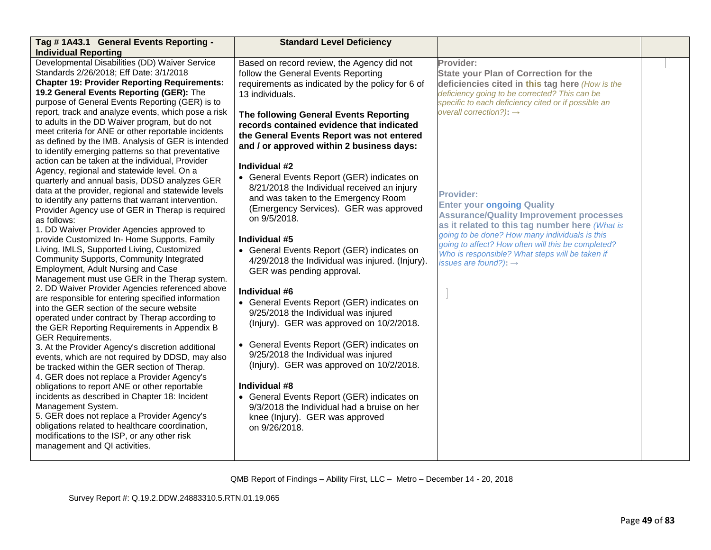| Tag # 1A43.1 General Events Reporting -                                                                                                                                                                                                                                                                                                                                                                                                                                                                                                                                                                                                                                                                                                                                                                                                                                                                                                                                                                                                                                                                                                                      | <b>Standard Level Deficiency</b>                                                                                                                                                                                                                                                                                                                                                                                                                                                                                                                                                                                                                                 |                                                                                                                                                                                                                                                                                                                                                           |  |
|--------------------------------------------------------------------------------------------------------------------------------------------------------------------------------------------------------------------------------------------------------------------------------------------------------------------------------------------------------------------------------------------------------------------------------------------------------------------------------------------------------------------------------------------------------------------------------------------------------------------------------------------------------------------------------------------------------------------------------------------------------------------------------------------------------------------------------------------------------------------------------------------------------------------------------------------------------------------------------------------------------------------------------------------------------------------------------------------------------------------------------------------------------------|------------------------------------------------------------------------------------------------------------------------------------------------------------------------------------------------------------------------------------------------------------------------------------------------------------------------------------------------------------------------------------------------------------------------------------------------------------------------------------------------------------------------------------------------------------------------------------------------------------------------------------------------------------------|-----------------------------------------------------------------------------------------------------------------------------------------------------------------------------------------------------------------------------------------------------------------------------------------------------------------------------------------------------------|--|
| <b>Individual Reporting</b>                                                                                                                                                                                                                                                                                                                                                                                                                                                                                                                                                                                                                                                                                                                                                                                                                                                                                                                                                                                                                                                                                                                                  |                                                                                                                                                                                                                                                                                                                                                                                                                                                                                                                                                                                                                                                                  |                                                                                                                                                                                                                                                                                                                                                           |  |
| Developmental Disabilities (DD) Waiver Service<br>Standards 2/26/2018; Eff Date: 3/1/2018<br><b>Chapter 19: Provider Reporting Requirements:</b><br>19.2 General Events Reporting (GER): The<br>purpose of General Events Reporting (GER) is to                                                                                                                                                                                                                                                                                                                                                                                                                                                                                                                                                                                                                                                                                                                                                                                                                                                                                                              | Based on record review, the Agency did not<br>follow the General Events Reporting<br>requirements as indicated by the policy for 6 of<br>13 individuals.                                                                                                                                                                                                                                                                                                                                                                                                                                                                                                         | Provider:<br><b>State your Plan of Correction for the</b><br>deficiencies cited in this tag here (How is the<br>deficiency going to be corrected? This can be<br>specific to each deficiency cited or if possible an                                                                                                                                      |  |
| report, track and analyze events, which pose a risk<br>to adults in the DD Waiver program, but do not<br>meet criteria for ANE or other reportable incidents<br>as defined by the IMB. Analysis of GER is intended<br>to identify emerging patterns so that preventative                                                                                                                                                                                                                                                                                                                                                                                                                                                                                                                                                                                                                                                                                                                                                                                                                                                                                     | The following General Events Reporting<br>records contained evidence that indicated<br>the General Events Report was not entered<br>and / or approved within 2 business days:                                                                                                                                                                                                                                                                                                                                                                                                                                                                                    | overall correction?): $\rightarrow$                                                                                                                                                                                                                                                                                                                       |  |
| action can be taken at the individual, Provider<br>Agency, regional and statewide level. On a<br>quarterly and annual basis, DDSD analyzes GER<br>data at the provider, regional and statewide levels<br>to identify any patterns that warrant intervention.<br>Provider Agency use of GER in Therap is required<br>as follows:<br>1. DD Waiver Provider Agencies approved to<br>provide Customized In- Home Supports, Family<br>Living, IMLS, Supported Living, Customized<br>Community Supports, Community Integrated<br>Employment, Adult Nursing and Case<br>Management must use GER in the Therap system.<br>2. DD Waiver Provider Agencies referenced above<br>are responsible for entering specified information<br>into the GER section of the secure website<br>operated under contract by Therap according to<br>the GER Reporting Requirements in Appendix B<br><b>GER Requirements.</b><br>3. At the Provider Agency's discretion additional<br>events, which are not required by DDSD, may also<br>be tracked within the GER section of Therap.<br>4. GER does not replace a Provider Agency's<br>obligations to report ANE or other reportable | Individual #2<br>• General Events Report (GER) indicates on<br>8/21/2018 the Individual received an injury<br>and was taken to the Emergency Room<br>(Emergency Services). GER was approved<br>on 9/5/2018.<br>Individual #5<br>• General Events Report (GER) indicates on<br>4/29/2018 the Individual was injured. (Injury).<br>GER was pending approval.<br>Individual #6<br>• General Events Report (GER) indicates on<br>9/25/2018 the Individual was injured<br>(Injury). GER was approved on 10/2/2018.<br>• General Events Report (GER) indicates on<br>9/25/2018 the Individual was injured<br>(Injury). GER was approved on 10/2/2018.<br>Individual #8 | <b>Provider:</b><br><b>Enter your ongoing Quality</b><br><b>Assurance/Quality Improvement processes</b><br>as it related to this tag number here (What is<br>going to be done? How many individuals is this<br>going to affect? How often will this be completed?<br>Who is responsible? What steps will be taken if<br>issues are found?): $\rightarrow$ |  |
| incidents as described in Chapter 18: Incident<br>Management System.<br>5. GER does not replace a Provider Agency's<br>obligations related to healthcare coordination,<br>modifications to the ISP, or any other risk<br>management and QI activities.                                                                                                                                                                                                                                                                                                                                                                                                                                                                                                                                                                                                                                                                                                                                                                                                                                                                                                       | • General Events Report (GER) indicates on<br>9/3/2018 the Individual had a bruise on her<br>knee (Injury). GER was approved<br>on 9/26/2018.                                                                                                                                                                                                                                                                                                                                                                                                                                                                                                                    |                                                                                                                                                                                                                                                                                                                                                           |  |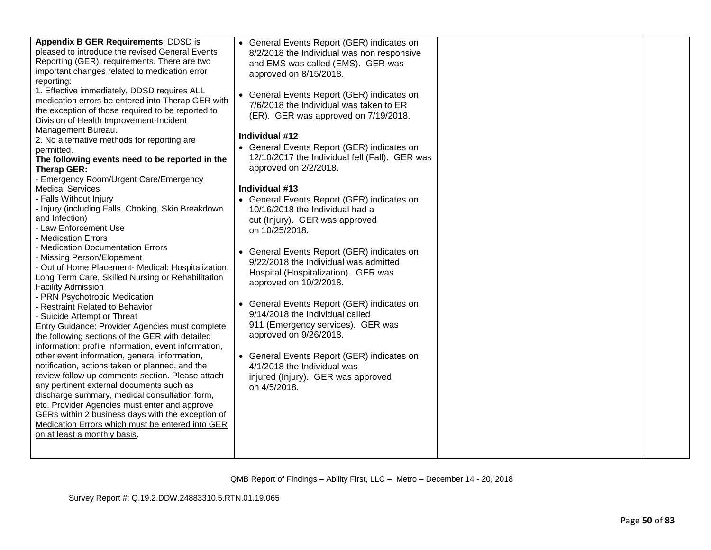| Appendix B GER Requirements: DDSD is<br>pleased to introduce the revised General Events<br>Reporting (GER), requirements. There are two<br>important changes related to medication error<br>reporting:<br>1. Effective immediately, DDSD requires ALL<br>medication errors be entered into Therap GER with<br>the exception of those required to be reported to<br>Division of Health Improvement-Incident<br>Management Bureau.<br>2. No alternative methods for reporting are<br>permitted.<br>The following events need to be reported in the<br>Therap GER:<br>- Emergency Room/Urgent Care/Emergency<br><b>Medical Services</b><br>- Falls Without Injury<br>- Injury (including Falls, Choking, Skin Breakdown<br>and Infection)<br>- Law Enforcement Use<br>- Medication Errors<br>- Medication Documentation Errors<br>- Missing Person/Elopement<br>- Out of Home Placement- Medical: Hospitalization,<br>Long Term Care, Skilled Nursing or Rehabilitation<br><b>Facility Admission</b><br>- PRN Psychotropic Medication<br>- Restraint Related to Behavior<br>- Suicide Attempt or Threat<br>Entry Guidance: Provider Agencies must complete<br>the following sections of the GER with detailed<br>information: profile information, event information,<br>other event information, general information,<br>notification, actions taken or planned, and the<br>review follow up comments section. Please attach<br>any pertinent external documents such as<br>discharge summary, medical consultation form,<br>etc. Provider Agencies must enter and approve<br>GERs within 2 business days with the exception of<br>Medication Errors which must be entered into GER<br>on at least a monthly basis. | • General Events Report (GER) indicates on<br>8/2/2018 the Individual was non responsive<br>and EMS was called (EMS). GER was<br>approved on 8/15/2018.<br>• General Events Report (GER) indicates on<br>7/6/2018 the Individual was taken to ER<br>(ER). GER was approved on 7/19/2018.<br>Individual #12<br>• General Events Report (GER) indicates on<br>12/10/2017 the Individual fell (Fall). GER was<br>approved on 2/2/2018.<br>Individual #13<br>• General Events Report (GER) indicates on<br>10/16/2018 the Individual had a<br>cut (Injury). GER was approved<br>on 10/25/2018.<br>• General Events Report (GER) indicates on<br>9/22/2018 the Individual was admitted<br>Hospital (Hospitalization). GER was<br>approved on 10/2/2018.<br>• General Events Report (GER) indicates on<br>9/14/2018 the Individual called<br>911 (Emergency services). GER was<br>approved on 9/26/2018.<br>• General Events Report (GER) indicates on<br>4/1/2018 the Individual was<br>injured (Injury). GER was approved<br>on 4/5/2018. |  |  |
|-------------------------------------------------------------------------------------------------------------------------------------------------------------------------------------------------------------------------------------------------------------------------------------------------------------------------------------------------------------------------------------------------------------------------------------------------------------------------------------------------------------------------------------------------------------------------------------------------------------------------------------------------------------------------------------------------------------------------------------------------------------------------------------------------------------------------------------------------------------------------------------------------------------------------------------------------------------------------------------------------------------------------------------------------------------------------------------------------------------------------------------------------------------------------------------------------------------------------------------------------------------------------------------------------------------------------------------------------------------------------------------------------------------------------------------------------------------------------------------------------------------------------------------------------------------------------------------------------------------------------------------------------------------------------------------------------------------------|---------------------------------------------------------------------------------------------------------------------------------------------------------------------------------------------------------------------------------------------------------------------------------------------------------------------------------------------------------------------------------------------------------------------------------------------------------------------------------------------------------------------------------------------------------------------------------------------------------------------------------------------------------------------------------------------------------------------------------------------------------------------------------------------------------------------------------------------------------------------------------------------------------------------------------------------------------------------------------------------------------------------------------------|--|--|
|-------------------------------------------------------------------------------------------------------------------------------------------------------------------------------------------------------------------------------------------------------------------------------------------------------------------------------------------------------------------------------------------------------------------------------------------------------------------------------------------------------------------------------------------------------------------------------------------------------------------------------------------------------------------------------------------------------------------------------------------------------------------------------------------------------------------------------------------------------------------------------------------------------------------------------------------------------------------------------------------------------------------------------------------------------------------------------------------------------------------------------------------------------------------------------------------------------------------------------------------------------------------------------------------------------------------------------------------------------------------------------------------------------------------------------------------------------------------------------------------------------------------------------------------------------------------------------------------------------------------------------------------------------------------------------------------------------------------|---------------------------------------------------------------------------------------------------------------------------------------------------------------------------------------------------------------------------------------------------------------------------------------------------------------------------------------------------------------------------------------------------------------------------------------------------------------------------------------------------------------------------------------------------------------------------------------------------------------------------------------------------------------------------------------------------------------------------------------------------------------------------------------------------------------------------------------------------------------------------------------------------------------------------------------------------------------------------------------------------------------------------------------|--|--|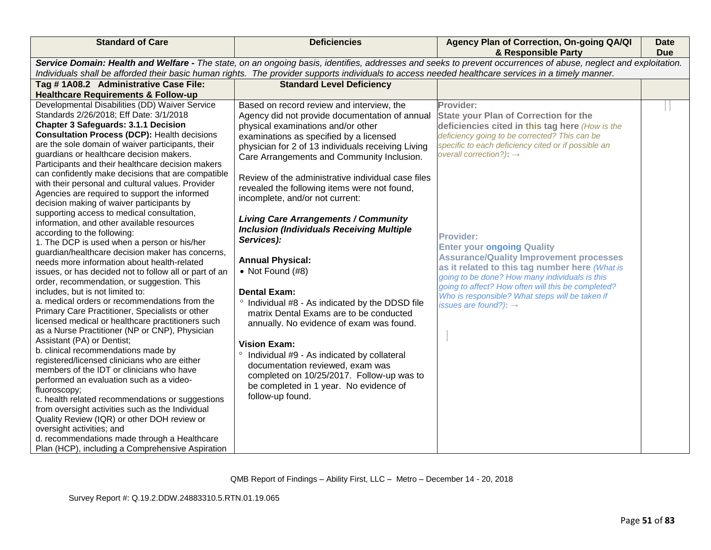| <b>Standard of Care</b>                                                                                                                                                                                                                                                                                                                                                                                                                                                                                                                                                                                                                                                                                                                                                                                                                                                                                                                                                                                                                                                                                                                                                                                                                                                                                                                                                                                                                                                                                                                                                                                                                                                                                                   | <b>Deficiencies</b>                                                                                                                                                                                                                                                                                                                                                                                                                                                                                                                                                                                                                                                                                                                                                                                                                                                                                                                                                                    | Agency Plan of Correction, On-going QA/QI<br>& Responsible Party                                                                                                                                                                                                                                                                                                                                                                                                                                                                                                                                                         | <b>Date</b><br><b>Due</b> |
|---------------------------------------------------------------------------------------------------------------------------------------------------------------------------------------------------------------------------------------------------------------------------------------------------------------------------------------------------------------------------------------------------------------------------------------------------------------------------------------------------------------------------------------------------------------------------------------------------------------------------------------------------------------------------------------------------------------------------------------------------------------------------------------------------------------------------------------------------------------------------------------------------------------------------------------------------------------------------------------------------------------------------------------------------------------------------------------------------------------------------------------------------------------------------------------------------------------------------------------------------------------------------------------------------------------------------------------------------------------------------------------------------------------------------------------------------------------------------------------------------------------------------------------------------------------------------------------------------------------------------------------------------------------------------------------------------------------------------|----------------------------------------------------------------------------------------------------------------------------------------------------------------------------------------------------------------------------------------------------------------------------------------------------------------------------------------------------------------------------------------------------------------------------------------------------------------------------------------------------------------------------------------------------------------------------------------------------------------------------------------------------------------------------------------------------------------------------------------------------------------------------------------------------------------------------------------------------------------------------------------------------------------------------------------------------------------------------------------|--------------------------------------------------------------------------------------------------------------------------------------------------------------------------------------------------------------------------------------------------------------------------------------------------------------------------------------------------------------------------------------------------------------------------------------------------------------------------------------------------------------------------------------------------------------------------------------------------------------------------|---------------------------|
|                                                                                                                                                                                                                                                                                                                                                                                                                                                                                                                                                                                                                                                                                                                                                                                                                                                                                                                                                                                                                                                                                                                                                                                                                                                                                                                                                                                                                                                                                                                                                                                                                                                                                                                           | Individuals shall be afforded their basic human rights. The provider supports individuals to access needed healthcare services in a timely manner.                                                                                                                                                                                                                                                                                                                                                                                                                                                                                                                                                                                                                                                                                                                                                                                                                                     | Service Domain: Health and Welfare - The state, on an ongoing basis, identifies, addresses and seeks to prevent occurrences of abuse, neglect and exploitation.                                                                                                                                                                                                                                                                                                                                                                                                                                                          |                           |
| Tag #1A08.2 Administrative Case File:<br><b>Healthcare Requirements &amp; Follow-up</b>                                                                                                                                                                                                                                                                                                                                                                                                                                                                                                                                                                                                                                                                                                                                                                                                                                                                                                                                                                                                                                                                                                                                                                                                                                                                                                                                                                                                                                                                                                                                                                                                                                   | <b>Standard Level Deficiency</b>                                                                                                                                                                                                                                                                                                                                                                                                                                                                                                                                                                                                                                                                                                                                                                                                                                                                                                                                                       |                                                                                                                                                                                                                                                                                                                                                                                                                                                                                                                                                                                                                          |                           |
| Developmental Disabilities (DD) Waiver Service<br>Standards 2/26/2018; Eff Date: 3/1/2018<br><b>Chapter 3 Safeguards: 3.1.1 Decision</b><br><b>Consultation Process (DCP): Health decisions</b><br>are the sole domain of waiver participants, their<br>guardians or healthcare decision makers.<br>Participants and their healthcare decision makers<br>can confidently make decisions that are compatible<br>with their personal and cultural values. Provider<br>Agencies are required to support the informed<br>decision making of waiver participants by<br>supporting access to medical consultation,<br>information, and other available resources<br>according to the following:<br>1. The DCP is used when a person or his/her<br>guardian/healthcare decision maker has concerns,<br>needs more information about health-related<br>issues, or has decided not to follow all or part of an<br>order, recommendation, or suggestion. This<br>includes, but is not limited to:<br>a. medical orders or recommendations from the<br>Primary Care Practitioner, Specialists or other<br>licensed medical or healthcare practitioners such<br>as a Nurse Practitioner (NP or CNP), Physician<br>Assistant (PA) or Dentist;<br>b. clinical recommendations made by<br>registered/licensed clinicians who are either<br>members of the IDT or clinicians who have<br>performed an evaluation such as a video-<br>fluoroscopy;<br>c. health related recommendations or suggestions<br>from oversight activities such as the Individual<br>Quality Review (IQR) or other DOH review or<br>oversight activities; and<br>d. recommendations made through a Healthcare<br>Plan (HCP), including a Comprehensive Aspiration | Based on record review and interview, the<br>Agency did not provide documentation of annual<br>physical examinations and/or other<br>examinations as specified by a licensed<br>physician for 2 of 13 individuals receiving Living<br>Care Arrangements and Community Inclusion.<br>Review of the administrative individual case files<br>revealed the following items were not found,<br>incomplete, and/or not current:<br><b>Living Care Arrangements / Community</b><br><b>Inclusion (Individuals Receiving Multiple</b><br>Services):<br><b>Annual Physical:</b><br>$\bullet$ Not Found (#8)<br><b>Dental Exam:</b><br>° Individual #8 - As indicated by the DDSD file<br>matrix Dental Exams are to be conducted<br>annually. No evidence of exam was found.<br><b>Vision Exam:</b><br>Individual #9 - As indicated by collateral<br>documentation reviewed, exam was<br>completed on 10/25/2017. Follow-up was to<br>be completed in 1 year. No evidence of<br>follow-up found. | Provider:<br><b>State your Plan of Correction for the</b><br>deficiencies cited in this tag here (How is the<br>deficiency going to be corrected? This can be<br>specific to each deficiency cited or if possible an<br>overall correction?): $\rightarrow$<br><b>Provider:</b><br><b>Enter your ongoing Quality</b><br><b>Assurance/Quality Improvement processes</b><br>as it related to this tag number here (What is<br>going to be done? How many individuals is this<br>going to affect? How often will this be completed?<br>Who is responsible? What steps will be taken if<br>issues are found?): $\rightarrow$ |                           |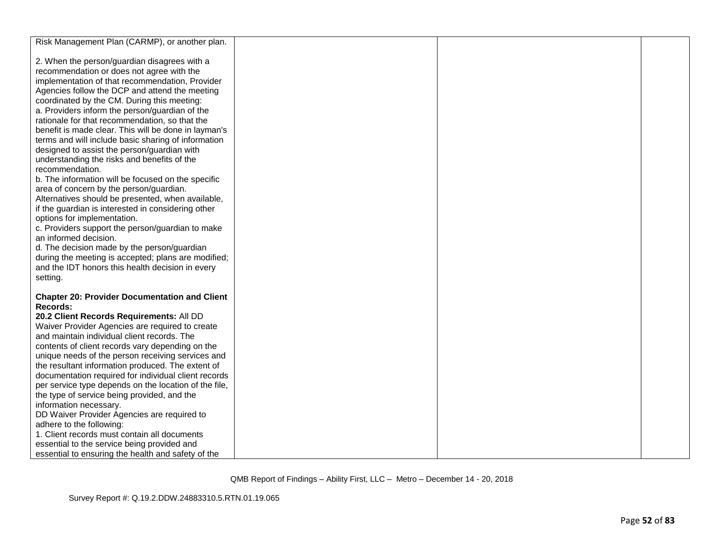| Risk Management Plan (CARMP), or another plan.                                                 |  |  |
|------------------------------------------------------------------------------------------------|--|--|
|                                                                                                |  |  |
| 2. When the person/guardian disagrees with a                                                   |  |  |
| recommendation or does not agree with the                                                      |  |  |
| implementation of that recommendation, Provider                                                |  |  |
| Agencies follow the DCP and attend the meeting                                                 |  |  |
| coordinated by the CM. During this meeting:                                                    |  |  |
| a. Providers inform the person/guardian of the                                                 |  |  |
| rationale for that recommendation, so that the                                                 |  |  |
| benefit is made clear. This will be done in layman's                                           |  |  |
| terms and will include basic sharing of information                                            |  |  |
| designed to assist the person/guardian with                                                    |  |  |
| understanding the risks and benefits of the                                                    |  |  |
| recommendation.                                                                                |  |  |
| b. The information will be focused on the specific                                             |  |  |
| area of concern by the person/guardian.                                                        |  |  |
| Alternatives should be presented, when available,                                              |  |  |
| if the guardian is interested in considering other                                             |  |  |
| options for implementation.                                                                    |  |  |
| c. Providers support the person/guardian to make                                               |  |  |
| an informed decision.                                                                          |  |  |
| d. The decision made by the person/guardian                                                    |  |  |
| during the meeting is accepted; plans are modified;                                            |  |  |
| and the IDT honors this health decision in every                                               |  |  |
| setting.                                                                                       |  |  |
|                                                                                                |  |  |
| <b>Chapter 20: Provider Documentation and Client</b>                                           |  |  |
| Records:                                                                                       |  |  |
|                                                                                                |  |  |
| 20.2 Client Records Requirements: All DD                                                       |  |  |
| Waiver Provider Agencies are required to create<br>and maintain individual client records. The |  |  |
|                                                                                                |  |  |
| contents of client records vary depending on the                                               |  |  |
| unique needs of the person receiving services and                                              |  |  |
| the resultant information produced. The extent of                                              |  |  |
| documentation required for individual client records                                           |  |  |
| per service type depends on the location of the file,                                          |  |  |
| the type of service being provided, and the                                                    |  |  |
| information necessary.<br>DD Waiver Provider Agencies are required to                          |  |  |
| adhere to the following:                                                                       |  |  |
| 1. Client records must contain all documents                                                   |  |  |
|                                                                                                |  |  |
| essential to the service being provided and                                                    |  |  |
| essential to ensuring the health and safety of the                                             |  |  |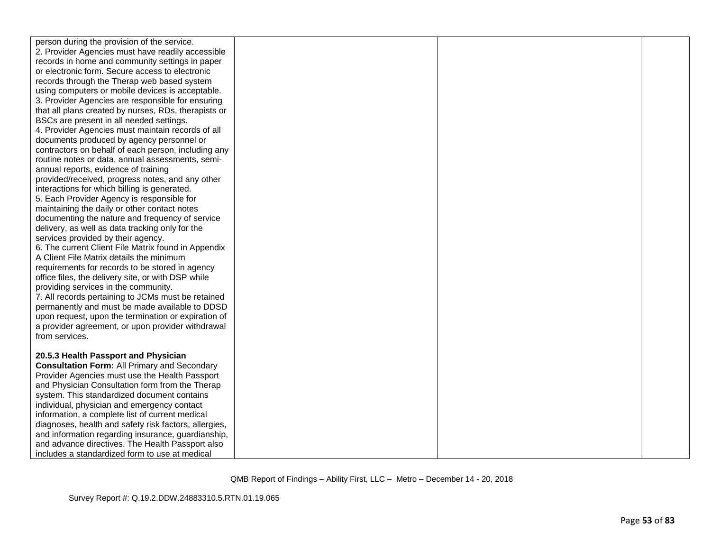| person during the provision of the service.                         |  |  |
|---------------------------------------------------------------------|--|--|
| 2. Provider Agencies must have readily accessible                   |  |  |
| records in home and community settings in paper                     |  |  |
| or electronic form. Secure access to electronic                     |  |  |
| records through the Therap web based system                         |  |  |
| using computers or mobile devices is acceptable.                    |  |  |
| 3. Provider Agencies are responsible for ensuring                   |  |  |
| that all plans created by nurses, RDs, therapists or                |  |  |
| BSCs are present in all needed settings.                            |  |  |
| 4. Provider Agencies must maintain records of all                   |  |  |
| documents produced by agency personnel or                           |  |  |
| contractors on behalf of each person, including any                 |  |  |
| routine notes or data, annual assessments, semi-                    |  |  |
| annual reports, evidence of training                                |  |  |
| provided/received, progress notes, and any other                    |  |  |
| interactions for which billing is generated.                        |  |  |
| 5. Each Provider Agency is responsible for                          |  |  |
| maintaining the daily or other contact notes                        |  |  |
| documenting the nature and frequency of service                     |  |  |
| delivery, as well as data tracking only for the                     |  |  |
| services provided by their agency.                                  |  |  |
| 6. The current Client File Matrix found in Appendix                 |  |  |
| A Client File Matrix details the minimum                            |  |  |
| requirements for records to be stored in agency                     |  |  |
| office files, the delivery site, or with DSP while                  |  |  |
| providing services in the community.                                |  |  |
| 7. All records pertaining to JCMs must be retained                  |  |  |
| permanently and must be made available to DDSD                      |  |  |
| upon request, upon the termination or expiration of                 |  |  |
| a provider agreement, or upon provider withdrawal<br>from services. |  |  |
|                                                                     |  |  |
| 20.5.3 Health Passport and Physician                                |  |  |
| <b>Consultation Form: All Primary and Secondary</b>                 |  |  |
| Provider Agencies must use the Health Passport                      |  |  |
| and Physician Consultation form from the Therap                     |  |  |
| system. This standardized document contains                         |  |  |
| individual, physician and emergency contact                         |  |  |
| information, a complete list of current medical                     |  |  |
| diagnoses, health and safety risk factors, allergies,               |  |  |
| and information regarding insurance, guardianship,                  |  |  |
| and advance directives. The Health Passport also                    |  |  |
| includes a standardized form to use at medical                      |  |  |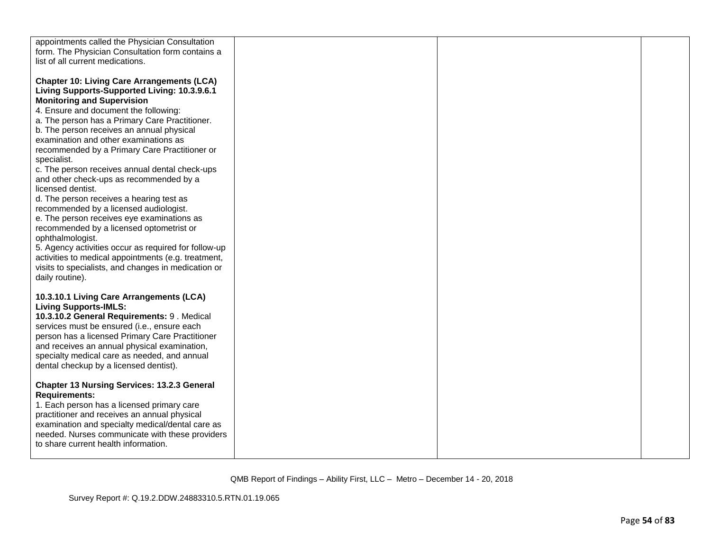| appointments called the Physician Consultation       |  |  |
|------------------------------------------------------|--|--|
| form. The Physician Consultation form contains a     |  |  |
| list of all current medications.                     |  |  |
|                                                      |  |  |
| <b>Chapter 10: Living Care Arrangements (LCA)</b>    |  |  |
| Living Supports-Supported Living: 10.3.9.6.1         |  |  |
| <b>Monitoring and Supervision</b>                    |  |  |
| 4. Ensure and document the following:                |  |  |
| a. The person has a Primary Care Practitioner.       |  |  |
| b. The person receives an annual physical            |  |  |
| examination and other examinations as                |  |  |
| recommended by a Primary Care Practitioner or        |  |  |
| specialist.                                          |  |  |
| c. The person receives annual dental check-ups       |  |  |
| and other check-ups as recommended by a              |  |  |
| licensed dentist.                                    |  |  |
| d. The person receives a hearing test as             |  |  |
| recommended by a licensed audiologist.               |  |  |
| e. The person receives eye examinations as           |  |  |
| recommended by a licensed optometrist or             |  |  |
| ophthalmologist.                                     |  |  |
| 5. Agency activities occur as required for follow-up |  |  |
| activities to medical appointments (e.g. treatment,  |  |  |
| visits to specialists, and changes in medication or  |  |  |
| daily routine).                                      |  |  |
|                                                      |  |  |
| 10.3.10.1 Living Care Arrangements (LCA)             |  |  |
| <b>Living Supports-IMLS:</b>                         |  |  |
| 10.3.10.2 General Requirements: 9. Medical           |  |  |
| services must be ensured (i.e., ensure each          |  |  |
| person has a licensed Primary Care Practitioner      |  |  |
| and receives an annual physical examination,         |  |  |
| specialty medical care as needed, and annual         |  |  |
| dental checkup by a licensed dentist).               |  |  |
|                                                      |  |  |
| <b>Chapter 13 Nursing Services: 13.2.3 General</b>   |  |  |
| <b>Requirements:</b>                                 |  |  |
| 1. Each person has a licensed primary care           |  |  |
| practitioner and receives an annual physical         |  |  |
| examination and specialty medical/dental care as     |  |  |
| needed. Nurses communicate with these providers      |  |  |
| to share current health information.                 |  |  |
|                                                      |  |  |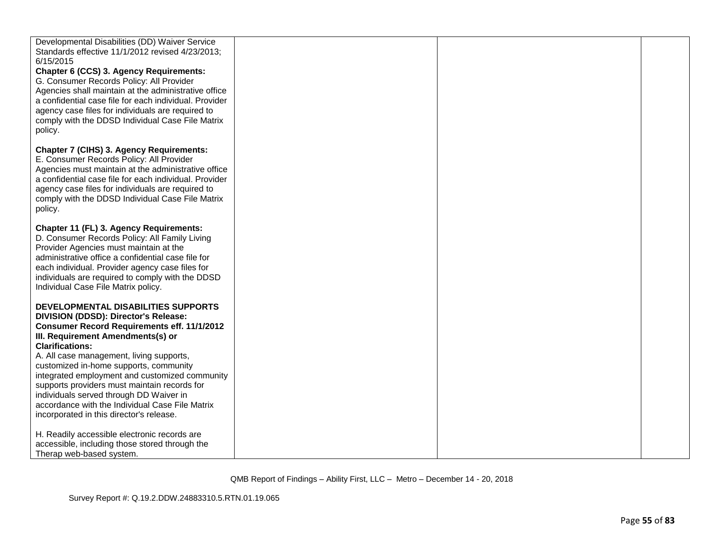| Developmental Disabilities (DD) Waiver Service<br>Standards effective 11/1/2012 revised 4/23/2013;<br>6/15/2015<br>Chapter 6 (CCS) 3. Agency Requirements:<br>G. Consumer Records Policy: All Provider<br>Agencies shall maintain at the administrative office<br>a confidential case file for each individual. Provider<br>agency case files for individuals are required to<br>comply with the DDSD Individual Case File Matrix<br>policy.                                                                                       |  |  |
|------------------------------------------------------------------------------------------------------------------------------------------------------------------------------------------------------------------------------------------------------------------------------------------------------------------------------------------------------------------------------------------------------------------------------------------------------------------------------------------------------------------------------------|--|--|
| Chapter 7 (CIHS) 3. Agency Requirements:<br>E. Consumer Records Policy: All Provider<br>Agencies must maintain at the administrative office<br>a confidential case file for each individual. Provider<br>agency case files for individuals are required to<br>comply with the DDSD Individual Case File Matrix<br>policy.                                                                                                                                                                                                          |  |  |
| Chapter 11 (FL) 3. Agency Requirements:<br>D. Consumer Records Policy: All Family Living<br>Provider Agencies must maintain at the<br>administrative office a confidential case file for<br>each individual. Provider agency case files for<br>individuals are required to comply with the DDSD<br>Individual Case File Matrix policy.                                                                                                                                                                                             |  |  |
| DEVELOPMENTAL DISABILITIES SUPPORTS<br>DIVISION (DDSD): Director's Release:<br><b>Consumer Record Requirements eff. 11/1/2012</b><br>III. Requirement Amendments(s) or<br><b>Clarifications:</b><br>A. All case management, living supports,<br>customized in-home supports, community<br>integrated employment and customized community<br>supports providers must maintain records for<br>individuals served through DD Waiver in<br>accordance with the Individual Case File Matrix<br>incorporated in this director's release. |  |  |
| H. Readily accessible electronic records are<br>accessible, including those stored through the<br>Therap web-based system.                                                                                                                                                                                                                                                                                                                                                                                                         |  |  |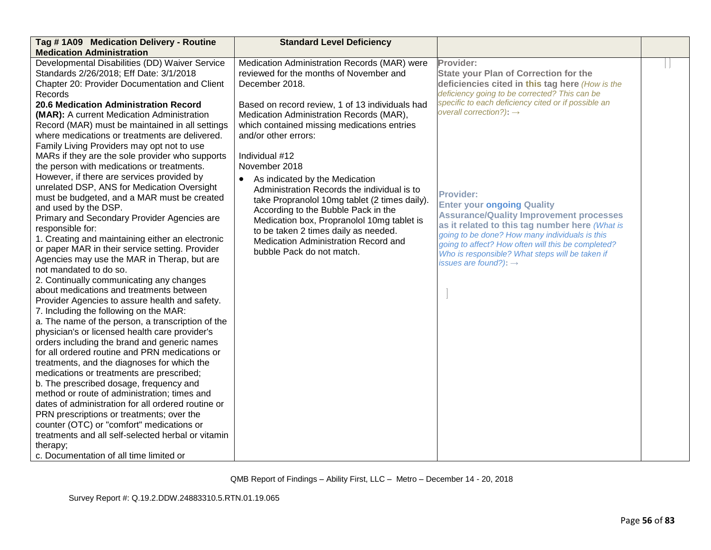| Tag #1A09 Medication Delivery - Routine                                                                                                                                                                                                                                                                                                                                                                                                                                                                                                                                                                                                                                                                                                                                                                                                                                                                                                                                                                                                                                                                                                                                                                                                                                                                                                                                                                  | <b>Standard Level Deficiency</b>                                                                                                                                                                                                                                                                                                                                                                                                                                                                                                            |                                                                                                                                                                                                                                                                                                                                                                                                                                                         |  |
|----------------------------------------------------------------------------------------------------------------------------------------------------------------------------------------------------------------------------------------------------------------------------------------------------------------------------------------------------------------------------------------------------------------------------------------------------------------------------------------------------------------------------------------------------------------------------------------------------------------------------------------------------------------------------------------------------------------------------------------------------------------------------------------------------------------------------------------------------------------------------------------------------------------------------------------------------------------------------------------------------------------------------------------------------------------------------------------------------------------------------------------------------------------------------------------------------------------------------------------------------------------------------------------------------------------------------------------------------------------------------------------------------------|---------------------------------------------------------------------------------------------------------------------------------------------------------------------------------------------------------------------------------------------------------------------------------------------------------------------------------------------------------------------------------------------------------------------------------------------------------------------------------------------------------------------------------------------|---------------------------------------------------------------------------------------------------------------------------------------------------------------------------------------------------------------------------------------------------------------------------------------------------------------------------------------------------------------------------------------------------------------------------------------------------------|--|
| <b>Medication Administration</b>                                                                                                                                                                                                                                                                                                                                                                                                                                                                                                                                                                                                                                                                                                                                                                                                                                                                                                                                                                                                                                                                                                                                                                                                                                                                                                                                                                         |                                                                                                                                                                                                                                                                                                                                                                                                                                                                                                                                             |                                                                                                                                                                                                                                                                                                                                                                                                                                                         |  |
| Developmental Disabilities (DD) Waiver Service<br>Standards 2/26/2018; Eff Date: 3/1/2018<br>Chapter 20: Provider Documentation and Client<br>Records                                                                                                                                                                                                                                                                                                                                                                                                                                                                                                                                                                                                                                                                                                                                                                                                                                                                                                                                                                                                                                                                                                                                                                                                                                                    | Medication Administration Records (MAR) were<br>reviewed for the months of November and<br>December 2018.                                                                                                                                                                                                                                                                                                                                                                                                                                   | Provider:<br><b>State your Plan of Correction for the</b><br>deficiencies cited in this tag here (How is the<br>deficiency going to be corrected? This can be                                                                                                                                                                                                                                                                                           |  |
| 20.6 Medication Administration Record<br>(MAR): A current Medication Administration<br>Record (MAR) must be maintained in all settings<br>where medications or treatments are delivered.<br>Family Living Providers may opt not to use<br>MARs if they are the sole provider who supports<br>the person with medications or treatments.<br>However, if there are services provided by<br>unrelated DSP, ANS for Medication Oversight<br>must be budgeted, and a MAR must be created<br>and used by the DSP.<br>Primary and Secondary Provider Agencies are<br>responsible for:<br>1. Creating and maintaining either an electronic<br>or paper MAR in their service setting. Provider<br>Agencies may use the MAR in Therap, but are<br>not mandated to do so.<br>2. Continually communicating any changes<br>about medications and treatments between<br>Provider Agencies to assure health and safety.<br>7. Including the following on the MAR:<br>a. The name of the person, a transcription of the<br>physician's or licensed health care provider's<br>orders including the brand and generic names<br>for all ordered routine and PRN medications or<br>treatments, and the diagnoses for which the<br>medications or treatments are prescribed;<br>b. The prescribed dosage, frequency and<br>method or route of administration; times and<br>dates of administration for all ordered routine or | Based on record review, 1 of 13 individuals had<br>Medication Administration Records (MAR),<br>which contained missing medications entries<br>and/or other errors:<br>Individual #12<br>November 2018<br>• As indicated by the Medication<br>Administration Records the individual is to<br>take Propranolol 10mg tablet (2 times daily).<br>According to the Bubble Pack in the<br>Medication box, Propranolol 10mg tablet is<br>to be taken 2 times daily as needed.<br>Medication Administration Record and<br>bubble Pack do not match. | specific to each deficiency cited or if possible an<br>overall correction?): $\rightarrow$<br><b>Provider:</b><br><b>Enter your ongoing Quality</b><br><b>Assurance/Quality Improvement processes</b><br>as it related to this tag number here (What is<br>going to be done? How many individuals is this<br>going to affect? How often will this be completed?<br>Who is responsible? What steps will be taken if<br>issues are found?): $\rightarrow$ |  |
| PRN prescriptions or treatments; over the                                                                                                                                                                                                                                                                                                                                                                                                                                                                                                                                                                                                                                                                                                                                                                                                                                                                                                                                                                                                                                                                                                                                                                                                                                                                                                                                                                |                                                                                                                                                                                                                                                                                                                                                                                                                                                                                                                                             |                                                                                                                                                                                                                                                                                                                                                                                                                                                         |  |
| counter (OTC) or "comfort" medications or<br>treatments and all self-selected herbal or vitamin                                                                                                                                                                                                                                                                                                                                                                                                                                                                                                                                                                                                                                                                                                                                                                                                                                                                                                                                                                                                                                                                                                                                                                                                                                                                                                          |                                                                                                                                                                                                                                                                                                                                                                                                                                                                                                                                             |                                                                                                                                                                                                                                                                                                                                                                                                                                                         |  |
| therapy;                                                                                                                                                                                                                                                                                                                                                                                                                                                                                                                                                                                                                                                                                                                                                                                                                                                                                                                                                                                                                                                                                                                                                                                                                                                                                                                                                                                                 |                                                                                                                                                                                                                                                                                                                                                                                                                                                                                                                                             |                                                                                                                                                                                                                                                                                                                                                                                                                                                         |  |
| c. Documentation of all time limited or                                                                                                                                                                                                                                                                                                                                                                                                                                                                                                                                                                                                                                                                                                                                                                                                                                                                                                                                                                                                                                                                                                                                                                                                                                                                                                                                                                  |                                                                                                                                                                                                                                                                                                                                                                                                                                                                                                                                             |                                                                                                                                                                                                                                                                                                                                                                                                                                                         |  |
|                                                                                                                                                                                                                                                                                                                                                                                                                                                                                                                                                                                                                                                                                                                                                                                                                                                                                                                                                                                                                                                                                                                                                                                                                                                                                                                                                                                                          |                                                                                                                                                                                                                                                                                                                                                                                                                                                                                                                                             |                                                                                                                                                                                                                                                                                                                                                                                                                                                         |  |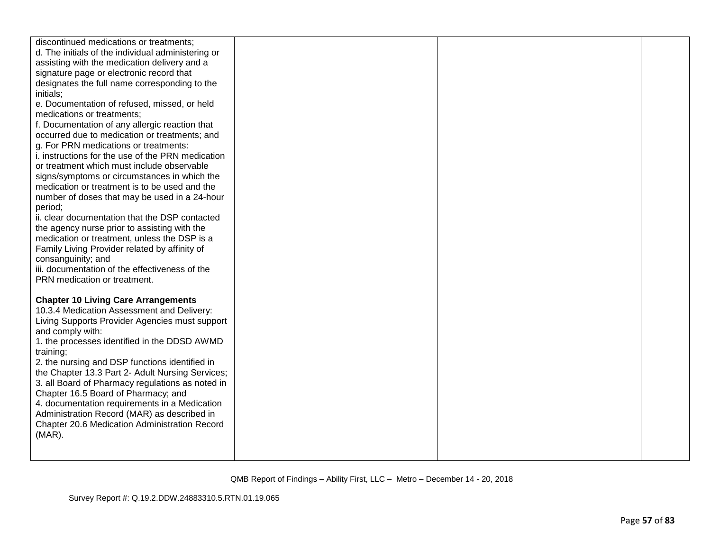| discontinued medications or treatments;<br>d. The initials of the individual administering or<br>assisting with the medication delivery and a<br>signature page or electronic record that<br>designates the full name corresponding to the<br>initials;<br>e. Documentation of refused, missed, or held<br>medications or treatments;<br>f. Documentation of any allergic reaction that<br>occurred due to medication or treatments; and<br>g. For PRN medications or treatments:<br>i. instructions for the use of the PRN medication<br>or treatment which must include observable<br>signs/symptoms or circumstances in which the<br>medication or treatment is to be used and the<br>number of doses that may be used in a 24-hour<br>period;<br>ii. clear documentation that the DSP contacted<br>the agency nurse prior to assisting with the<br>medication or treatment, unless the DSP is a |  |  |
|-----------------------------------------------------------------------------------------------------------------------------------------------------------------------------------------------------------------------------------------------------------------------------------------------------------------------------------------------------------------------------------------------------------------------------------------------------------------------------------------------------------------------------------------------------------------------------------------------------------------------------------------------------------------------------------------------------------------------------------------------------------------------------------------------------------------------------------------------------------------------------------------------------|--|--|
| Family Living Provider related by affinity of<br>consanguinity; and<br>iii. documentation of the effectiveness of the<br>PRN medication or treatment.<br><b>Chapter 10 Living Care Arrangements</b><br>10.3.4 Medication Assessment and Delivery:                                                                                                                                                                                                                                                                                                                                                                                                                                                                                                                                                                                                                                                   |  |  |
| Living Supports Provider Agencies must support<br>and comply with:<br>1. the processes identified in the DDSD AWMD<br>training;<br>2. the nursing and DSP functions identified in<br>the Chapter 13.3 Part 2- Adult Nursing Services;<br>3. all Board of Pharmacy regulations as noted in<br>Chapter 16.5 Board of Pharmacy; and<br>4. documentation requirements in a Medication                                                                                                                                                                                                                                                                                                                                                                                                                                                                                                                   |  |  |
| Administration Record (MAR) as described in<br>Chapter 20.6 Medication Administration Record<br>$(MAR)$ .                                                                                                                                                                                                                                                                                                                                                                                                                                                                                                                                                                                                                                                                                                                                                                                           |  |  |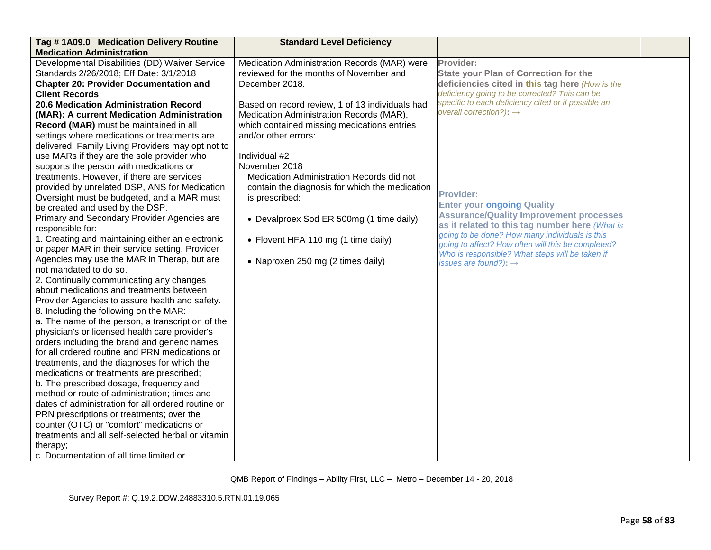| Tag #1A09.0 Medication Delivery Routine                                                 | <b>Standard Level Deficiency</b>                |                                                                                     |  |
|-----------------------------------------------------------------------------------------|-------------------------------------------------|-------------------------------------------------------------------------------------|--|
| <b>Medication Administration</b>                                                        |                                                 |                                                                                     |  |
| Developmental Disabilities (DD) Waiver Service                                          | Medication Administration Records (MAR) were    | Provider:                                                                           |  |
| Standards 2/26/2018; Eff Date: 3/1/2018                                                 | reviewed for the months of November and         | <b>State your Plan of Correction for the</b>                                        |  |
| <b>Chapter 20: Provider Documentation and</b>                                           | December 2018.                                  | deficiencies cited in this tag here (How is the                                     |  |
| <b>Client Records</b>                                                                   |                                                 | deficiency going to be corrected? This can be                                       |  |
| <b>20.6 Medication Administration Record</b>                                            | Based on record review, 1 of 13 individuals had | specific to each deficiency cited or if possible an                                 |  |
| (MAR): A current Medication Administration                                              | Medication Administration Records (MAR),        | overall correction?): $\rightarrow$                                                 |  |
| Record (MAR) must be maintained in all                                                  | which contained missing medications entries     |                                                                                     |  |
| settings where medications or treatments are                                            | and/or other errors:                            |                                                                                     |  |
| delivered. Family Living Providers may opt not to                                       |                                                 |                                                                                     |  |
| use MARs if they are the sole provider who                                              | Individual #2                                   |                                                                                     |  |
| supports the person with medications or                                                 | November 2018                                   |                                                                                     |  |
| treatments. However, if there are services                                              | Medication Administration Records did not       |                                                                                     |  |
| provided by unrelated DSP, ANS for Medication                                           | contain the diagnosis for which the medication  | Provider:                                                                           |  |
| Oversight must be budgeted, and a MAR must                                              | is prescribed:                                  |                                                                                     |  |
| be created and used by the DSP.                                                         |                                                 | <b>Enter your ongoing Quality</b><br><b>Assurance/Quality Improvement processes</b> |  |
| Primary and Secondary Provider Agencies are                                             | • Devalproex Sod ER 500mg (1 time daily)        | as it related to this tag number here (What is                                      |  |
| responsible for:                                                                        |                                                 | going to be done? How many individuals is this                                      |  |
| 1. Creating and maintaining either an electronic                                        | • Flovent HFA 110 mg (1 time daily)             | going to affect? How often will this be completed?                                  |  |
| or paper MAR in their service setting. Provider                                         |                                                 | Who is responsible? What steps will be taken if                                     |  |
| Agencies may use the MAR in Therap, but are                                             | • Naproxen 250 mg (2 times daily)               | issues are found?): $\rightarrow$                                                   |  |
| not mandated to do so.                                                                  |                                                 |                                                                                     |  |
| 2. Continually communicating any changes                                                |                                                 |                                                                                     |  |
| about medications and treatments between                                                |                                                 |                                                                                     |  |
| Provider Agencies to assure health and safety.                                          |                                                 |                                                                                     |  |
| 8. Including the following on the MAR:                                                  |                                                 |                                                                                     |  |
| a. The name of the person, a transcription of the                                       |                                                 |                                                                                     |  |
| physician's or licensed health care provider's                                          |                                                 |                                                                                     |  |
| orders including the brand and generic names                                            |                                                 |                                                                                     |  |
| for all ordered routine and PRN medications or                                          |                                                 |                                                                                     |  |
| treatments, and the diagnoses for which the                                             |                                                 |                                                                                     |  |
| medications or treatments are prescribed;                                               |                                                 |                                                                                     |  |
| b. The prescribed dosage, frequency and<br>method or route of administration; times and |                                                 |                                                                                     |  |
| dates of administration for all ordered routine or                                      |                                                 |                                                                                     |  |
| PRN prescriptions or treatments; over the                                               |                                                 |                                                                                     |  |
| counter (OTC) or "comfort" medications or                                               |                                                 |                                                                                     |  |
| treatments and all self-selected herbal or vitamin                                      |                                                 |                                                                                     |  |
| therapy;                                                                                |                                                 |                                                                                     |  |
| c. Documentation of all time limited or                                                 |                                                 |                                                                                     |  |
|                                                                                         |                                                 |                                                                                     |  |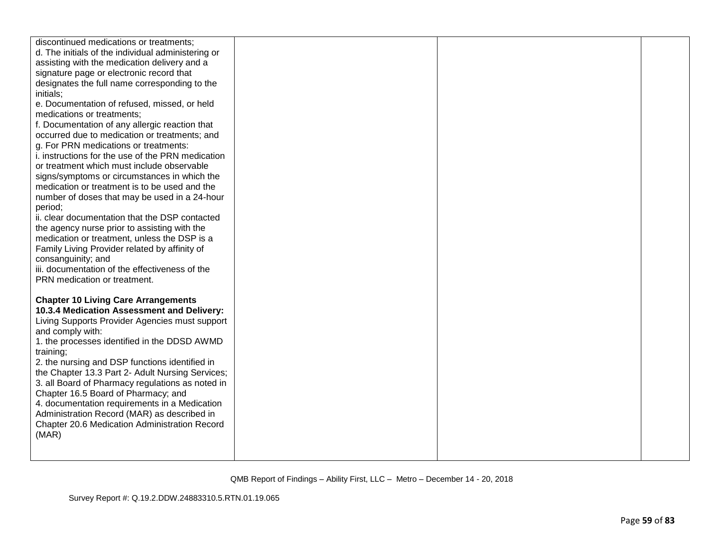| discontinued medications or treatments;<br>d. The initials of the individual administering or<br>assisting with the medication delivery and a<br>signature page or electronic record that<br>designates the full name corresponding to the<br>initials;<br>e. Documentation of refused, missed, or held<br>medications or treatments;<br>f. Documentation of any allergic reaction that<br>occurred due to medication or treatments; and<br>g. For PRN medications or treatments:<br>i. instructions for the use of the PRN medication<br>or treatment which must include observable<br>signs/symptoms or circumstances in which the<br>medication or treatment is to be used and the<br>number of doses that may be used in a 24-hour<br>period;<br>ii. clear documentation that the DSP contacted<br>the agency nurse prior to assisting with the<br>medication or treatment, unless the DSP is a<br>Family Living Provider related by affinity of |  |  |
|------------------------------------------------------------------------------------------------------------------------------------------------------------------------------------------------------------------------------------------------------------------------------------------------------------------------------------------------------------------------------------------------------------------------------------------------------------------------------------------------------------------------------------------------------------------------------------------------------------------------------------------------------------------------------------------------------------------------------------------------------------------------------------------------------------------------------------------------------------------------------------------------------------------------------------------------------|--|--|
| consanguinity; and                                                                                                                                                                                                                                                                                                                                                                                                                                                                                                                                                                                                                                                                                                                                                                                                                                                                                                                                   |  |  |
| iii. documentation of the effectiveness of the<br>PRN medication or treatment.                                                                                                                                                                                                                                                                                                                                                                                                                                                                                                                                                                                                                                                                                                                                                                                                                                                                       |  |  |
| <b>Chapter 10 Living Care Arrangements</b><br>10.3.4 Medication Assessment and Delivery:<br>Living Supports Provider Agencies must support<br>and comply with:<br>1. the processes identified in the DDSD AWMD<br>training;<br>2. the nursing and DSP functions identified in<br>the Chapter 13.3 Part 2- Adult Nursing Services;<br>3. all Board of Pharmacy regulations as noted in<br>Chapter 16.5 Board of Pharmacy; and<br>4. documentation requirements in a Medication<br>Administration Record (MAR) as described in<br>Chapter 20.6 Medication Administration Record<br>(MAR)                                                                                                                                                                                                                                                                                                                                                               |  |  |
|                                                                                                                                                                                                                                                                                                                                                                                                                                                                                                                                                                                                                                                                                                                                                                                                                                                                                                                                                      |  |  |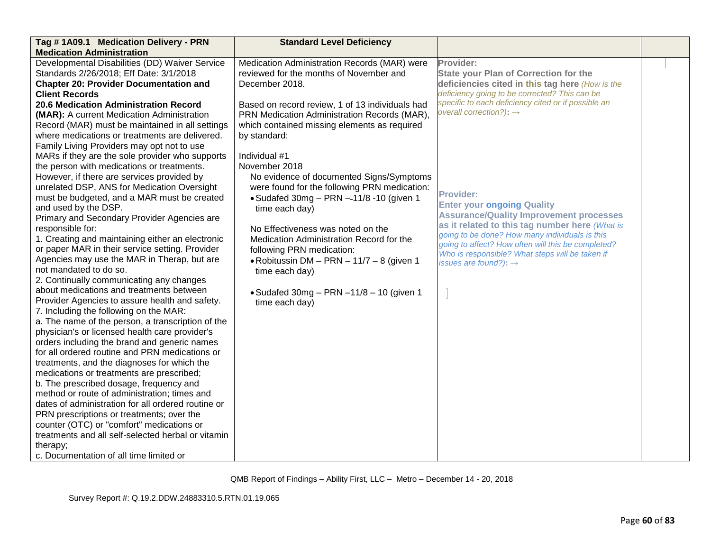| Tag # 1A09.1 Medication Delivery - PRN<br><b>Standard Level Deficiency</b><br><b>Medication Administration</b>                                                                                                                                                                                                                                                                                                                                                                                                                                                                                                                                                                                                                                                                                                                                                                                                                                                                                                                                                                                                                                                                                                                                                                                                                                                                                                                                                                                                                                                                                                                                                                                                                                                                                                                                                                                                                                                                                                                                                                                                                                                                                                                                                                                                                                                                                                                                                                                                                   |                                                                                                                                                                                                                                                                                                                                                                                                                                                                                                                                                                                                                   |  |
|----------------------------------------------------------------------------------------------------------------------------------------------------------------------------------------------------------------------------------------------------------------------------------------------------------------------------------------------------------------------------------------------------------------------------------------------------------------------------------------------------------------------------------------------------------------------------------------------------------------------------------------------------------------------------------------------------------------------------------------------------------------------------------------------------------------------------------------------------------------------------------------------------------------------------------------------------------------------------------------------------------------------------------------------------------------------------------------------------------------------------------------------------------------------------------------------------------------------------------------------------------------------------------------------------------------------------------------------------------------------------------------------------------------------------------------------------------------------------------------------------------------------------------------------------------------------------------------------------------------------------------------------------------------------------------------------------------------------------------------------------------------------------------------------------------------------------------------------------------------------------------------------------------------------------------------------------------------------------------------------------------------------------------------------------------------------------------------------------------------------------------------------------------------------------------------------------------------------------------------------------------------------------------------------------------------------------------------------------------------------------------------------------------------------------------------------------------------------------------------------------------------------------------|-------------------------------------------------------------------------------------------------------------------------------------------------------------------------------------------------------------------------------------------------------------------------------------------------------------------------------------------------------------------------------------------------------------------------------------------------------------------------------------------------------------------------------------------------------------------------------------------------------------------|--|
| Developmental Disabilities (DD) Waiver Service<br>Medication Administration Records (MAR) were<br>Standards 2/26/2018; Eff Date: 3/1/2018<br>reviewed for the months of November and<br>December 2018.<br><b>Chapter 20: Provider Documentation and</b><br><b>Client Records</b><br>20.6 Medication Administration Record<br>Based on record review, 1 of 13 individuals had<br>(MAR): A current Medication Administration<br>PRN Medication Administration Records (MAR),<br>which contained missing elements as required<br>Record (MAR) must be maintained in all settings<br>where medications or treatments are delivered.<br>by standard:<br>Family Living Providers may opt not to use<br>Individual #1<br>MARs if they are the sole provider who supports<br>the person with medications or treatments.<br>November 2018<br>No evidence of documented Signs/Symptoms<br>However, if there are services provided by<br>were found for the following PRN medication:<br>unrelated DSP, ANS for Medication Oversight<br>must be budgeted, and a MAR must be created<br>$\bullet$ Sudafed 30mg - PRN $-11/8$ -10 (given 1<br>and used by the DSP.<br>time each day)<br>Primary and Secondary Provider Agencies are<br>responsible for:<br>No Effectiveness was noted on the<br>1. Creating and maintaining either an electronic<br>Medication Administration Record for the<br>or paper MAR in their service setting. Provider<br>following PRN medication:<br>Agencies may use the MAR in Therap, but are<br>• Robitussin DM - PRN - $11/7 - 8$ (given 1<br>not mandated to do so.<br>time each day)<br>2. Continually communicating any changes<br>about medications and treatments between<br>$\bullet$ Sudafed 30mg - PRN -11/8 - 10 (given 1<br>Provider Agencies to assure health and safety.<br>time each day)<br>7. Including the following on the MAR:<br>a. The name of the person, a transcription of the<br>physician's or licensed health care provider's<br>orders including the brand and generic names<br>for all ordered routine and PRN medications or<br>treatments, and the diagnoses for which the<br>medications or treatments are prescribed;<br>b. The prescribed dosage, frequency and<br>method or route of administration; times and<br>dates of administration for all ordered routine or<br>PRN prescriptions or treatments; over the<br>counter (OTC) or "comfort" medications or<br>treatments and all self-selected herbal or vitamin<br>therapy;<br>c. Documentation of all time limited or | Provider:<br><b>State your Plan of Correction for the</b><br>deficiencies cited in this tag here (How is the<br>deficiency going to be corrected? This can be<br>specific to each deficiency cited or if possible an<br>overall correction?): $\rightarrow$<br>Provider:<br><b>Enter your ongoing Quality</b><br><b>Assurance/Quality Improvement processes</b><br>as it related to this tag number here (What is<br>going to be done? How many individuals is this<br>going to affect? How often will this be completed?<br>Who is responsible? What steps will be taken if<br>issues are found?): $\rightarrow$ |  |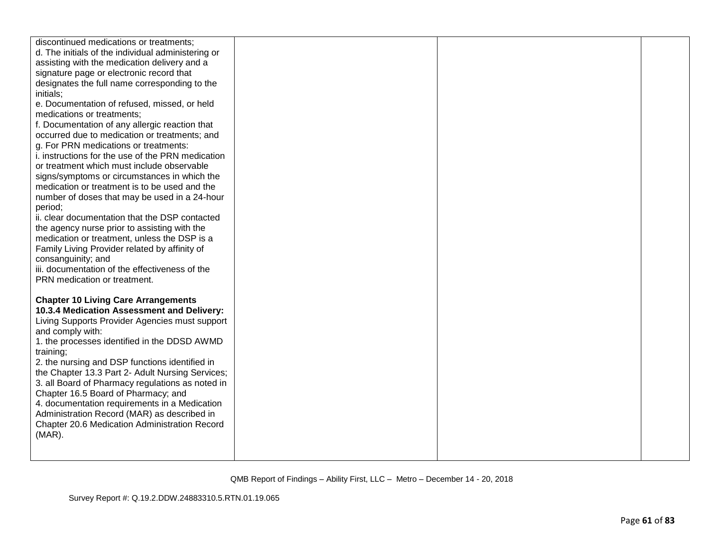| discontinued medications or treatments;<br>d. The initials of the individual administering or<br>assisting with the medication delivery and a<br>signature page or electronic record that<br>designates the full name corresponding to the<br>initials;<br>e. Documentation of refused, missed, or held<br>medications or treatments;<br>f. Documentation of any allergic reaction that<br>occurred due to medication or treatments; and<br>g. For PRN medications or treatments:<br>i. instructions for the use of the PRN medication<br>or treatment which must include observable<br>signs/symptoms or circumstances in which the<br>medication or treatment is to be used and the<br>number of doses that may be used in a 24-hour<br>period;<br>ii. clear documentation that the DSP contacted<br>the agency nurse prior to assisting with the<br>medication or treatment, unless the DSP is a<br>Family Living Provider related by affinity of |  |  |
|------------------------------------------------------------------------------------------------------------------------------------------------------------------------------------------------------------------------------------------------------------------------------------------------------------------------------------------------------------------------------------------------------------------------------------------------------------------------------------------------------------------------------------------------------------------------------------------------------------------------------------------------------------------------------------------------------------------------------------------------------------------------------------------------------------------------------------------------------------------------------------------------------------------------------------------------------|--|--|
| consanguinity; and                                                                                                                                                                                                                                                                                                                                                                                                                                                                                                                                                                                                                                                                                                                                                                                                                                                                                                                                   |  |  |
| iii. documentation of the effectiveness of the                                                                                                                                                                                                                                                                                                                                                                                                                                                                                                                                                                                                                                                                                                                                                                                                                                                                                                       |  |  |
| PRN medication or treatment.                                                                                                                                                                                                                                                                                                                                                                                                                                                                                                                                                                                                                                                                                                                                                                                                                                                                                                                         |  |  |
| <b>Chapter 10 Living Care Arrangements</b><br>10.3.4 Medication Assessment and Delivery:<br>Living Supports Provider Agencies must support<br>and comply with:<br>1. the processes identified in the DDSD AWMD<br>training;<br>2. the nursing and DSP functions identified in<br>the Chapter 13.3 Part 2- Adult Nursing Services;<br>3. all Board of Pharmacy regulations as noted in<br>Chapter 16.5 Board of Pharmacy; and<br>4. documentation requirements in a Medication<br>Administration Record (MAR) as described in<br>Chapter 20.6 Medication Administration Record<br>$(MAR)$ .                                                                                                                                                                                                                                                                                                                                                           |  |  |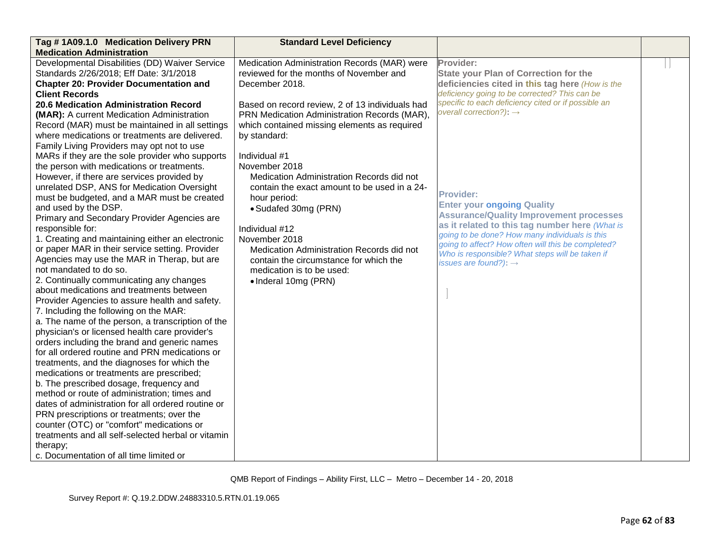| <b>Medication Administration</b>                                                                                                                                                                                                                                                                                                                                                                                                                                                                                                                                                                                                                                                                                                                                                                                                                                                                                                                                                                                                                                                                                                                                                                                                                                                                                                                                                                                                                                                                                                                                                                                                                                                                                                                                                                                                                                                                                                                                                                                                                                                                                                                                                                                                                                                                                                                                                                                                                       |                                                                                                                                                                                                                                                                                                                                                                                                                                                                                                                                                                                         |
|--------------------------------------------------------------------------------------------------------------------------------------------------------------------------------------------------------------------------------------------------------------------------------------------------------------------------------------------------------------------------------------------------------------------------------------------------------------------------------------------------------------------------------------------------------------------------------------------------------------------------------------------------------------------------------------------------------------------------------------------------------------------------------------------------------------------------------------------------------------------------------------------------------------------------------------------------------------------------------------------------------------------------------------------------------------------------------------------------------------------------------------------------------------------------------------------------------------------------------------------------------------------------------------------------------------------------------------------------------------------------------------------------------------------------------------------------------------------------------------------------------------------------------------------------------------------------------------------------------------------------------------------------------------------------------------------------------------------------------------------------------------------------------------------------------------------------------------------------------------------------------------------------------------------------------------------------------------------------------------------------------------------------------------------------------------------------------------------------------------------------------------------------------------------------------------------------------------------------------------------------------------------------------------------------------------------------------------------------------------------------------------------------------------------------------------------------------|-----------------------------------------------------------------------------------------------------------------------------------------------------------------------------------------------------------------------------------------------------------------------------------------------------------------------------------------------------------------------------------------------------------------------------------------------------------------------------------------------------------------------------------------------------------------------------------------|
| Developmental Disabilities (DD) Waiver Service<br>Medication Administration Records (MAR) were<br>Provider:<br>Standards 2/26/2018; Eff Date: 3/1/2018<br>reviewed for the months of November and<br><b>Chapter 20: Provider Documentation and</b><br>December 2018.<br><b>Client Records</b><br>20.6 Medication Administration Record<br>Based on record review, 2 of 13 individuals had<br>PRN Medication Administration Records (MAR),<br>(MAR): A current Medication Administration<br>which contained missing elements as required<br>Record (MAR) must be maintained in all settings<br>where medications or treatments are delivered.<br>by standard:<br>Family Living Providers may opt not to use<br>MARs if they are the sole provider who supports<br>Individual #1<br>the person with medications or treatments.<br>November 2018<br>However, if there are services provided by<br>Medication Administration Records did not<br>unrelated DSP, ANS for Medication Oversight<br>contain the exact amount to be used in a 24-<br>Provider:<br>must be budgeted, and a MAR must be created<br>hour period:<br>and used by the DSP.<br>• Sudafed 30mg (PRN)<br>Primary and Secondary Provider Agencies are<br>responsible for:<br>Individual #12<br>1. Creating and maintaining either an electronic<br>November 2018<br>or paper MAR in their service setting. Provider<br>Medication Administration Records did not<br>Agencies may use the MAR in Therap, but are<br>contain the circumstance for which the<br>not mandated to do so.<br>medication is to be used:<br>2. Continually communicating any changes<br>• Inderal 10mg (PRN)<br>about medications and treatments between<br>Provider Agencies to assure health and safety.<br>7. Including the following on the MAR:<br>a. The name of the person, a transcription of the<br>physician's or licensed health care provider's<br>orders including the brand and generic names<br>for all ordered routine and PRN medications or<br>treatments, and the diagnoses for which the<br>medications or treatments are prescribed;<br>b. The prescribed dosage, frequency and<br>method or route of administration; times and<br>dates of administration for all ordered routine or<br>PRN prescriptions or treatments; over the<br>counter (OTC) or "comfort" medications or<br>treatments and all self-selected herbal or vitamin<br>therapy;<br>c. Documentation of all time limited or | <b>State your Plan of Correction for the</b><br>deficiencies cited in this tag here (How is the<br>deficiency going to be corrected? This can be<br>specific to each deficiency cited or if possible an<br>overall correction?): $\rightarrow$<br><b>Enter your ongoing Quality</b><br><b>Assurance/Quality Improvement processes</b><br>as it related to this tag number here (What is<br>going to be done? How many individuals is this<br>going to affect? How often will this be completed?<br>Who is responsible? What steps will be taken if<br>issues are found?): $\rightarrow$ |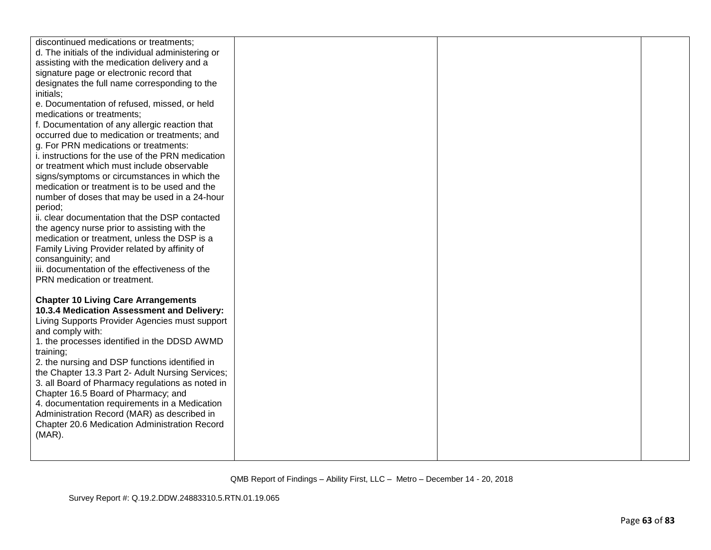| discontinued medications or treatments;<br>d. The initials of the individual administering or |  |  |
|-----------------------------------------------------------------------------------------------|--|--|
| assisting with the medication delivery and a                                                  |  |  |
| signature page or electronic record that                                                      |  |  |
| designates the full name corresponding to the                                                 |  |  |
| initials;                                                                                     |  |  |
| e. Documentation of refused, missed, or held<br>medications or treatments;                    |  |  |
| f. Documentation of any allergic reaction that                                                |  |  |
| occurred due to medication or treatments; and                                                 |  |  |
| g. For PRN medications or treatments:                                                         |  |  |
| i. instructions for the use of the PRN medication                                             |  |  |
| or treatment which must include observable                                                    |  |  |
| signs/symptoms or circumstances in which the                                                  |  |  |
| medication or treatment is to be used and the                                                 |  |  |
| number of doses that may be used in a 24-hour<br>period;                                      |  |  |
| ii. clear documentation that the DSP contacted                                                |  |  |
| the agency nurse prior to assisting with the                                                  |  |  |
| medication or treatment, unless the DSP is a                                                  |  |  |
| Family Living Provider related by affinity of                                                 |  |  |
| consanguinity; and                                                                            |  |  |
| iii. documentation of the effectiveness of the                                                |  |  |
| PRN medication or treatment.                                                                  |  |  |
| <b>Chapter 10 Living Care Arrangements</b>                                                    |  |  |
| 10.3.4 Medication Assessment and Delivery:                                                    |  |  |
| Living Supports Provider Agencies must support                                                |  |  |
| and comply with:                                                                              |  |  |
| 1. the processes identified in the DDSD AWMD                                                  |  |  |
| training;<br>2. the nursing and DSP functions identified in                                   |  |  |
| the Chapter 13.3 Part 2- Adult Nursing Services;                                              |  |  |
| 3. all Board of Pharmacy regulations as noted in                                              |  |  |
| Chapter 16.5 Board of Pharmacy; and                                                           |  |  |
| 4. documentation requirements in a Medication                                                 |  |  |
| Administration Record (MAR) as described in                                                   |  |  |
| Chapter 20.6 Medication Administration Record                                                 |  |  |
| $(MAR)$ .                                                                                     |  |  |
|                                                                                               |  |  |
|                                                                                               |  |  |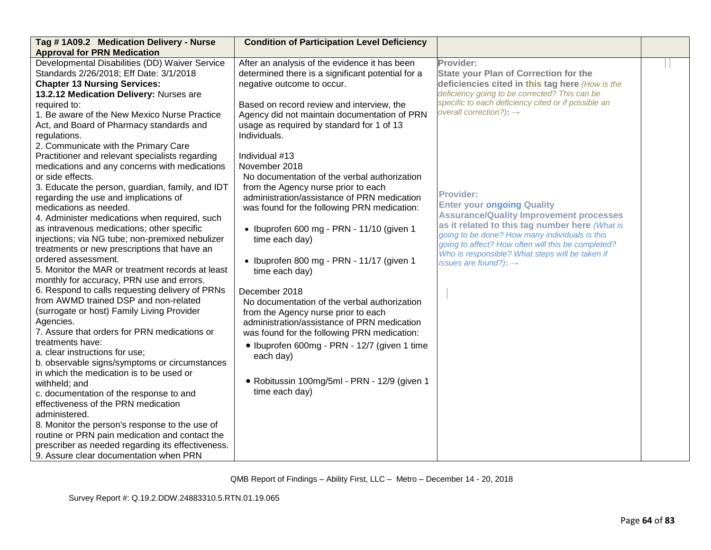| Tag #1A09.2 Medication Delivery - Nurse           | <b>Condition of Participation Level Deficiency</b> |                                                                                                      |  |
|---------------------------------------------------|----------------------------------------------------|------------------------------------------------------------------------------------------------------|--|
| <b>Approval for PRN Medication</b>                |                                                    |                                                                                                      |  |
| Developmental Disabilities (DD) Waiver Service    | After an analysis of the evidence it has been      | Provider:                                                                                            |  |
| Standards 2/26/2018; Eff Date: 3/1/2018           | determined there is a significant potential for a  | <b>State your Plan of Correction for the</b>                                                         |  |
| <b>Chapter 13 Nursing Services:</b>               | negative outcome to occur.                         | deficiencies cited in this tag here (How is the                                                      |  |
| 13.2.12 Medication Delivery: Nurses are           |                                                    | deficiency going to be corrected? This can be                                                        |  |
| required to:                                      | Based on record review and interview, the          | specific to each deficiency cited or if possible an                                                  |  |
| 1. Be aware of the New Mexico Nurse Practice      | Agency did not maintain documentation of PRN       | overall correction?): $\rightarrow$                                                                  |  |
| Act, and Board of Pharmacy standards and          | usage as required by standard for 1 of 13          |                                                                                                      |  |
| regulations.                                      | Individuals.                                       |                                                                                                      |  |
| 2. Communicate with the Primary Care              |                                                    |                                                                                                      |  |
| Practitioner and relevant specialists regarding   | Individual #13                                     |                                                                                                      |  |
| medications and any concerns with medications     | November 2018                                      |                                                                                                      |  |
| or side effects.                                  | No documentation of the verbal authorization       |                                                                                                      |  |
| 3. Educate the person, guardian, family, and IDT  | from the Agency nurse prior to each                |                                                                                                      |  |
| regarding the use and implications of             | administration/assistance of PRN medication        | <b>Provider:</b>                                                                                     |  |
| medications as needed.                            | was found for the following PRN medication:        | <b>Enter your ongoing Quality</b>                                                                    |  |
| 4. Administer medications when required, such     |                                                    | <b>Assurance/Quality Improvement processes</b>                                                       |  |
| as intravenous medications; other specific        | · Ibuprofen 600 mg - PRN - 11/10 (given 1          | as it related to this tag number here (What is                                                       |  |
| injections; via NG tube; non-premixed nebulizer   | time each day)                                     | going to be done? How many individuals is this<br>going to affect? How often will this be completed? |  |
| treatments or new prescriptions that have an      |                                                    | Who is responsible? What steps will be taken if                                                      |  |
| ordered assessment.                               | · Ibuprofen 800 mg - PRN - 11/17 (given 1          | issues are found?): $\rightarrow$                                                                    |  |
| 5. Monitor the MAR or treatment records at least  | time each day)                                     |                                                                                                      |  |
| monthly for accuracy, PRN use and errors.         |                                                    |                                                                                                      |  |
| 6. Respond to calls requesting delivery of PRNs   | December 2018                                      |                                                                                                      |  |
| from AWMD trained DSP and non-related             | No documentation of the verbal authorization       |                                                                                                      |  |
| (surrogate or host) Family Living Provider        | from the Agency nurse prior to each                |                                                                                                      |  |
| Agencies.                                         | administration/assistance of PRN medication        |                                                                                                      |  |
| 7. Assure that orders for PRN medications or      | was found for the following PRN medication:        |                                                                                                      |  |
| treatments have:                                  | · Ibuprofen 600mg - PRN - 12/7 (given 1 time       |                                                                                                      |  |
| a. clear instructions for use;                    | each day)                                          |                                                                                                      |  |
| b. observable signs/symptoms or circumstances     |                                                    |                                                                                                      |  |
| in which the medication is to be used or          |                                                    |                                                                                                      |  |
| withheld; and                                     | · Robitussin 100mg/5ml - PRN - 12/9 (given 1       |                                                                                                      |  |
| c. documentation of the response to and           | time each day)                                     |                                                                                                      |  |
| effectiveness of the PRN medication               |                                                    |                                                                                                      |  |
| administered.                                     |                                                    |                                                                                                      |  |
| 8. Monitor the person's response to the use of    |                                                    |                                                                                                      |  |
| routine or PRN pain medication and contact the    |                                                    |                                                                                                      |  |
| prescriber as needed regarding its effectiveness. |                                                    |                                                                                                      |  |
| 9. Assure clear documentation when PRN            |                                                    |                                                                                                      |  |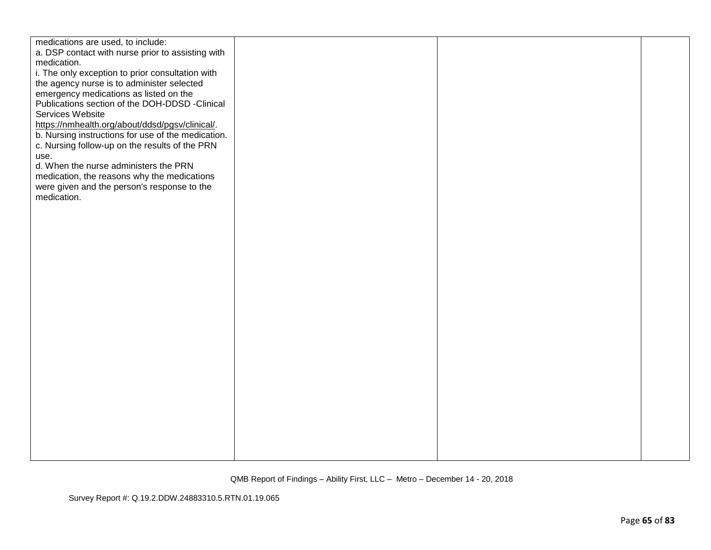| medications are used, to include:                  |  |  |
|----------------------------------------------------|--|--|
| a. DSP contact with nurse prior to assisting with  |  |  |
| medication.                                        |  |  |
| i. The only exception to prior consultation with   |  |  |
| the agency nurse is to administer selected         |  |  |
|                                                    |  |  |
| emergency medications as listed on the             |  |  |
| Publications section of the DOH-DDSD -Clinical     |  |  |
| Services Website                                   |  |  |
| https://nmhealth.org/about/ddsd/pgsv/clinical/.    |  |  |
| b. Nursing instructions for use of the medication. |  |  |
| c. Nursing follow-up on the results of the PRN     |  |  |
| use.                                               |  |  |
| d. When the nurse administers the PRN              |  |  |
| medication, the reasons why the medications        |  |  |
| were given and the person's response to the        |  |  |
| medication.                                        |  |  |
|                                                    |  |  |
|                                                    |  |  |
|                                                    |  |  |
|                                                    |  |  |
|                                                    |  |  |
|                                                    |  |  |
|                                                    |  |  |
|                                                    |  |  |
|                                                    |  |  |
|                                                    |  |  |
|                                                    |  |  |
|                                                    |  |  |
|                                                    |  |  |
|                                                    |  |  |
|                                                    |  |  |
|                                                    |  |  |
|                                                    |  |  |
|                                                    |  |  |
|                                                    |  |  |
|                                                    |  |  |
|                                                    |  |  |
|                                                    |  |  |
|                                                    |  |  |
|                                                    |  |  |
|                                                    |  |  |
|                                                    |  |  |
|                                                    |  |  |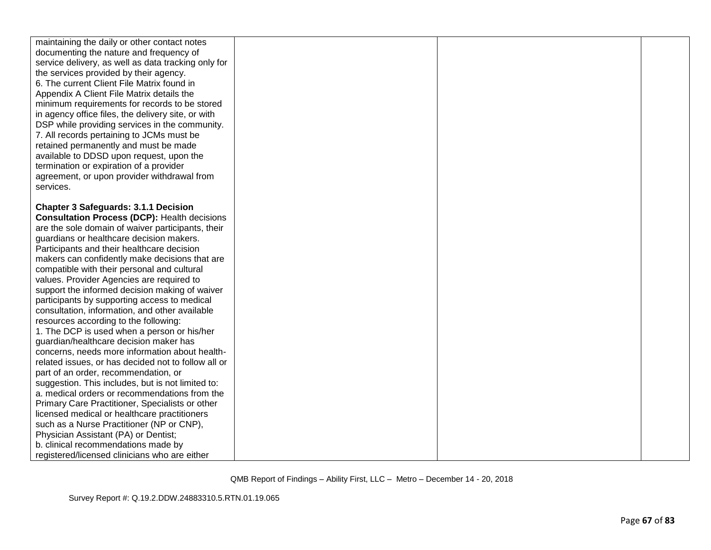| maintaining the daily or other contact notes        |  |  |
|-----------------------------------------------------|--|--|
| documenting the nature and frequency of             |  |  |
| service delivery, as well as data tracking only for |  |  |
| the services provided by their agency.              |  |  |
| 6. The current Client File Matrix found in          |  |  |
| Appendix A Client File Matrix details the           |  |  |
| minimum requirements for records to be stored       |  |  |
| in agency office files, the delivery site, or with  |  |  |
| DSP while providing services in the community.      |  |  |
| 7. All records pertaining to JCMs must be           |  |  |
| retained permanently and must be made               |  |  |
| available to DDSD upon request, upon the            |  |  |
| termination or expiration of a provider             |  |  |
| agreement, or upon provider withdrawal from         |  |  |
| services.                                           |  |  |
|                                                     |  |  |
| <b>Chapter 3 Safeguards: 3.1.1 Decision</b>         |  |  |
| <b>Consultation Process (DCP): Health decisions</b> |  |  |
| are the sole domain of waiver participants, their   |  |  |
| guardians or healthcare decision makers.            |  |  |
| Participants and their healthcare decision          |  |  |
| makers can confidently make decisions that are      |  |  |
| compatible with their personal and cultural         |  |  |
| values. Provider Agencies are required to           |  |  |
| support the informed decision making of waiver      |  |  |
| participants by supporting access to medical        |  |  |
| consultation, information, and other available      |  |  |
| resources according to the following:               |  |  |
| 1. The DCP is used when a person or his/her         |  |  |
| guardian/healthcare decision maker has              |  |  |
| concerns, needs more information about health-      |  |  |
| related issues, or has decided not to follow all or |  |  |
| part of an order, recommendation, or                |  |  |
| suggestion. This includes, but is not limited to:   |  |  |
| a. medical orders or recommendations from the       |  |  |
| Primary Care Practitioner, Specialists or other     |  |  |
| licensed medical or healthcare practitioners        |  |  |
| such as a Nurse Practitioner (NP or CNP),           |  |  |
| Physician Assistant (PA) or Dentist;                |  |  |
| b. clinical recommendations made by                 |  |  |
| registered/licensed clinicians who are either       |  |  |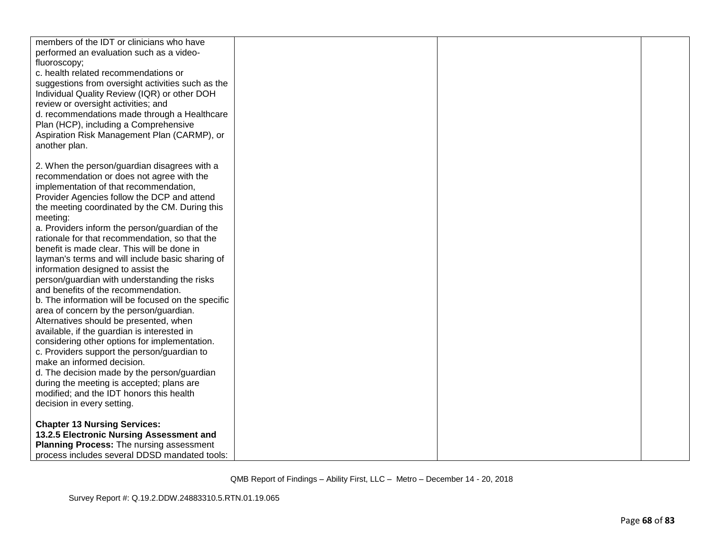| members of the IDT or clinicians who have          |  |  |
|----------------------------------------------------|--|--|
| performed an evaluation such as a video-           |  |  |
| fluoroscopy;                                       |  |  |
| c. health related recommendations or               |  |  |
|                                                    |  |  |
| suggestions from oversight activities such as the  |  |  |
| Individual Quality Review (IQR) or other DOH       |  |  |
| review or oversight activities; and                |  |  |
| d. recommendations made through a Healthcare       |  |  |
| Plan (HCP), including a Comprehensive              |  |  |
| Aspiration Risk Management Plan (CARMP), or        |  |  |
| another plan.                                      |  |  |
|                                                    |  |  |
| 2. When the person/guardian disagrees with a       |  |  |
| recommendation or does not agree with the          |  |  |
| implementation of that recommendation,             |  |  |
| Provider Agencies follow the DCP and attend        |  |  |
| the meeting coordinated by the CM. During this     |  |  |
|                                                    |  |  |
| meeting:                                           |  |  |
| a. Providers inform the person/guardian of the     |  |  |
| rationale for that recommendation, so that the     |  |  |
| benefit is made clear. This will be done in        |  |  |
| layman's terms and will include basic sharing of   |  |  |
| information designed to assist the                 |  |  |
| person/guardian with understanding the risks       |  |  |
| and benefits of the recommendation.                |  |  |
| b. The information will be focused on the specific |  |  |
| area of concern by the person/guardian.            |  |  |
| Alternatives should be presented, when             |  |  |
| available, if the guardian is interested in        |  |  |
| considering other options for implementation.      |  |  |
| c. Providers support the person/guardian to        |  |  |
| make an informed decision.                         |  |  |
| d. The decision made by the person/guardian        |  |  |
| during the meeting is accepted; plans are          |  |  |
| modified; and the IDT honors this health           |  |  |
| decision in every setting.                         |  |  |
|                                                    |  |  |
| <b>Chapter 13 Nursing Services:</b>                |  |  |
| 13.2.5 Electronic Nursing Assessment and           |  |  |
| Planning Process: The nursing assessment           |  |  |
| process includes several DDSD mandated tools:      |  |  |
|                                                    |  |  |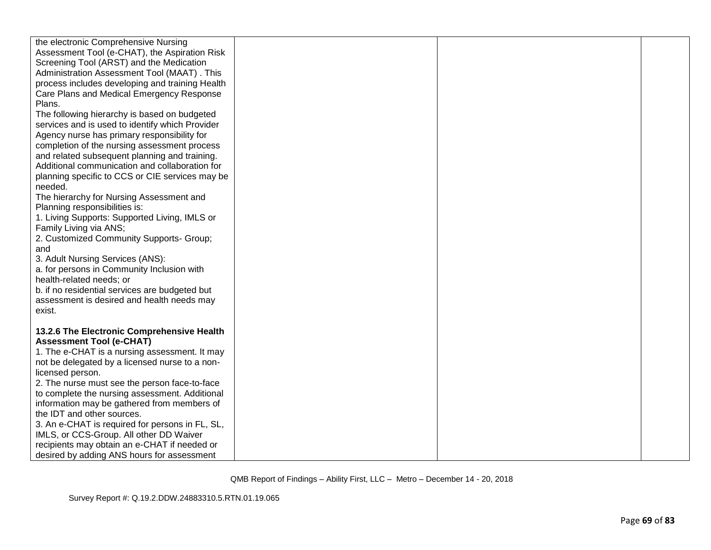| the electronic Comprehensive Nursing                                                          |  |  |
|-----------------------------------------------------------------------------------------------|--|--|
| Assessment Tool (e-CHAT), the Aspiration Risk                                                 |  |  |
| Screening Tool (ARST) and the Medication                                                      |  |  |
| Administration Assessment Tool (MAAT). This                                                   |  |  |
| process includes developing and training Health                                               |  |  |
| Care Plans and Medical Emergency Response                                                     |  |  |
| Plans.                                                                                        |  |  |
| The following hierarchy is based on budgeted                                                  |  |  |
| services and is used to identify which Provider                                               |  |  |
| Agency nurse has primary responsibility for                                                   |  |  |
| completion of the nursing assessment process                                                  |  |  |
| and related subsequent planning and training.                                                 |  |  |
| Additional communication and collaboration for                                                |  |  |
| planning specific to CCS or CIE services may be                                               |  |  |
| needed.                                                                                       |  |  |
| The hierarchy for Nursing Assessment and                                                      |  |  |
| Planning responsibilities is:                                                                 |  |  |
| 1. Living Supports: Supported Living, IMLS or                                                 |  |  |
| Family Living via ANS;                                                                        |  |  |
| 2. Customized Community Supports- Group;                                                      |  |  |
| and                                                                                           |  |  |
| 3. Adult Nursing Services (ANS):                                                              |  |  |
| a. for persons in Community Inclusion with                                                    |  |  |
| health-related needs; or                                                                      |  |  |
| b. if no residential services are budgeted but                                                |  |  |
| assessment is desired and health needs may                                                    |  |  |
| exist.                                                                                        |  |  |
|                                                                                               |  |  |
| 13.2.6 The Electronic Comprehensive Health                                                    |  |  |
| <b>Assessment Tool (e-CHAT)</b>                                                               |  |  |
| 1. The e-CHAT is a nursing assessment. It may                                                 |  |  |
| not be delegated by a licensed nurse to a non-                                                |  |  |
| licensed person.<br>2. The nurse must see the person face-to-face                             |  |  |
|                                                                                               |  |  |
| to complete the nursing assessment. Additional<br>information may be gathered from members of |  |  |
| the IDT and other sources.                                                                    |  |  |
| 3. An e-CHAT is required for persons in FL, SL,                                               |  |  |
| IMLS, or CCS-Group. All other DD Waiver                                                       |  |  |
| recipients may obtain an e-CHAT if needed or                                                  |  |  |
| desired by adding ANS hours for assessment                                                    |  |  |
|                                                                                               |  |  |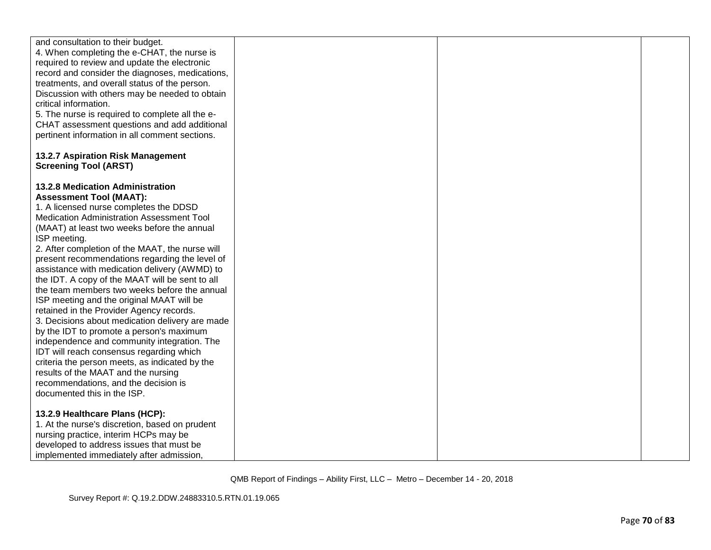| and consultation to their budget.               |  |  |
|-------------------------------------------------|--|--|
| 4. When completing the e-CHAT, the nurse is     |  |  |
| required to review and update the electronic    |  |  |
| record and consider the diagnoses, medications, |  |  |
| treatments, and overall status of the person.   |  |  |
|                                                 |  |  |
| Discussion with others may be needed to obtain  |  |  |
| critical information.                           |  |  |
| 5. The nurse is required to complete all the e- |  |  |
| CHAT assessment questions and add additional    |  |  |
| pertinent information in all comment sections.  |  |  |
|                                                 |  |  |
| 13.2.7 Aspiration Risk Management               |  |  |
| <b>Screening Tool (ARST)</b>                    |  |  |
|                                                 |  |  |
| 13.2.8 Medication Administration                |  |  |
|                                                 |  |  |
| <b>Assessment Tool (MAAT):</b>                  |  |  |
| 1. A licensed nurse completes the DDSD          |  |  |
| Medication Administration Assessment Tool       |  |  |
| (MAAT) at least two weeks before the annual     |  |  |
| ISP meeting.                                    |  |  |
| 2. After completion of the MAAT, the nurse will |  |  |
| present recommendations regarding the level of  |  |  |
| assistance with medication delivery (AWMD) to   |  |  |
| the IDT. A copy of the MAAT will be sent to all |  |  |
| the team members two weeks before the annual    |  |  |
| ISP meeting and the original MAAT will be       |  |  |
| retained in the Provider Agency records.        |  |  |
|                                                 |  |  |
| 3. Decisions about medication delivery are made |  |  |
| by the IDT to promote a person's maximum        |  |  |
| independence and community integration. The     |  |  |
| IDT will reach consensus regarding which        |  |  |
| criteria the person meets, as indicated by the  |  |  |
| results of the MAAT and the nursing             |  |  |
| recommendations, and the decision is            |  |  |
| documented this in the ISP.                     |  |  |
|                                                 |  |  |
| 13.2.9 Healthcare Plans (HCP):                  |  |  |
| 1. At the nurse's discretion, based on prudent  |  |  |
| nursing practice, interim HCPs may be           |  |  |
| developed to address issues that must be        |  |  |
| implemented immediately after admission,        |  |  |
|                                                 |  |  |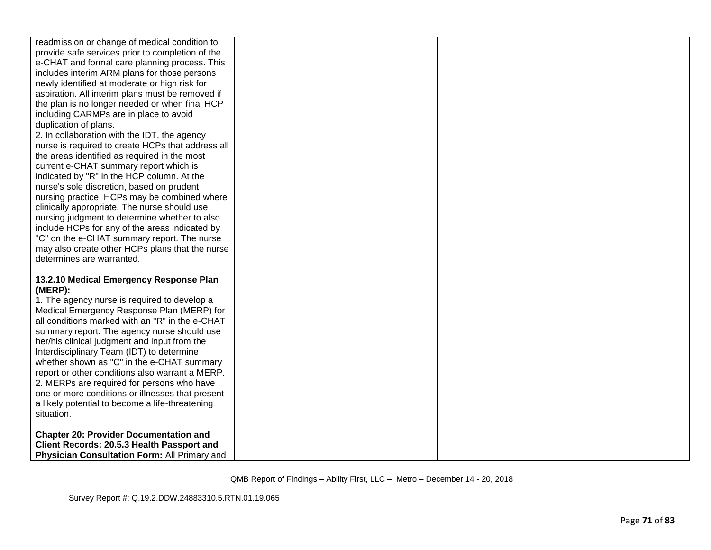| readmission or change of medical condition to       |  |  |
|-----------------------------------------------------|--|--|
| provide safe services prior to completion of the    |  |  |
| e-CHAT and formal care planning process. This       |  |  |
| includes interim ARM plans for those persons        |  |  |
| newly identified at moderate or high risk for       |  |  |
| aspiration. All interim plans must be removed if    |  |  |
| the plan is no longer needed or when final HCP      |  |  |
| including CARMPs are in place to avoid              |  |  |
| duplication of plans.                               |  |  |
| 2. In collaboration with the IDT, the agency        |  |  |
| nurse is required to create HCPs that address all   |  |  |
| the areas identified as required in the most        |  |  |
| current e-CHAT summary report which is              |  |  |
| indicated by "R" in the HCP column. At the          |  |  |
| nurse's sole discretion, based on prudent           |  |  |
| nursing practice, HCPs may be combined where        |  |  |
| clinically appropriate. The nurse should use        |  |  |
| nursing judgment to determine whether to also       |  |  |
| include HCPs for any of the areas indicated by      |  |  |
| "C" on the e-CHAT summary report. The nurse         |  |  |
| may also create other HCPs plans that the nurse     |  |  |
| determines are warranted.                           |  |  |
|                                                     |  |  |
| 13.2.10 Medical Emergency Response Plan             |  |  |
| (MERP):                                             |  |  |
| 1. The agency nurse is required to develop a        |  |  |
| Medical Emergency Response Plan (MERP) for          |  |  |
| all conditions marked with an "R" in the e-CHAT     |  |  |
| summary report. The agency nurse should use         |  |  |
| her/his clinical judgment and input from the        |  |  |
| Interdisciplinary Team (IDT) to determine           |  |  |
|                                                     |  |  |
| whether shown as "C" in the e-CHAT summary          |  |  |
| report or other conditions also warrant a MERP.     |  |  |
| 2. MERPs are required for persons who have          |  |  |
| one or more conditions or illnesses that present    |  |  |
| a likely potential to become a life-threatening     |  |  |
| situation.                                          |  |  |
|                                                     |  |  |
| <b>Chapter 20: Provider Documentation and</b>       |  |  |
| Client Records: 20.5.3 Health Passport and          |  |  |
| <b>Physician Consultation Form: All Primary and</b> |  |  |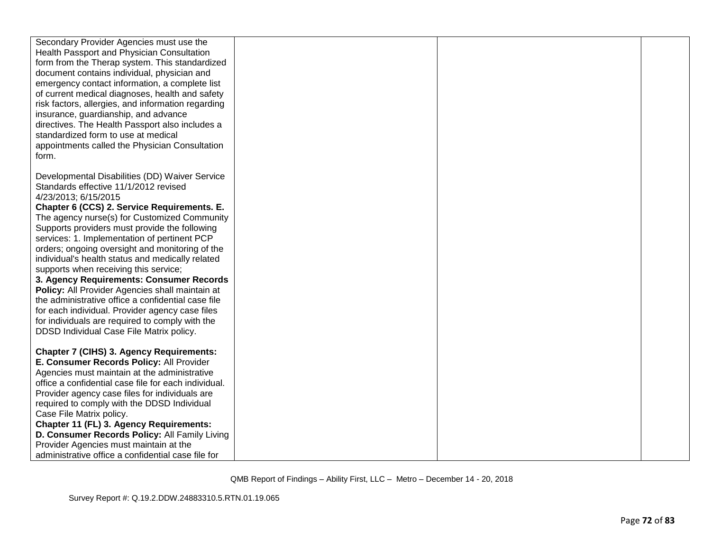| Secondary Provider Agencies must use the             |  |  |
|------------------------------------------------------|--|--|
| Health Passport and Physician Consultation           |  |  |
| form from the Therap system. This standardized       |  |  |
| document contains individual, physician and          |  |  |
| emergency contact information, a complete list       |  |  |
| of current medical diagnoses, health and safety      |  |  |
| risk factors, allergies, and information regarding   |  |  |
| insurance, guardianship, and advance                 |  |  |
| directives. The Health Passport also includes a      |  |  |
| standardized form to use at medical                  |  |  |
| appointments called the Physician Consultation       |  |  |
| form.                                                |  |  |
|                                                      |  |  |
| Developmental Disabilities (DD) Waiver Service       |  |  |
| Standards effective 11/1/2012 revised                |  |  |
| 4/23/2013; 6/15/2015                                 |  |  |
| Chapter 6 (CCS) 2. Service Requirements. E.          |  |  |
| The agency nurse(s) for Customized Community         |  |  |
| Supports providers must provide the following        |  |  |
| services: 1. Implementation of pertinent PCP         |  |  |
| orders; ongoing oversight and monitoring of the      |  |  |
| individual's health status and medically related     |  |  |
| supports when receiving this service;                |  |  |
| 3. Agency Requirements: Consumer Records             |  |  |
| Policy: All Provider Agencies shall maintain at      |  |  |
| the administrative office a confidential case file   |  |  |
| for each individual. Provider agency case files      |  |  |
| for individuals are required to comply with the      |  |  |
| DDSD Individual Case File Matrix policy.             |  |  |
|                                                      |  |  |
| <b>Chapter 7 (CIHS) 3. Agency Requirements:</b>      |  |  |
| E. Consumer Records Policy: All Provider             |  |  |
| Agencies must maintain at the administrative         |  |  |
| office a confidential case file for each individual. |  |  |
| Provider agency case files for individuals are       |  |  |
| required to comply with the DDSD Individual          |  |  |
| Case File Matrix policy.                             |  |  |
| Chapter 11 (FL) 3. Agency Requirements:              |  |  |
| D. Consumer Records Policy: All Family Living        |  |  |
| Provider Agencies must maintain at the               |  |  |
| administrative office a confidential case file for   |  |  |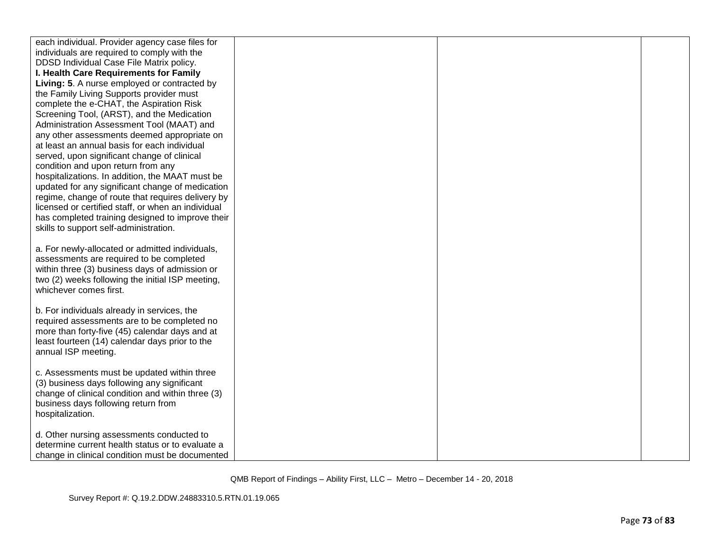| each individual. Provider agency case files for    |  |  |
|----------------------------------------------------|--|--|
| individuals are required to comply with the        |  |  |
| DDSD Individual Case File Matrix policy.           |  |  |
| I. Health Care Requirements for Family             |  |  |
| Living: 5. A nurse employed or contracted by       |  |  |
| the Family Living Supports provider must           |  |  |
| complete the e-CHAT, the Aspiration Risk           |  |  |
| Screening Tool, (ARST), and the Medication         |  |  |
| Administration Assessment Tool (MAAT) and          |  |  |
| any other assessments deemed appropriate on        |  |  |
| at least an annual basis for each individual       |  |  |
| served, upon significant change of clinical        |  |  |
| condition and upon return from any                 |  |  |
| hospitalizations. In addition, the MAAT must be    |  |  |
| updated for any significant change of medication   |  |  |
| regime, change of route that requires delivery by  |  |  |
| licensed or certified staff, or when an individual |  |  |
| has completed training designed to improve their   |  |  |
| skills to support self-administration.             |  |  |
|                                                    |  |  |
| a. For newly-allocated or admitted individuals,    |  |  |
| assessments are required to be completed           |  |  |
| within three (3) business days of admission or     |  |  |
| two (2) weeks following the initial ISP meeting,   |  |  |
| whichever comes first.                             |  |  |
|                                                    |  |  |
| b. For individuals already in services, the        |  |  |
| required assessments are to be completed no        |  |  |
| more than forty-five (45) calendar days and at     |  |  |
| least fourteen (14) calendar days prior to the     |  |  |
| annual ISP meeting.                                |  |  |
|                                                    |  |  |
| c. Assessments must be updated within three        |  |  |
| (3) business days following any significant        |  |  |
| change of clinical condition and within three (3)  |  |  |
| business days following return from                |  |  |
| hospitalization.                                   |  |  |
|                                                    |  |  |
| d. Other nursing assessments conducted to          |  |  |
| determine current health status or to evaluate a   |  |  |
| change in clinical condition must be documented    |  |  |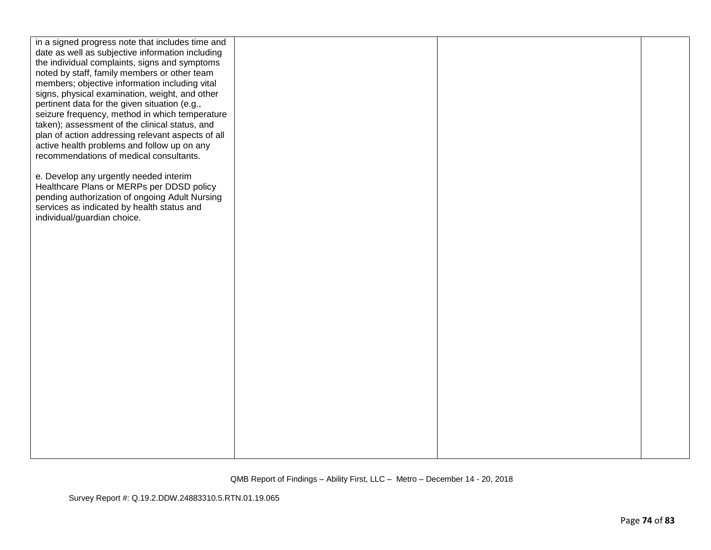| in a signed progress note that includes time and                                              |  |  |
|-----------------------------------------------------------------------------------------------|--|--|
| date as well as subjective information including                                              |  |  |
| the individual complaints, signs and symptoms<br>noted by staff, family members or other team |  |  |
| members; objective information including vital                                                |  |  |
| signs, physical examination, weight, and other                                                |  |  |
| pertinent data for the given situation (e.g.,                                                 |  |  |
| seizure frequency, method in which temperature                                                |  |  |
| taken); assessment of the clinical status, and                                                |  |  |
| plan of action addressing relevant aspects of all                                             |  |  |
| active health problems and follow up on any                                                   |  |  |
| recommendations of medical consultants.                                                       |  |  |
|                                                                                               |  |  |
| e. Develop any urgently needed interim                                                        |  |  |
| Healthcare Plans or MERPs per DDSD policy                                                     |  |  |
| pending authorization of ongoing Adult Nursing                                                |  |  |
| services as indicated by health status and                                                    |  |  |
| individual/guardian choice.                                                                   |  |  |
|                                                                                               |  |  |
|                                                                                               |  |  |
|                                                                                               |  |  |
|                                                                                               |  |  |
|                                                                                               |  |  |
|                                                                                               |  |  |
|                                                                                               |  |  |
|                                                                                               |  |  |
|                                                                                               |  |  |
|                                                                                               |  |  |
|                                                                                               |  |  |
|                                                                                               |  |  |
|                                                                                               |  |  |
|                                                                                               |  |  |
|                                                                                               |  |  |
|                                                                                               |  |  |
|                                                                                               |  |  |
|                                                                                               |  |  |
|                                                                                               |  |  |
|                                                                                               |  |  |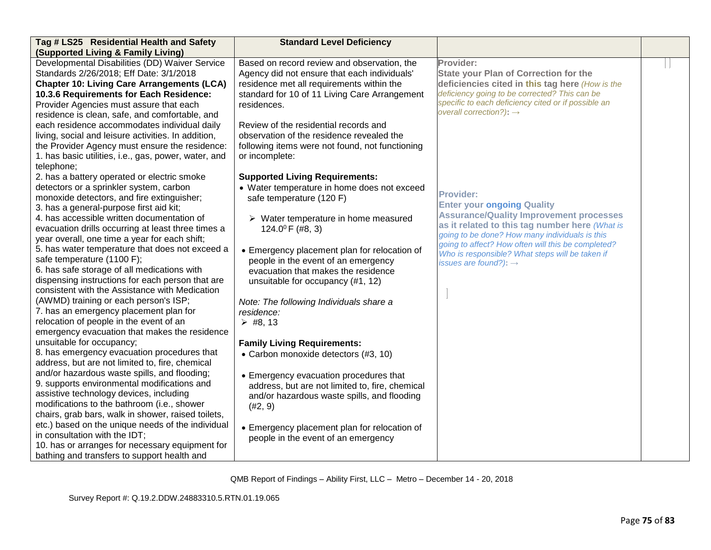| Tag # LS25 Residential Health and Safety             | <b>Standard Level Deficiency</b>                    |                                                                                                      |  |
|------------------------------------------------------|-----------------------------------------------------|------------------------------------------------------------------------------------------------------|--|
| (Supported Living & Family Living)                   |                                                     |                                                                                                      |  |
| Developmental Disabilities (DD) Waiver Service       | Based on record review and observation, the         | Provider:                                                                                            |  |
| Standards 2/26/2018; Eff Date: 3/1/2018              | Agency did not ensure that each individuals'        | <b>State your Plan of Correction for the</b>                                                         |  |
| <b>Chapter 10: Living Care Arrangements (LCA)</b>    | residence met all requirements within the           | deficiencies cited in this tag here (How is the                                                      |  |
| 10.3.6 Requirements for Each Residence:              | standard for 10 of 11 Living Care Arrangement       | deficiency going to be corrected? This can be                                                        |  |
| Provider Agencies must assure that each              | residences.                                         | specific to each deficiency cited or if possible an                                                  |  |
| residence is clean, safe, and comfortable, and       |                                                     | overall correction?): $\rightarrow$                                                                  |  |
| each residence accommodates individual daily         | Review of the residential records and               |                                                                                                      |  |
| living, social and leisure activities. In addition,  | observation of the residence revealed the           |                                                                                                      |  |
| the Provider Agency must ensure the residence:       | following items were not found, not functioning     |                                                                                                      |  |
| 1. has basic utilities, i.e., gas, power, water, and | or incomplete:                                      |                                                                                                      |  |
| telephone;                                           |                                                     |                                                                                                      |  |
| 2. has a battery operated or electric smoke          | <b>Supported Living Requirements:</b>               |                                                                                                      |  |
| detectors or a sprinkler system, carbon              | • Water temperature in home does not exceed         |                                                                                                      |  |
| monoxide detectors, and fire extinguisher;           | safe temperature (120 F)                            | <b>Provider:</b>                                                                                     |  |
| 3. has a general-purpose first aid kit;              |                                                     | <b>Enter your ongoing Quality</b>                                                                    |  |
| 4. has accessible written documentation of           | $\triangleright$ Water temperature in home measured | <b>Assurance/Quality Improvement processes</b>                                                       |  |
| evacuation drills occurring at least three times a   | 124.0 $^{\circ}$ F (#8, 3)                          | as it related to this tag number here (What is                                                       |  |
| year overall, one time a year for each shift;        |                                                     | going to be done? How many individuals is this<br>going to affect? How often will this be completed? |  |
| 5. has water temperature that does not exceed a      | • Emergency placement plan for relocation of        | Who is responsible? What steps will be taken if                                                      |  |
| safe temperature (1100 F);                           | people in the event of an emergency                 | issues are found?): $\rightarrow$                                                                    |  |
| 6. has safe storage of all medications with          | evacuation that makes the residence                 |                                                                                                      |  |
| dispensing instructions for each person that are     | unsuitable for occupancy (#1, 12)                   |                                                                                                      |  |
| consistent with the Assistance with Medication       |                                                     |                                                                                                      |  |
| (AWMD) training or each person's ISP;                | Note: The following Individuals share a             |                                                                                                      |  |
| 7. has an emergency placement plan for               | residence:                                          |                                                                                                      |  |
| relocation of people in the event of an              | $\triangleright$ #8, 13                             |                                                                                                      |  |
| emergency evacuation that makes the residence        |                                                     |                                                                                                      |  |
| unsuitable for occupancy;                            | <b>Family Living Requirements:</b>                  |                                                                                                      |  |
| 8. has emergency evacuation procedures that          | • Carbon monoxide detectors (#3, 10)                |                                                                                                      |  |
| address, but are not limited to, fire, chemical      |                                                     |                                                                                                      |  |
| and/or hazardous waste spills, and flooding;         | • Emergency evacuation procedures that              |                                                                                                      |  |
| 9. supports environmental modifications and          | address, but are not limited to, fire, chemical     |                                                                                                      |  |
| assistive technology devices, including              | and/or hazardous waste spills, and flooding         |                                                                                                      |  |
| modifications to the bathroom (i.e., shower          | (42, 9)                                             |                                                                                                      |  |
| chairs, grab bars, walk in shower, raised toilets,   |                                                     |                                                                                                      |  |
| etc.) based on the unique needs of the individual    | • Emergency placement plan for relocation of        |                                                                                                      |  |
| in consultation with the IDT;                        | people in the event of an emergency                 |                                                                                                      |  |
| 10. has or arranges for necessary equipment for      |                                                     |                                                                                                      |  |
| bathing and transfers to support health and          |                                                     |                                                                                                      |  |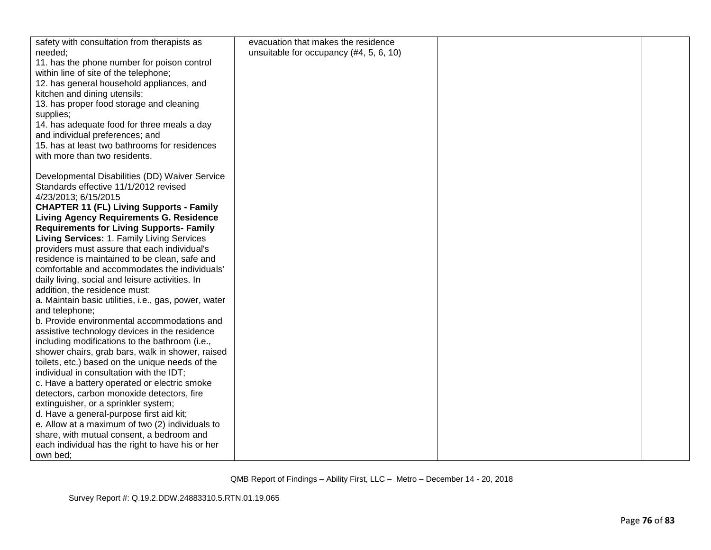| safety with consultation from therapists as          | evacuation that makes the residence     |  |
|------------------------------------------------------|-----------------------------------------|--|
| needed;                                              | unsuitable for occupancy (#4, 5, 6, 10) |  |
| 11. has the phone number for poison control          |                                         |  |
| within line of site of the telephone;                |                                         |  |
| 12. has general household appliances, and            |                                         |  |
| kitchen and dining utensils;                         |                                         |  |
| 13. has proper food storage and cleaning             |                                         |  |
| supplies;                                            |                                         |  |
| 14. has adequate food for three meals a day          |                                         |  |
| and individual preferences; and                      |                                         |  |
| 15. has at least two bathrooms for residences        |                                         |  |
| with more than two residents.                        |                                         |  |
|                                                      |                                         |  |
| Developmental Disabilities (DD) Waiver Service       |                                         |  |
| Standards effective 11/1/2012 revised                |                                         |  |
| 4/23/2013; 6/15/2015                                 |                                         |  |
| <b>CHAPTER 11 (FL) Living Supports - Family</b>      |                                         |  |
| <b>Living Agency Requirements G. Residence</b>       |                                         |  |
| <b>Requirements for Living Supports- Family</b>      |                                         |  |
| Living Services: 1. Family Living Services           |                                         |  |
| providers must assure that each individual's         |                                         |  |
| residence is maintained to be clean, safe and        |                                         |  |
| comfortable and accommodates the individuals'        |                                         |  |
| daily living, social and leisure activities. In      |                                         |  |
| addition, the residence must:                        |                                         |  |
| a. Maintain basic utilities, i.e., gas, power, water |                                         |  |
| and telephone;                                       |                                         |  |
| b. Provide environmental accommodations and          |                                         |  |
| assistive technology devices in the residence        |                                         |  |
| including modifications to the bathroom (i.e.,       |                                         |  |
| shower chairs, grab bars, walk in shower, raised     |                                         |  |
| toilets, etc.) based on the unique needs of the      |                                         |  |
| individual in consultation with the IDT;             |                                         |  |
| c. Have a battery operated or electric smoke         |                                         |  |
| detectors, carbon monoxide detectors, fire           |                                         |  |
| extinguisher, or a sprinkler system;                 |                                         |  |
| d. Have a general-purpose first aid kit;             |                                         |  |
| e. Allow at a maximum of two (2) individuals to      |                                         |  |
| share, with mutual consent, a bedroom and            |                                         |  |
| each individual has the right to have his or her     |                                         |  |
| own bed;                                             |                                         |  |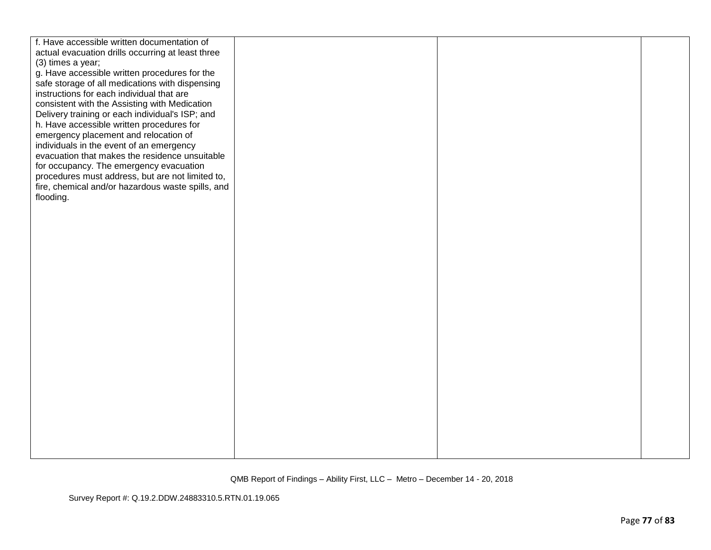| fire, chemical and/or hazardous waste spills, and |  |
|---------------------------------------------------|--|
|                                                   |  |
|                                                   |  |
|                                                   |  |
|                                                   |  |
|                                                   |  |
|                                                   |  |
|                                                   |  |
|                                                   |  |
|                                                   |  |
|                                                   |  |
|                                                   |  |
|                                                   |  |
|                                                   |  |
|                                                   |  |
|                                                   |  |
|                                                   |  |
|                                                   |  |
|                                                   |  |
|                                                   |  |
|                                                   |  |
|                                                   |  |
|                                                   |  |
|                                                   |  |
|                                                   |  |
|                                                   |  |
|                                                   |  |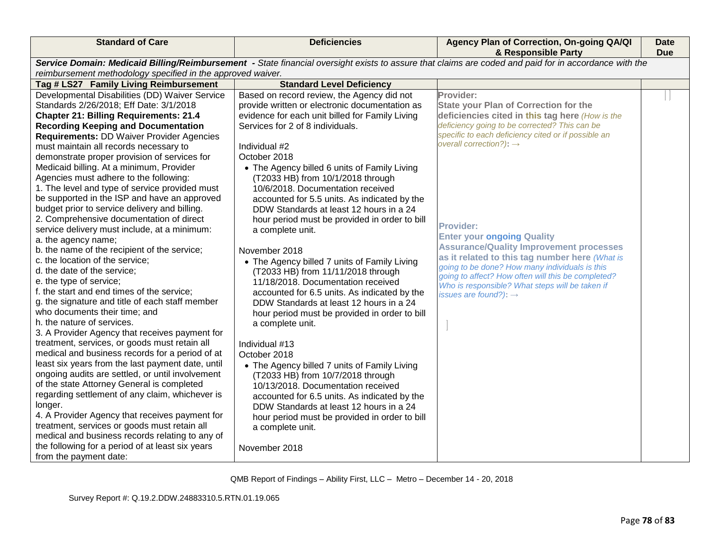| <b>Standard of Care</b>                                                                                                                                                                                                                                                                                                                                                                                                                                                                                                                                                                                                                                                                                                                                                                                                                                                                                                                                                                                                                                                                                                                                                                                                                                                                                                                                                                                                                                                                                                                  | <b>Deficiencies</b>                                                                                                                                                                                                                                                                                                                                                                                                                                                                                                                                                                                                                                                                                                                                                                                                                                                                                                                                                                                                                                                                                                                                      | Agency Plan of Correction, On-going QA/QI<br>& Responsible Party                                                                                                                                                                                                                                                                                                                                                                                                                                                                                                                                                         | <b>Date</b><br>Due |
|------------------------------------------------------------------------------------------------------------------------------------------------------------------------------------------------------------------------------------------------------------------------------------------------------------------------------------------------------------------------------------------------------------------------------------------------------------------------------------------------------------------------------------------------------------------------------------------------------------------------------------------------------------------------------------------------------------------------------------------------------------------------------------------------------------------------------------------------------------------------------------------------------------------------------------------------------------------------------------------------------------------------------------------------------------------------------------------------------------------------------------------------------------------------------------------------------------------------------------------------------------------------------------------------------------------------------------------------------------------------------------------------------------------------------------------------------------------------------------------------------------------------------------------|----------------------------------------------------------------------------------------------------------------------------------------------------------------------------------------------------------------------------------------------------------------------------------------------------------------------------------------------------------------------------------------------------------------------------------------------------------------------------------------------------------------------------------------------------------------------------------------------------------------------------------------------------------------------------------------------------------------------------------------------------------------------------------------------------------------------------------------------------------------------------------------------------------------------------------------------------------------------------------------------------------------------------------------------------------------------------------------------------------------------------------------------------------|--------------------------------------------------------------------------------------------------------------------------------------------------------------------------------------------------------------------------------------------------------------------------------------------------------------------------------------------------------------------------------------------------------------------------------------------------------------------------------------------------------------------------------------------------------------------------------------------------------------------------|--------------------|
| Service Domain: Medicaid Billing/Reimbursement - State financial oversight exists to assure that claims are coded and paid for in accordance with the<br>reimbursement methodology specified in the approved waiver.                                                                                                                                                                                                                                                                                                                                                                                                                                                                                                                                                                                                                                                                                                                                                                                                                                                                                                                                                                                                                                                                                                                                                                                                                                                                                                                     |                                                                                                                                                                                                                                                                                                                                                                                                                                                                                                                                                                                                                                                                                                                                                                                                                                                                                                                                                                                                                                                                                                                                                          |                                                                                                                                                                                                                                                                                                                                                                                                                                                                                                                                                                                                                          |                    |
| Tag # LS27 Family Living Reimbursement                                                                                                                                                                                                                                                                                                                                                                                                                                                                                                                                                                                                                                                                                                                                                                                                                                                                                                                                                                                                                                                                                                                                                                                                                                                                                                                                                                                                                                                                                                   | <b>Standard Level Deficiency</b>                                                                                                                                                                                                                                                                                                                                                                                                                                                                                                                                                                                                                                                                                                                                                                                                                                                                                                                                                                                                                                                                                                                         |                                                                                                                                                                                                                                                                                                                                                                                                                                                                                                                                                                                                                          |                    |
| Developmental Disabilities (DD) Waiver Service<br>Standards 2/26/2018; Eff Date: 3/1/2018<br><b>Chapter 21: Billing Requirements: 21.4</b><br><b>Recording Keeping and Documentation</b><br>Requirements: DD Waiver Provider Agencies<br>must maintain all records necessary to<br>demonstrate proper provision of services for<br>Medicaid billing. At a minimum, Provider<br>Agencies must adhere to the following:<br>1. The level and type of service provided must<br>be supported in the ISP and have an approved<br>budget prior to service delivery and billing.<br>2. Comprehensive documentation of direct<br>service delivery must include, at a minimum:<br>a. the agency name;<br>b. the name of the recipient of the service;<br>c. the location of the service;<br>d. the date of the service;<br>e. the type of service;<br>f. the start and end times of the service;<br>g. the signature and title of each staff member<br>who documents their time; and<br>h. the nature of services.<br>3. A Provider Agency that receives payment for<br>treatment, services, or goods must retain all<br>medical and business records for a period of at<br>least six years from the last payment date, until<br>ongoing audits are settled, or until involvement<br>of the state Attorney General is completed<br>regarding settlement of any claim, whichever is<br>longer.<br>4. A Provider Agency that receives payment for<br>treatment, services or goods must retain all<br>medical and business records relating to any of | Based on record review, the Agency did not<br>provide written or electronic documentation as<br>evidence for each unit billed for Family Living<br>Services for 2 of 8 individuals.<br>Individual #2<br>October 2018<br>• The Agency billed 6 units of Family Living<br>(T2033 HB) from 10/1/2018 through<br>10/6/2018. Documentation received<br>accounted for 5.5 units. As indicated by the<br>DDW Standards at least 12 hours in a 24<br>hour period must be provided in order to bill<br>a complete unit.<br>November 2018<br>• The Agency billed 7 units of Family Living<br>(T2033 HB) from 11/11/2018 through<br>11/18/2018. Documentation received<br>accounted for 6.5 units. As indicated by the<br>DDW Standards at least 12 hours in a 24<br>hour period must be provided in order to bill<br>a complete unit.<br>Individual #13<br>October 2018<br>• The Agency billed 7 units of Family Living<br>(T2033 HB) from 10/7/2018 through<br>10/13/2018. Documentation received<br>accounted for 6.5 units. As indicated by the<br>DDW Standards at least 12 hours in a 24<br>hour period must be provided in order to bill<br>a complete unit. | Provider:<br><b>State your Plan of Correction for the</b><br>deficiencies cited in this tag here (How is the<br>deficiency going to be corrected? This can be<br>specific to each deficiency cited or if possible an<br>overall correction?): $\rightarrow$<br><b>Provider:</b><br><b>Enter your ongoing Quality</b><br><b>Assurance/Quality Improvement processes</b><br>as it related to this tag number here (What is<br>going to be done? How many individuals is this<br>going to affect? How often will this be completed?<br>Who is responsible? What steps will be taken if<br>issues are found?): $\rightarrow$ |                    |
| the following for a period of at least six years<br>from the payment date:                                                                                                                                                                                                                                                                                                                                                                                                                                                                                                                                                                                                                                                                                                                                                                                                                                                                                                                                                                                                                                                                                                                                                                                                                                                                                                                                                                                                                                                               | November 2018                                                                                                                                                                                                                                                                                                                                                                                                                                                                                                                                                                                                                                                                                                                                                                                                                                                                                                                                                                                                                                                                                                                                            |                                                                                                                                                                                                                                                                                                                                                                                                                                                                                                                                                                                                                          |                    |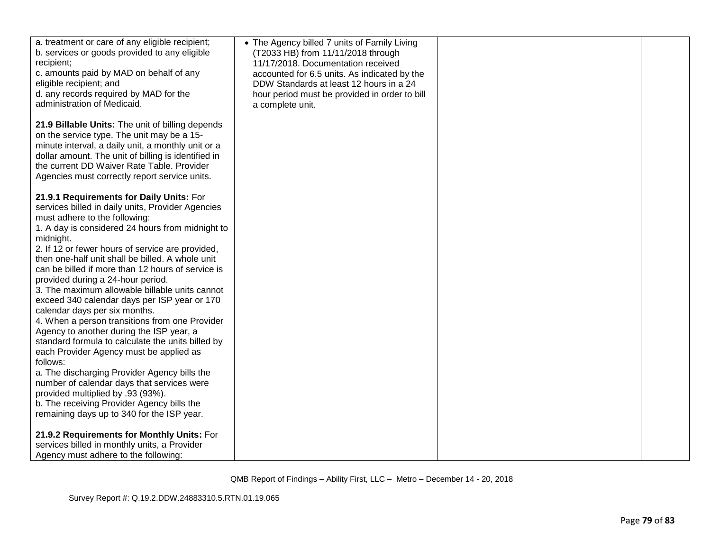| a. treatment or care of any eligible recipient;<br>b. services or goods provided to any eligible<br>recipient;<br>c. amounts paid by MAD on behalf of any<br>eligible recipient; and<br>d. any records required by MAD for the<br>administration of Medicaid.<br>21.9 Billable Units: The unit of billing depends<br>on the service type. The unit may be a 15-<br>minute interval, a daily unit, a monthly unit or a<br>dollar amount. The unit of billing is identified in<br>the current DD Waiver Rate Table. Provider<br>Agencies must correctly report service units.                                                                                                                                                                                                                                                                                                                                                                                                   | • The Agency billed 7 units of Family Living<br>(T2033 HB) from 11/11/2018 through<br>11/17/2018. Documentation received<br>accounted for 6.5 units. As indicated by the<br>DDW Standards at least 12 hours in a 24<br>hour period must be provided in order to bill<br>a complete unit. |  |
|-------------------------------------------------------------------------------------------------------------------------------------------------------------------------------------------------------------------------------------------------------------------------------------------------------------------------------------------------------------------------------------------------------------------------------------------------------------------------------------------------------------------------------------------------------------------------------------------------------------------------------------------------------------------------------------------------------------------------------------------------------------------------------------------------------------------------------------------------------------------------------------------------------------------------------------------------------------------------------|------------------------------------------------------------------------------------------------------------------------------------------------------------------------------------------------------------------------------------------------------------------------------------------|--|
| 21.9.1 Requirements for Daily Units: For<br>services billed in daily units, Provider Agencies<br>must adhere to the following:<br>1. A day is considered 24 hours from midnight to<br>midnight.<br>2. If 12 or fewer hours of service are provided,<br>then one-half unit shall be billed. A whole unit<br>can be billed if more than 12 hours of service is<br>provided during a 24-hour period.<br>3. The maximum allowable billable units cannot<br>exceed 340 calendar days per ISP year or 170<br>calendar days per six months.<br>4. When a person transitions from one Provider<br>Agency to another during the ISP year, a<br>standard formula to calculate the units billed by<br>each Provider Agency must be applied as<br>follows:<br>a. The discharging Provider Agency bills the<br>number of calendar days that services were<br>provided multiplied by .93 (93%).<br>b. The receiving Provider Agency bills the<br>remaining days up to 340 for the ISP year. |                                                                                                                                                                                                                                                                                          |  |
| 21.9.2 Requirements for Monthly Units: For<br>services billed in monthly units, a Provider<br>Agency must adhere to the following:                                                                                                                                                                                                                                                                                                                                                                                                                                                                                                                                                                                                                                                                                                                                                                                                                                            |                                                                                                                                                                                                                                                                                          |  |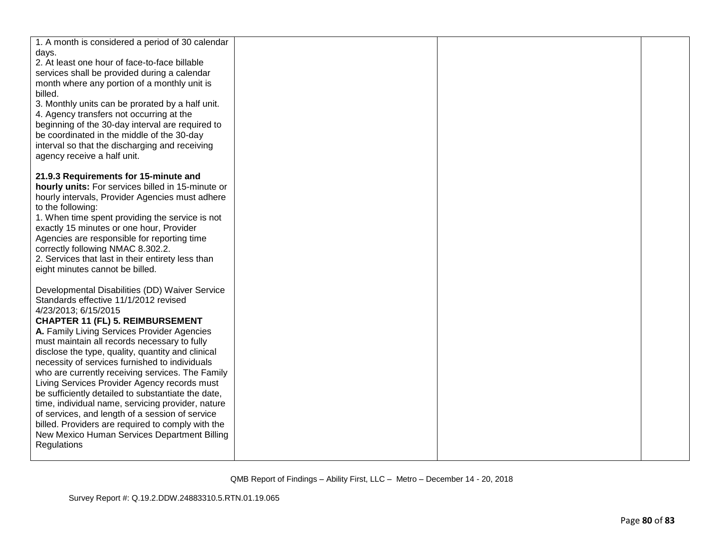| 1. A month is considered a period of 30 calendar<br>days.                                               |  |  |
|---------------------------------------------------------------------------------------------------------|--|--|
| 2. At least one hour of face-to-face billable                                                           |  |  |
| services shall be provided during a calendar                                                            |  |  |
| month where any portion of a monthly unit is                                                            |  |  |
| billed.<br>3. Monthly units can be prorated by a half unit.                                             |  |  |
| 4. Agency transfers not occurring at the                                                                |  |  |
| beginning of the 30-day interval are required to                                                        |  |  |
| be coordinated in the middle of the 30-day                                                              |  |  |
| interval so that the discharging and receiving                                                          |  |  |
| agency receive a half unit.                                                                             |  |  |
| 21.9.3 Requirements for 15-minute and                                                                   |  |  |
| hourly units: For services billed in 15-minute or                                                       |  |  |
| hourly intervals, Provider Agencies must adhere                                                         |  |  |
| to the following:                                                                                       |  |  |
| 1. When time spent providing the service is not<br>exactly 15 minutes or one hour, Provider             |  |  |
| Agencies are responsible for reporting time                                                             |  |  |
| correctly following NMAC 8.302.2.                                                                       |  |  |
| 2. Services that last in their entirety less than                                                       |  |  |
| eight minutes cannot be billed.                                                                         |  |  |
| Developmental Disabilities (DD) Waiver Service                                                          |  |  |
| Standards effective 11/1/2012 revised                                                                   |  |  |
| 4/23/2013; 6/15/2015                                                                                    |  |  |
| <b>CHAPTER 11 (FL) 5. REIMBURSEMENT</b>                                                                 |  |  |
| A. Family Living Services Provider Agencies<br>must maintain all records necessary to fully             |  |  |
| disclose the type, quality, quantity and clinical                                                       |  |  |
| necessity of services furnished to individuals                                                          |  |  |
| who are currently receiving services. The Family                                                        |  |  |
| Living Services Provider Agency records must                                                            |  |  |
| be sufficiently detailed to substantiate the date,<br>time, individual name, servicing provider, nature |  |  |
| of services, and length of a session of service                                                         |  |  |
| billed. Providers are required to comply with the                                                       |  |  |
| New Mexico Human Services Department Billing                                                            |  |  |
| Regulations                                                                                             |  |  |
|                                                                                                         |  |  |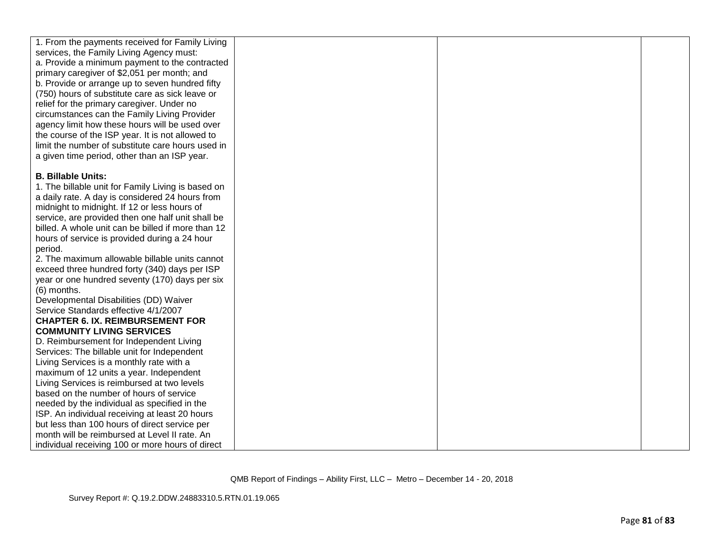| 1. From the payments received for Family Living    |  |  |
|----------------------------------------------------|--|--|
| services, the Family Living Agency must:           |  |  |
| a. Provide a minimum payment to the contracted     |  |  |
| primary caregiver of \$2,051 per month; and        |  |  |
| b. Provide or arrange up to seven hundred fifty    |  |  |
| (750) hours of substitute care as sick leave or    |  |  |
| relief for the primary caregiver. Under no         |  |  |
| circumstances can the Family Living Provider       |  |  |
| agency limit how these hours will be used over     |  |  |
| the course of the ISP year. It is not allowed to   |  |  |
| limit the number of substitute care hours used in  |  |  |
| a given time period, other than an ISP year.       |  |  |
|                                                    |  |  |
| <b>B. Billable Units:</b>                          |  |  |
| 1. The billable unit for Family Living is based on |  |  |
| a daily rate. A day is considered 24 hours from    |  |  |
| midnight to midnight. If 12 or less hours of       |  |  |
| service, are provided then one half unit shall be  |  |  |
| billed. A whole unit can be billed if more than 12 |  |  |
| hours of service is provided during a 24 hour      |  |  |
| period.                                            |  |  |
| 2. The maximum allowable billable units cannot     |  |  |
| exceed three hundred forty (340) days per ISP      |  |  |
| year or one hundred seventy (170) days per six     |  |  |
| (6) months.                                        |  |  |
| Developmental Disabilities (DD) Waiver             |  |  |
| Service Standards effective 4/1/2007               |  |  |
| <b>CHAPTER 6. IX. REIMBURSEMENT FOR</b>            |  |  |
| <b>COMMUNITY LIVING SERVICES</b>                   |  |  |
| D. Reimbursement for Independent Living            |  |  |
| Services: The billable unit for Independent        |  |  |
| Living Services is a monthly rate with a           |  |  |
| maximum of 12 units a year. Independent            |  |  |
| Living Services is reimbursed at two levels        |  |  |
| based on the number of hours of service            |  |  |
| needed by the individual as specified in the       |  |  |
| ISP. An individual receiving at least 20 hours     |  |  |
| but less than 100 hours of direct service per      |  |  |
| month will be reimbursed at Level II rate. An      |  |  |
| individual receiving 100 or more hours of direct   |  |  |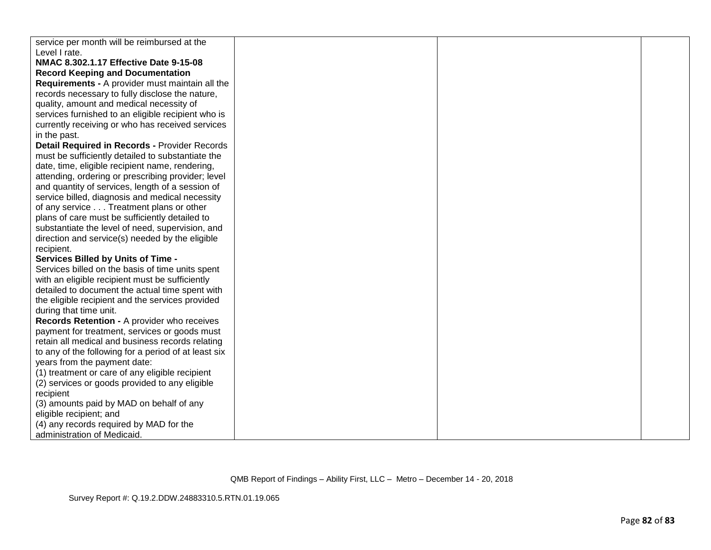| service per month will be reimbursed at the          |  |  |
|------------------------------------------------------|--|--|
| Level I rate.                                        |  |  |
| NMAC 8.302.1.17 Effective Date 9-15-08               |  |  |
| <b>Record Keeping and Documentation</b>              |  |  |
| Requirements - A provider must maintain all the      |  |  |
| records necessary to fully disclose the nature,      |  |  |
| quality, amount and medical necessity of             |  |  |
| services furnished to an eligible recipient who is   |  |  |
| currently receiving or who has received services     |  |  |
| in the past.                                         |  |  |
| Detail Required in Records - Provider Records        |  |  |
| must be sufficiently detailed to substantiate the    |  |  |
| date, time, eligible recipient name, rendering,      |  |  |
| attending, ordering or prescribing provider; level   |  |  |
| and quantity of services, length of a session of     |  |  |
| service billed, diagnosis and medical necessity      |  |  |
| of any service Treatment plans or other              |  |  |
| plans of care must be sufficiently detailed to       |  |  |
| substantiate the level of need, supervision, and     |  |  |
| direction and service(s) needed by the eligible      |  |  |
| recipient.                                           |  |  |
| <b>Services Billed by Units of Time -</b>            |  |  |
| Services billed on the basis of time units spent     |  |  |
| with an eligible recipient must be sufficiently      |  |  |
| detailed to document the actual time spent with      |  |  |
| the eligible recipient and the services provided     |  |  |
| during that time unit.                               |  |  |
| Records Retention - A provider who receives          |  |  |
| payment for treatment, services or goods must        |  |  |
| retain all medical and business records relating     |  |  |
| to any of the following for a period of at least six |  |  |
| years from the payment date:                         |  |  |
| (1) treatment or care of any eligible recipient      |  |  |
| (2) services or goods provided to any eligible       |  |  |
| recipient                                            |  |  |
| (3) amounts paid by MAD on behalf of any             |  |  |
| eligible recipient; and                              |  |  |
| (4) any records required by MAD for the              |  |  |
| administration of Medicaid.                          |  |  |